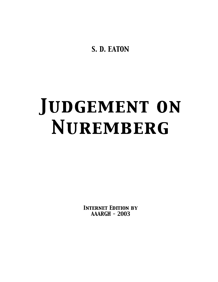S. D. EATON

# **JUDGEMENT ON** NUREMBERG

**INTERNET EDITION BY**  $AARGH - 2003$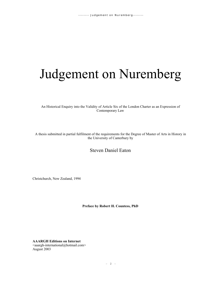# Judgement on Nuremberg

An Historical Enquiry into the Validity of Article Six of the London Charter as an Expression of Contemporary Law

A thesis submitted in partial fulfilment of the requirements for the Degree of Master of Arts in History in the University of Canterbury by

# Steven Daniel Eaton

Christchurch, New Zealand, 1994

**Preface by Robert H. Countess, PhD**

**AAARGH Editions on Internet** <aaargh-international@hotmail.com> August 2003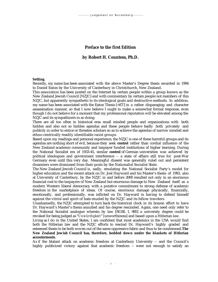# **Preface to the first Edition**

#### **by Robert H. Countess, Ph.D.**

#### **Setting.**

Recently, my name has been associated with the above Master's Degree thesis awarded in 1994 to Daniel Eaton by the University of Canterbury in Christchurch, New Zealand.

This association has been posted on the Internet by certain people within a group known as the New Zealand Jewish Council [NZJC] and with commentary by certain people not members of this NZJC, but apparently sympathetic to its ideological goals and destructive methods. In addition, my name has been associated with the Eaton Thesis  $\left[-ET\right]$  in a rather disparaging and character assassination manner, so that I now believe I ought to make a somewhat formal response, even though I do not believe for a moment that my professional reputation will be elevated among the NZJC and its sympathizers in so doing.

There are all too often in historical eras small minded people and organizations with both hidden and also not so hidden agendas and these people behave badly both privately and publicly in order to entice or threaten scholars so as to achieve the agendas of narrow minded and ethno-centrically readily identifiable racist groups.

Based upon my readings and personal experience, the NZJC is one of these harmful groups and its agendas are nothing short of evil, because they seek **control** rather than cordial influence of the New Zealand academic community and taxpayer funded institutions of higher learning. During the National Socialist era of 1933-45, similar **control** of German universities was achieved by political ideologues and government interference -- a state of affairs still true for post-War Germany even until this very day. Meaningful dissent was generally ruled out and persistent dissenters were dismissed from their posts by the Nationalist Socialist State.

The New Zealand Jewish Council is, sadly, emulating the National Socialist Party's model for higher education and the recent attack on Dr. Joel Hayward and his Master's thesis of 1993, also at University of Canterbury, by the NZJC in and before 2000 resulted not only in an enormous financial cost to the taxpayers of New Zealand but enormous damage to New Zealand itself as a modern Western liberal democracy with a putative commitment to strong defense of academic freedom in the marketplace of ideas. Of course, enormous damage physically, financially, emotionally, and professionally, was inflicted on Dr. Hayward in having to defend himself against the vitriol and spirit of hate exuded by the NZJC and its fellow travelers.

Unashamedly, the NZJC attempted to turn back the historical clock in its brazen effort to have Dr. Hayward's Master's thesis annulled and his degree rescinded. Again, one need only refer to the National Socialist analogue wherein by law [RGBI, I, 985] a university degree could be revoked for being judged as "*Unwürdigkeit*" [unworthiness] and based upon a Hitlerian law.

Living as I do in the United States, I am confident that most academics in the USA would find both the Hitlerian law and the NZJC efforts to rescind Dr. Hayward's highly graded and esteemed thesis to be both woven out of the same oppressive fabric and thus to be condemned. **The New Zealand Jewish Council has, therefore, bedded down under the blankets of Hitlerian accouterments**.

As if the blatant attack on academic freedom at Canterbury University -- and the Council's highly publicized victory against that academic freedom -- were not enough to satisfy an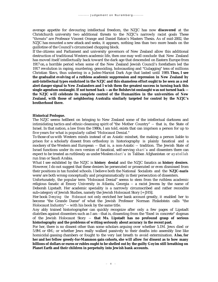average appetite for devouring intellectual freedom, the NZJC has now **discovered** at the Christchurch university two additional threats to the NZJC's narrowly racist goals These "threats" are Professor Vincent Orange and Daniel Eaton's Masters Thesis. As of mid-2002, the NZJC has mounted a new attack and seeks, it appears, nothing less than two more heads on the guillotine of the Council's circumcised chopping block.

If the citizens and Parliament and university governors of New Zealand allow this additional destruction of traditional Western academic life, then one may well conclude that New Zealand has moved itself intellectually back toward the dark age that descended on Eastern Europe from 1917 on, a horrible period when some of the New Zealand Jewish Council's forefathers led the 1917 revolution in raping, murdering, genociding, holocausting and "Gulagging" tens of millions Christian Slavs, thus ushering in a Judeo-Marxist Dark Age that lasted until 1989**. Thus, I see the gradualist evolving of a ruthless academic suppression and repression in New Zealand by anti-intellectual types enshrined in the NZJC and this shameless effort ought to be seen as a red alert danger signal to New Zealanders and I wish them the greatest success in turning back this single agendum onslaught. If not turned back -- as the Bolshevist onslaught was not turned back - the NZJC will celebrate its complete control of the Humanities in the universities of New Zealand, with those of neighboring Australia similarly targeted for control by the NZJC's brotherhood there.**

#### **Historical Prologue.**

The NZJC seems hellbent on bringing to New Zealand some of the intellectual darkness and intimidating tactics and ethnic-cleansing spirit of "the Mother Country" -- that is, the State of Israel. In that nation, a law from the 1980s, I am told, exists that can imprison a person for up to five years for what is popularly called "Holocaust Denial."

To those of us with Western minds instead of an Asiatic mindset, the making a person liable to prison for a scholarly dissent from orthodoxy in historiography is plainly fanatical and a mockery of the Western and European -- that is, a non-Asiatic -- tradition. The Jewish State of Israel functions under its own version of fanatical, self-serving *shari'a* and dissenters there can expect to be treated as ruthlessly as under Moslem *shari'a* in Taliban Afghanistan or *ayatollah* run Iran or Saudi Arabia.

What I see exhibited by the NZJC is **history denial** and the NZJC fanatics as **history deniers**. However, I do not suggest that these deniers be persecuted or prosecuted or even dismissed from their positions in tax funded schools. I believe both the National Socialists and the **NZJC-nazis** were/are both wrong conceptually and programmatically in their persecution of dissenters.

Unfortunately, the popular term "Holocaust Denial" seems to stem from the ruthless academic religious fanatic at Emory University in Atlanta, Georgia -- a racist Jewess by the name of Deborah Lipstadt. Her academic speciality is a narrowly circumscribed and rather recondite sub-category of Jewish Studies, namely the Jewish Holocaust Story [= JHS].

Her book *Denying the Holocaust* not only enriched her bank account greatly, it enabled her to become "the Grande Dame" of what the Jewish Professor Norman Finkelstein calls "the Holocaust Industry" -- with his book by the same title.

Any ably trained historiographer can quickly recognize after only a few pages of Lipstadt diatribes against dissenters such as I am --that is, dissenting from the "fixed in concrete" dogmas of the Jewish Holocaust Story -- **that Ms. Lipstadt has no profound grasp of serious historiography and the problems of writing seriously about accuracy in the recent past.**

For her, there is no dissent other than some scholars arguing over whether 5.1M. Jews died or 5.9M. or 6M.; or whether Jews really walked passively to their deaths into assembly line like homicidal gassing chambers or fought to the very last breath to avoid extermination. **Also, for her and her fellow greedy-for-Mammon gain cohorts, she will allow for dissent as to how many billions of dollars or euros or rubles ought to be shelled out by the guilty Goyim still breathing on Planet Earth and their children in perpetuity into Jewish bank accounts.**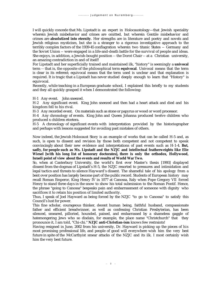I will quickly concede that Ms. Lipstadt is an expert in Holocaustology—that Jewish speciality wherein Jewish misbehavior and crimes are omitted, but wherein Gentile misbehavior and crimes are **absolutized into eternity**. Her strengths are in literature and poetry and novels and Jewish religious mysticism, but she is a stranger to a rigorous investigative approach to the terribly complex factors of the 1939-45 conflagration wherein two titanic States -- Germany and the Soviet Union -- were engaged in a life-and-death battle for the survival of people and ideas. She enjoys, in addition, a Jewish-bought position -- the Dorot Chair -- at a Christian university, an amazing contradiction in and of itself!

For Lipstadt and her superficially trained and maintained ilk, "history" is seemingly a **univocal** term -- that is, the opposite of the philosophical term **equivocal**. Univocal means that the term is clear in its referent; equivocal means that the term used is unclear and that explanation is required. It is tragic that a Lipstadt has never studied deeply enough to learn that "History" is equivocal.

Recently, while teaching in a European graduate school, I explained this briefly to my students and they all quickly grasped it when I demonstrated the following:

H-1 Any event. John sneezed.

H-2 Any significant event. King John sneezed and then had a heart attack and died and his kingdom fell to his rival.

H-3 Any recorded event. On materials such as stone or papyrus or wood or word processor.

H-4 Any chronology of events. King John and Queen Johanna produced twelve children who produced x children etcetera.

H-5 A chronology of significant events with interpretation provided by the historiographer and perhaps with lessons suggested for avoiding past mistakes of others.

Now indeed, the Jewish Holocaust Story is an example of works that can be called H-5 and, as such, is open to dissent and revision by those both competent and not competent to speak convincingly about their new evidence and interpretations of past events such as H-1-4. **But, sadly, for people such as Ms. Lipstadt and the NZJC and intellectual featherweights like Elie Wiesel [with his long list of honorary doctorates], there is only the orthodox, Hollywood, Israeli point of view about the events and results of World War Two.**

So, when at Canterbury University, the world's first ever Master's thesis [1993] displayed dissent from the dogmas of Lipstadt's H-5, the NZJC resorted to pressures and intimidation and legal tactics and threats to silence Hayward's dissent. The shameful tale of his apology from a bent over position has largely become part of the public record. Students of European history may recall Roman Emperor, King Henry IV in 1077 at Canossa, Italy when Pope Gregory VII forced Henry to stand three days in the snow to show his total submission to the Roman Pontif. Hence, the phrase "going to Canossa" bespeaks pain and embarrassment of someone with dignity who sacrifices it to retain his position of limited authority.

Thus, I speak of Joel Hayward as being forced by the NZJC "to go to Canossa" to satisfy this Council's lust for power.

This fine scholar, courageous thinker, decent human being, faithful husband, compassionate father and efficient breadwinner, as well as confessing Christian Presbyterian, has been silenced, smeared, pilloried, hounded, pained, and embarrassed by a shameless gaggle of hatemongering Jews who so disdain, for example, the place name "Christchurch" that they pronounce it, I am told, "Chi-chi." **NZJC anti-Christian-ism** knows few restraints!

Having resigned in June, 2002 from his university, Dr. Hayward is picking up the pieces of his most promising professional life, and people of good will everywhere wish him the very best future in spite of the McCarthyist smear attacks of the NZJC and its ilk. I most certainly wish him the very best future.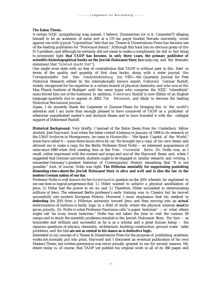#### **The Eaton Thesis.**

A certain NZJC sympathizing wag named, I believe, Zimmerman [or is it, Carpenter?] alleging himself to be an academic of some sort at a US tax payer funded Nevada university, wrote against me with typical "Lipstadtian" bile that my Theses & Dissertations Press has become one of the leading publishers for "Holocaust denial." Although this hack has no obvious grasp of the H-5 problem, and although he certainly did not mean to make a compliment, he did in fact bring to prominent light **that TADP has become, in only three years, the primary publisher of scientific-historiographical books on the Jewish Holocaust Story [**see tadp.org and the thematic statement that "*Internet macht frei!*"].

One might even state with no fear of contradiction that TADP is without peer in this field in terms of the quality and quantity of first class books, along with a sister journal, the *Vierteljahreshefte fuer freie Geschichtsforschung* [or, VffG—the Quarterly Journal for Free Historical Research edited by the internationally known expert, *Doktorand* Germar Rudolf, widely recognized for his expertise in a certain branch of physical chemistry and who was at the Max Planck Institute of Stuttgart until the same types who comprise the NZJC "crimethink" nazis forced him out of the Institute]. In addition, *Doktorand* Rudolf is now Editor of an English language quarterly due to appear in 2003, *The Revisionist*, and likely to become the leading Historical Revisionist journal.

Again, I do sincerely thank the Carpenter or Zimmer-Mann for bringing this to the world's attention and I am more than enough pleased to have conceived of TADP as a publisher of otherwise unpublished master's and doctoral theses and to have founded it with the collegial support of Doktorand Rudolf.

**Historical Background.** Very briefly, I learned of the Eaton thesis from his Canterbury fellow student, Joel Hayward. And when the latter visited Alabama in January of 1994 to do research at the USAF Archives in Montgomery, he came to Huntsville -- "the Space Capital of the World," some have called it -- some three hours drive by car. He brought me a copy of his own thesis and allowed me to make a copy for the Berlin Professor Ernst Nolte -- an esteemed acquaintance of mine since 1989 when first meeting him at the *Freie Universität Berlin*. Dr. Nolte was, as I recall, rather impressed with the content and scope and size of the Hayward thesis and, when I suggested that German university students ought to be engaged in similar research and writing, I remember Germany's greatest historian of Contemporary History remarking that "It is not possible." And, of course, Nolte was right. **The Hitlerian mentality for suppressing punishing dissenting views about the Jewish Holocaust Story is alive and well and is also the law in the modern German nation of our day.**

Professor Nolte is well known for his *Intentionalist* position on the JHS wherein he explained to me one time in logical progression that 1.) Hitler wanted to achieve a physical annihilation of Jews; 2.) Hitler had the power to do so; and 3.) Therefore, Hitler succeeded in exterminating millions of Jews. The esteemed Berlin professor's early training was in Classics but he moved successfully into modern European History. However, I must emphasize that his method in **deducting** the JHS from a Hitlerian animosity toward Jews and then moving into an **actual** extermination of millions is faulty logic in a field of study where the physical sciences **must** be given priority. Dr. Nolte is what Professor Faurisson calls "a paper historian" -- or what others might call "an ivory tower historian." Nolte has not taken the time to visit the various SS camps and to study the scientific problems entailed in the Jewish Holocaust Story. For him -- as honorable and brilliant and successful as he is as a scholar and a great human being -- the rigorous questions of physics, chemistry, architecture, building construction, ground water table problems, and the like **are not as central to his stance as is deductive logic.**

Interested in my concept of a Theses & Dissertations Press for the purpose of publishing academic works not normally put into print, Hayward and I discussed an eventual publication of his own Masters Thesis, but written permission was never actually granted to me for several reasons. My desire today is, of course, that TADP yet publish his original work in all of its 360 pages and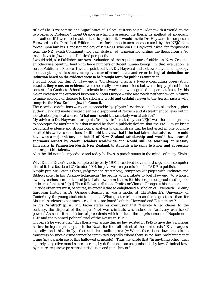title of *The Development and Significance of Holocaust Revisionism*. Along with it would go the two pages by Professor Vincent Orange in which he assessed the thesis, its method of approach, and author. If I were to be authorized to publish it, I would invite Dr. Hayward to compose a Foreword to the Published Edition and set forth the circumstances created by the NZJC that forced upon him his "Canossa" apology of 1999-2000 wherein Dr. Hayward asked for forgiveness from the NZ Jewish Community for pain *etcetera ad nauseam* for writing the thesis from a "so insensitive-to-Jewish-sensibilities" perspective.

I would add, as a Publisher, my own evaluation of the squalid state of affairs in New Zealand, an otherwise beautiful land with large numbers of decent human beings. In that evaluation, a sort of Publisher's Preface, I would point out that Dr. Hayward did not owe anyone an apology about anything **unless convincing evidence of error in data and error in logical deduction or induction based on the evidence were to be brought forth for public examination.**

I would point out that Dr. Hayward's "Conclusion" chapter's twelve concluding observation, **based as they were, on evidence**, were not really new conclusions but were simply placed in the context of a Graduate School's academic framework and were guided in part, at least, by his major Professor, the esteemed historian Vincent Orange -- who also needs neither now or in future to make apologiy or defense to the scholarly world **and certainly never to the Jewish racists who comprise the New Zealand Jewish Council.**

These twelve conclusions were/are supportable by physical evidence and logical analysis; plus, author Hayward made crystal clear his disapproval of Nazism and its treatment of Jews within its extent of physical control. **What more could the scholarly world ask for?**

My advice to Dr. Hayward during his "trial by fire" created by the NZJC was that he ought not to apologize for anything, but that instead he should publicly declare that the NZJC must bring forth hard evidence and strong logical analysis to demonstrate that he had erred in one or more or all of his twelve conclusions. **I still hold the view that if he had taken that advice, he would have won a major victory on behalf of New Zealand scholarship and would have earned enormous respect by careful scholars worldwide and would still be teaching at Massey University in Palmerston North, New Zealand, to students who came to know and appreciate and respect his talents.**

Alas, he did not take my advice and today he lives in pariah status in the minds of many Kiwis.

With Daniel Eaton's thesis completed by early 1994, I received both a hard copy and a computer disc of it. In a fax dated 25 October 1994, he gave written permission for TADP to publish.

Simply put, Mr. Eaton's thesis, *Judgement on Nuremberg,* comprises 267 pages with Endnotes and Bibliography. In his "Acknowledgements" he begins with a tribute to Joel Hayward "to whom I owe my enthusiasm for the subject. I also owe him thanks for his scrupulous proof reading and criticism of this text." [p.i] Then follows a tribute to Professor Vincent Orange as his mentor.

Outside observers must, of course, be grateful that so enlightened a scholar of Twentieth Century European History as Dr. Orange ostensibly is, was a model at Christchurch's University of Canterbury for young students to emulate. What greater tribute to academic greatness than for Master's students to pen such accolades as are found both the Hayward and Eaton theses?

In his "Abstract" [p. ii], Mr. Eaton states his conclusion that "Despite Allied claims to the contrary, the disposal of the *major* Nazi war criminals was indeed an 'arbitrary exercise of power.' As such, it had historical precedents which include the imprisonment of Napoleon in 1815 and the planned political trial of the Kaiser in 1919."

On page 2 he wrote that "This thesis will argue that no law existed in 1945 to give the victorious Allies the legal right to punish the Nazis for the full extent of their misdeeds." Eaton argues, logically and historically, that *nulla lex, nulla poena* [= Where there is no law, there is no transgression since a crime cannot be committed logically where there is no law prohibiting that crime (my paraphrase of this hallowed principle)]. Thus, he wrote that "In anything other than a purely subjective moral sense, a crime, by definition, is an act punishable by law. Criminal law, by nature, requires a prescribed jurisdiction and punishment."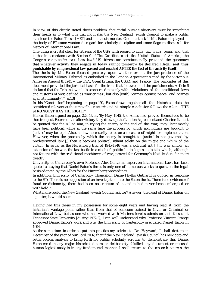In view of this clearly stated thesis problem, thoughtful outside observers must be scratching their heads as to what it is that motivates the New Zealand Jewish Council to make a public attack on the Eaton Thesis [= ET] and his thesis mentor. One must ask if Mr. Eaton displayed in the body of ET some wanton disregard for scholarly discipline and some flagrant dismissal for history of International Law.

One thing is crystal clear for citizens of the USA with regard to *nulla lex, nulla poena*, and that is that in accordance with Section 9 of *The Constitution of the United States of America*, the Congress can pass "*ex post facto law.*" US citizens are constitutionally provided the guarantee **that whatever activity they engage in today cannot tomorrow be declared illegal and thus punishable by congressional law passed and enacted AFTER the fact of the activity itself.**

The thesis by Mr. Eaton focused precisely upon whether or not the jurisprudence of the International Military Tribunal as embodied in the London Agreement signed by the victorious Allies on August 8, 1945 -- the USA, Great Britain, the USSR, and France. The principles of this document provided the juridical basis for the trials that followed and the punishments. Article 6 declared that the Tribunal would be concerned not only with "violations of the traditional laws and customs of war, defined as 'war crimes', but also [with] 'crimes against peace' and 'crimes against humanity'." [p.13]

In his "Conclusion" beginning on page 192, Eaton draws together all the historical data he considered relevant at the time of his research and his simple conclusion follows the colon: "**THE STRONGEST HAS THE RIGHT"**.

Hence, Eaton argued on pages 223-4 that "By May 1945, the Allies had proved themselves to be the strongest. Four months after victory they drew up the London Agreement and Charter. It must be granted that the Allied aim, in trying the enemy at the end of the war, may legitimately have been political, while at the same time the process by which individuals are brought to 'justice' may be legal. Also, all law necessarily relies on a measure of might for implementation. However, when the process by which the enemy is brought to 'justice' is not governed by predetermined law [,] then it becomes political, reliant solely on the might and whim of the victor... In so far as the Nuremberg trial of 1945-1946 was a political act [,] it was simply an extension of the war, the last battle in a clash of political ideologies, a battle which, although not fought with the traditional machinery of war, proved for Germany's Nazi leaders far more deadly."

University of Canterbury's own Professor Alex Conte, an expert on International Law, has been quoted as saying that Daniel Eaton's thesis is only one of numerous works to question the legal basis adopted by the Allies for the Nuremberg proceedings.

In addition, University of Canterbury Chancellor, Dame Phyllis Guthardt is quoted in response to the ET: "There is no suggestion of an investigation into the Eaton thesis. There is no evidence of fraud or dishonesty; there had been no criticism of it, and it had never been embargoed or withheld."

What more could the New Zealand Jewish Council ask for? Answer: the head of Daniel Eaton on a platter, it would seem!

Having had this thesis in my possession for some eight years and having read it from the historian's vantage point rather than from that of someone trained in Civil or Criminal or International Law, but as one who had worked with Master's level students on their theses at Tennessee State University [during 1972-3], I can well understand why Professor Vincent Orange approved Daniel Eaton's work and why the University of Canterbury graduated Daniel Eaton in 1994.

At the same time, in order to put into practice my advice to Dr. Hayward, I shall declare in December of the year of our Lord 2002, that if the New Zealand Jewish Council has new data and better logical analysis to bring forth for public, scholarly scrutiny to demonstrate that Daniel Eaton erred in any major historical datum or deliberately falsified any document or misused human logical analysis in any fundamental manner, I shall return to the research sources the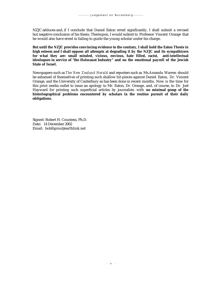NZJC adduces and, if I conclude that Daniel Eaton erred significantly, I shall submit a revised but negative conclusion of his thesis. Thereupon, I would submit to Professor Vincent Orange that he would also have erred in failing to guide the young scholar under his charge.

**But until the NZJC provides convincing evidence to the contrary, I shall hold the Eaton Thesis in high esteem and I shall oppose all attempts at degrading it by the NZJC and its sympathizers for what they are: small minded, vicious, envious, hate filled, racist, anti-intellectual ideologues in service of "the Holocaust Industry" and on the emotional payroll of the Jewish State of Israel.**

Newspapers such as *The New Zealand Herald* and reporters such as Ms.Amanda Warren should be ashamed of themselves of printing such shallow hit-pieces against Daniel Eaton, Dr. Vincent Orange, and the University of Canterbury as has been done in recent months. Now is the time for this print media outlet to issue an apology to Mr. Eaton, Dr. Orange, and, of course, to Dr. Joel Hayward for printing such superficial articles by journalists with **no minimal grasp of the historiographical problems encountered by scholars in the routine pursuit of their daily obligations.**

Signed: Robert H. Countess, Ph.D. Date: 14 December 2002 Email: boblbpinc@earthlink.net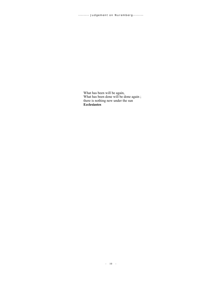What has been will be again, What has been done will be done again ; there is nothing new under the sun **Ecclesiastes**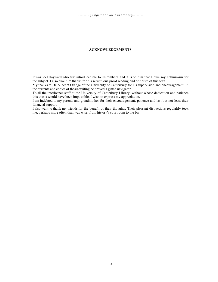#### **ACKNOWLEDGEMENTS**

It was Joel Hayward who first introduced me to Nuremberg and it is to him that I owe my enthusiasm for the subject. I also owe him thanks for his scrupulous proof reading and criticism of this text.

My thanks to Dr. Vincent Orange of the University of Canterbury for his supervision and encouragement. In the currents and eddies of thesis-writing he proved a gifted navigator.

To all the interloanes staff at the University of Canterbury Library, without whose dedication and patience this thesis would have been impossible, I wish to express my appreciation.

I am indebted to my parents and grandmother for their encouragement, patience and last but not least their financial support.

I also want to thank my friends for the benefit of their thoughts. Their pleasant distractions regulalrly took me, perhaps more often than was wise, from history's courtroom to the bar.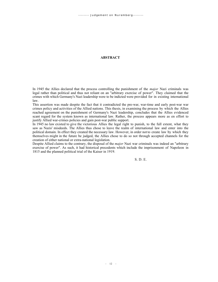#### **ABSTRACT**

In 1945 the Allies declared that the process controlling the punishment of the *major* Nazi criminals was legal rather than political and thus not reliant on an "arbitrary exercise of power". They claimed that the crimes with which Germany's Nazi leadership were to be indicted were provided for in existing international law.

This assertion was made despite the fact that it contradicted the pre-war, war-time and early post-war war crimes policy and activities of the Allied nations. This thesis, in examining the process by which the Allies reached agreement on the punishment of Germany's Nazi leadership, concludes that the Allies evidenced scant regard for the system known as international law. Rather, the process appears more as en effort to justify Allied war-crimes policies and gain post-war public support.

In 1945 no law existed to give the victorious Allies the legal right to punish, to the full extent, what they saw as Nazis' misdeeds. The Allies thus chose to leave the realm of international law and enter into the political domain. In effect they created the necessary law. However, in order not to create law by which they themselves might in the future be judged, the Allies chose to do so not through accepted channels for the creation of either national or extra-national legislation.

Despite Allied claims to the contrary, the disposal of the *major* Nazi war criminals was indeed an "arbitrary exercise of power". As such, it had historical precedents which include the imprisonment of Napoleon in 1815 and the planned political trial of the Kaiser in 1919.

S. D. E.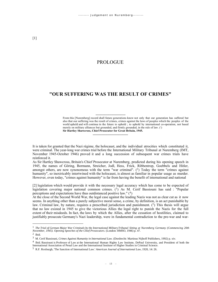## PROLOGUE

# **"OUR SUFFERING WAS THE RESULT OF CRIMES"**

----------------------------

#### From this [Nuremberg] record shall future generations know not only that our generation has suffered but also that our suffering was the result of crimes, crimes against the laws of peoples which the peoples of the world upheld and will continue in the future to uphold ; to uphold by international co-operation, not based merely on military alliances but grounded, and firmly grounded, in the rule of law. (1) **Sir Hartley Shawcross, Chief Prosecutor for Great Britain, 1945.**

It is taken for granted that the Nazi régime, the holocaust, and the individual atrocities which constituted it, were criminal. The year-long war crimes trial before the International Military Tribunal at Nuremberg (IMT, November 1945-October 1946) proved it and a long succession of subsequent war crimes trials have reinforced it.

---------------------------------

As Sir Hartley Shawcross, Britain's Chief Prosecutor at Nuremberg, predicted during his opening speech in 1945, the names of Göring, Bormann, Streicher, Jodl, Hess, Frick, Ribbentrop, Goebbels and Hitler, amongst others, are now synonomous with the term "war criminal". (2) Today the term "crimes against humanity", so inextricably intertwined with the holocaust, is almost as familiar in popular usage as murder. However, even today, "crimes against humanity" is far from having the benefit of international and national

[2] legislation which would provide it with the necessary legal accuracy which has come to be expected of legislation covering major national common crimes.  $(3)$  As M. Cerif Bassiouni has said : "Popular perceptions and expectations have thus outdistanced positive law." (4)

At the close of the Second World War, the legal case against the leading Nazis was not as clear cut as it now seems. In anything other than a purely subjective moral sense, a crime, by definition, is an act punishable by law. Criminal law, by nature, requires a prescribed jurisdiction and punishment. (5) This thesis will argue that no law existed in 1945 to give the victorious Allies the legal right to punish the Nazis for the full extent of their misdeeds. In fact, the laws by which the Allies, after the cessation of hostilities, claimed to justifiably prosecute Germany's Nazi leadership, were in fundamental contradiction to the pre-war and war-

<sup>1</sup> *The Trial of German Major War Criminals by the International Military Tribunal Sitting at Nuremberg Germany (Commencing 20th November, 1945). Opening Speeches of the Chief Prosecutors.* (London: HMSO, 1946) p. 47.

 $<sup>2</sup>$  Ibid.</sup>

<sup>3</sup> M. Cerif Bassiouni, *Crimes Against Humanity in International Law.* (Dordrecht: Martinus Nijhoff Publishers, 1992) p. xiv.

<sup>&</sup>lt;sup>4</sup> Ibid. Bassiouni is Professor of Law at the International Human Rights Law Institute, DePaul University, and President of both the International Association of Penal Law and the International Institute of Higher Studies in Criminal Science.

<sup>5</sup> R.F. Roxburgh, 'The Sanction of International Law.' *American Journal of International Law,* 1920, 14: 26.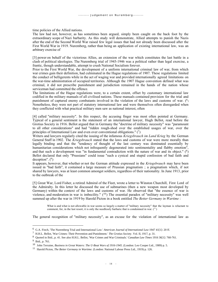time policies of the Allied nations.

The law had not, however, as has sometimes been argued, simply been caught on the back foot by the extraordinary scope of Nazi barbarity. As this study will demonstrate, Allied attempts to punish the Nazis after the end of the Second World War raised few legal issues that had not already been discussed after the First World War in 1919. Nuremberg, rather than being an application of existing international law, was an arbitrary exercise of

[3] power on behalf of the victorious Allies, an extension of the war which constitutes the last battle in a clash of political ideologies. The Nuremberg trial of 1945-1946 was a political rather than legal exercise, a frantic, though understandable, attempt to crush National Socialism forever.

Prior to the First World War, the development of a uniform international criminal law of war, from which war crimes gain their definition, had culminated in the Hague regulations of 1907. These regulations limited the conduct of belligerents while in the act of waging war and provided internationally agreed limitations on the war-time administration of occupied territories. Although the 1907 Hague convention defined what was criminal, it did not prescribe punishment and jurisdiction remained in the hands of the nation whose serviceman had committed the offence.

The limitations of the Hague regulations were, to a certain extent, offset by customary international law codified in the military manuals of all civilised nations. These manuals contained provision for the trial and punishment of captured enemy combatants involved in the violation of the laws and customs of war. (<sup>6</sup>) Nonetheless, they were not part of statutory international law and were themselves often disregarded when they conflicted with what practical military men saw as national interest, often

[4] called "military necessity". In this respect, the accusing finger was most often pointed at Germany. Typical of a general sentiment is the statement of an international lawyer, Hugh Bellot, read before the Grotius Society in 1916. Bellot argued that in Germany the "doctrine of military necessity" was "paramount to all other considerations" and had "ridden rough-shod over the established usages of war, over the principles of International Law and even over conventional obligations."  $(7)$ 

Writers and lawyers regularly cited the issuing of the infamous *Kriegsbrauch im Land Krieg* by the German General Staff in 1902. The *Kriegsbrauch* stated that the laws and customs of war were more morally than legally binding and that the "tendency of thought of the last century was dominated essentially by humanitarian considerations which not infrequently degenerated into sentimentality and flabby emotion", and that such a development was "in fundamental contradiction with the nature of war and its object."  $(^8)$ Bellot declared that only "Prussians" could issue "such a cynical and stupid confession of bad faith and deception".  $(9)$ 

It appears, however, that whether or not the German attitude expressed in the *Kriegsbrauch* may have been issued in "bad faith", it contained a large measure of Prussian pragmatism ; a pragmatism which, if not shared by lawyers, was at least common amongst soldiers, regardless of their nationality. In June 1913, prior to the outbreak of the

[5] Great War, Lord Fisher, a retired Admiral of the Fleet, wrote a letter to Winston Churchill, First Lord of the Admiralty. In this letter he discussed the use of submarines (then a new weapon most developed by Germany) within the context of the laws and customs of war. He observed that "the essence of war is violence, and moderation in war is imbecility."  $(10)$  The essential paradox of "military necessity" was well summed up after the war in 1919 by Harold Picton in a book entitled *The Better Germany in Wartime* :

What is and what is not allowable in war seems so largely a matter of "military necessity" that the layman is reluctant to comment, for, in the last resort, it is only the needlessly barbaric that is condemned in war. (<sup>11</sup>)

The general recognition of "military necessity", as an excuse for the violation of international law as

<sup>6</sup> G.A. Finch, 'The Nuremberg Trial and International Law.' *American Journal of International Law* 1947 41[1]: 20 ff.

<sup>7</sup> H.H.L. Bellot, 'War Crimes: Their Prevention and Punishment.' *The Grotius Society*. Vol. II, 1917, p. 31.

<sup>8</sup> Quoted in Ibid., p. 41. See also H.H.L. Bellot, 'War Crimes and War Criminals.' *Canadian Law Times* 1916 36[1]: 760-761.

<sup>&</sup>lt;sup>9</sup> Ibid., p. 761.

<sup>10</sup> John Terraine, *Business in Great Waters: The U-Boat Wars of 1916-1945*. (London: Leo Cooper Ltd., 1989) p. 5.

<sup>11</sup> Harold Picton, *The Better Germany in Wartime.* (London: National Labour Press Ltd., 1919) p. 126.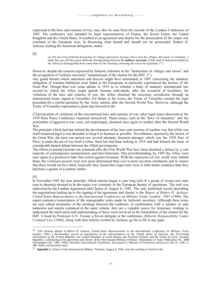expressed in the laws and customs of war, may also be seen from the records of the London Conference of 1945. The conference was attended by legal representatives of France, the Soviet Union, the United Kingdom and the United States. It resulted in an agreement and charter for the prosecution of the major war criminals of the European Axis. In discussing what should and should not be prosecuted, Robert H. Jackson, leading the American delegation, stated :

[6]

we left out of our draft the destruction of villages and towns, because I have seen the villages and towns of Germany. I think that you will have great difficulty distinguishing between the **military necessity** of that kind of destruction [done by the Allies] as distinguished from some done by the Germans, assuming the war to be legitimate.  $(^{12})$ 

However, despite the concern expressed by Jackson, reference to the "destruction of villages and towns" and the recognition of "military necessity" remained part of the charter for the IMT.  $(^{13})$ 

Any grand dreams which statesmen and lawyers might have entertained in 1907 concerning the statutory mitigation of wartime barbarism soon faded as the Europeans in particular experienced the horrors of the Great War. Though there was some debate in 1919 as to whether a body of statutory international law existed by which the Allies might punish German individuals, after the cessation of hostilities, for violations of the laws and customs of war, the Allies obtained the necessary jurisdiction through an international treaty signed at Versailles. For better or for worse, the Treaty of Versailles created the legal precedent for a similar operation by the victor nations after the Second World War. However, although the Treaty of Versailles represented a great step forward in the

[7] prosecution of violations of the conventional laws and customs of war, other legal issues discussed at the 1919 Paris Peace Conference remained unresolved. These issues, such as the "laws of humanity" and the criminality of aggressive war, were, not surprisingly, destined once again to surface after the Second World War.

The principle which had lain behind the development of the laws and customs of warfare was that while war itself remained legal it was desirable to keep it as humane as possible. Nevertheless, spurred by the horror of the Great War, the inter-war period saw several attempts, foremost amongst which was the 1929 Pact of Paris, to make the act of war itself a crime. Such law had been lacking in 1919 and had formed the basis of considerable heated debate between the Allied governments.

The efforts to punish German war criminals after the First World War have been declared a failure by a vast majority of contemporary commentators and later historians. This notwithstanding, by 1945 the Allies were once again in a position to take firm action against Germany. With the experience of two world wars behind them, the victorious powers were now more determined than ever to mete out stern retribution and to ensure that there would not be a third. Ironically they found their legal tools were in little better condition than they had been a quarter of a century earlier.

[8]

In November 1945 the four principle Allied nations began a year long trial of a group of twenty-two men (one in absentia) deemed to be the major war criminals in the European theatre of operations. The trial was authorised by the London Agreement and Charter of August 8, 1945. The only published record describing the negotiations leading up to the signing of the agreement and charter is the *Report of Robert H. Jackson, United States Representative to the International Conference on Military Trials, London, 1945* (1949). The report contains a transcription of the stenographic notes made by Jackson's secretary. Although these notes are only edited summaries of the meetings between the conferees, in combination with a number of aide mémoires and reports contained in the same volume, they are a valuable source for historians wishing to understand the motivation and understanding of those most involved in the formulation of the charter for the IMT. A book by Professor A.N. Trainin, a Soviet delegate at the conference, *Hitlerite Responsibility Under Criminal Law* (1944), along with later articles written by Jackson, go far to fill in any gaps.

<sup>12</sup> R.H. Jackson, *Report of Robert H. Jackson, United States Representative to the International Conference on Military Trials, London, 1945: a documentary record of negotiations of the representatives of the United States of America, the Provisional Government of the French Republic, the United Kingdom of Great Britain and Northern Ireland, and the Union of Soviet Socialist Republics, culminating in the agreement and charter of the International Military Tribunal.* Department of State Publication No. 3080 (Washington DC: GPO, 1949). Hereafter International Conference. Document LI. Minutes of Conference Session of July 25, 1945. p. 380. Italics and brackets mine.

<sup>13</sup> **Appendix 1**, Charter of the International Military Tribunal, August 8, 1945, note the wording of Article 6 (b).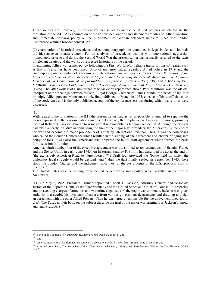These sources are, however, insufficient by themselves to assess the Allied policies which led to the formation of the IMT. An examination of the various declarations and statements relating to Allied war-time and immediate post-war policy on the punishment of German offenders helps to place the London Conference within a broader context. An

[9] examination of historical precedents and contemporary opinions contained in legal books and journals provides an even broader context. For an analysis of precedents dealing with international aggression immediately prior to and during the Second World War the present writer has primarily referred to the texts of relevant treaties and the works of respected historians of the period.

In examining Allied war crimes policy following the First World War, reliable transcriptions of treaties such as that of Versailles have been used. Also of immense value, regarding Allied policy in 1919 and the contemporary understanding of war crimes in international law, are two documents entitled *Violations of the Laws and Customs of War. Reports of Majority and Dissenting Reports of American and Japanese Members of the Commission of Responsibilities. Conference of Paris 1919* (1919) and a book by Paul Mantroux,, *Paris Peace Conference 1919 : Proceedings of the Council of Four (March 24 - April 18)* (1965). The latter work is of a similar nature to Jackson's report cited above. Paul Mantroux was the official interpreter at the meetings between Wilson, Lloyd George, Clemenceau and Orlando, the heads of the four principle Allied powers. Mantroux's book, first published in French in 1955, consists of his unofficial notes of the conference and is the only published account of the conference sessions during which war crimes were discussed.

[10]

With regard to the formation of the IMT the present writer has, as far as possible, attempted to separate the views expressed by the various nations involved. However, the emphasis on American opinions, primarily those of Robert H. Jackson, though to some extent unavoidable, is far from accidental. Although the Soviets had taken an early initiative in demanding the trial of the major Nazi offenders, the Americans by the end of the war had become the major proponents of a trial by international tribunal. Thus, it was the Americans who called the London Conference which resulted in the signing of the agreement and charter bringing into being the IMT. It was also the Americans who prepared the initial draft agreement which formed the basis for discussion in London.

American draft number four of the executive agreement was transmitted to representatives of Britain, France and the Soviet Union in early June 1945. An historian, Bradley F. Smith, has described the act as the end of "the exclusively American Road to Nuremberg".  $(14)$  Draft four provided the "battle field on which the diplomatic-legal struggle would be decided" and "when the dust finally settled in September 1945, there stood the London Charter and the indictment with most of the basic points of the U.S. proposal still in place."  $(^{15})$ 

The United States was the driving force behind Allied war crimes policy which resulted in the trial at Nuremberg.

[11] On May 2, 1945, President Truman appointed Robert H. Jackson, Attorney General and Associate Justice of the Supreme Court, as the "Representative of the United States and Chief of Counsel in preparing and prosecuting charges of atrocities and war crimes against  $(16)$  the major war criminals. Jackson was given authority to assemble his own team of experts from various government departments and draw up and sign an agreement with the other Allied Powers. Thus he was largely responsible for the abovementioned fourth draft. The Tusas in their book on the subject describe the trial of the major war criminals as Jackson's "moral and legal crusade." $(17)$ 

<sup>14</sup> B.F. Smith, *The Road to Nuremberg*. (London: André Deutsch, 1981) p. 246.

 $15$  Ibid.

<sup>16</sup> op. cit., International Conference, Document III. Executive Order by President Truman, May 2, 1945. p. 21.

<sup>17</sup> Ann and John Tusa, *The Nuremberg Trial*. (New York: Atheneum, 1984) p. 69. Introduction: "Hiding In The Thickets Of The Law"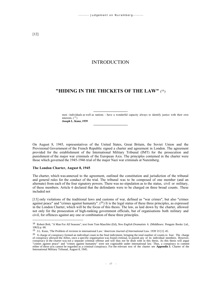# INTRODUCTION

# **"HIDING IN THE THICKETS OF THE LAW" (18)**

------------------------------- men - individuals as well as nations - have a wonderful capacity always to identify justice with their own interests.  $(19)$ **Joseph L. Kunz, 1939**

--------------------------------

On August 8, 1945, representatives of the United States, Great Britain, the Soviet Union and the Provisional Government of the French Republic signed a charter and agreement in London. The agreement provided for the establishment of the International Military Tribunal (IMT) for the prosecution and punishment of the major war criminals of the European Axis. The principles contained in the charter were those which governed the 1945-1946 trial of the major Nazi war criminals at Nuremberg.

#### **The London Charter, August 8, 1945**

The charter, which was annexed to the agreement, outlined the constitution and jurisdiction of the tribunal and general rules for the conduct of the trial. The tribunal was to be composed of one member (and an alternate) from each of the four signatory powers. There was no stipulation as to the status, civil or military, of these members. Article 6 declared that the defendants were to be charged on three broad counts. These included not

[13] only violations of the traditional laws and customs of war, defined as "war crimes", but also "crimes against peace" and "crimes against humanity".  $(2^0)$  It is the legal status of these three principles, as expressed in the London Charter, which will be the focus of this thesis. The law, as laid down by the charter, allowed not only for the prosecution of high-ranking government officials, but of organisations both military and civil, for offences against any one or combination of these three principles.

<sup>18</sup> Robert Bolt, "A Man For All Seasons", text from Tom Maschler (Ed), *New English Dramatists* 6. (Middlesex: Penguin Books Ltd., 1963) p. 60.

<sup>19</sup> J.L. Kunz, 'The Problem of revision in international Law.' *American Journal of International Law*. 1939 33 [1]: 45.

 $20$  A charge of conspiracy formed an individual count in the final indictment, bringing the total number of counts to four. The charge of conspiracy allowed the Allies, once a specific organisation was found criminal, to punish any of its individual members. However, conspiracy in the charter was not a separate criminal offense and will thus not be dealt with in this thesis. As this thesis will argue "crimes against peace" and "crimes against humanity" were not cognizable under international law. Thus, a conspiracy to commit either of these acts cannot be regarded as a criminal conspiracy. For the relevant text of the charter see **Appendix 1**. Charter of the International Military Tribunal, August 8, 1945.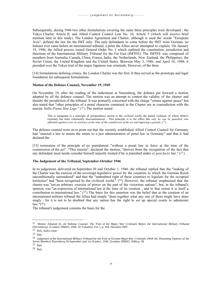Subsequently, during 1946 two other formulations covering the same three principles were developed : the Tokyo Charter, Article II, and Allied Control Council Law No. 10, Article 5 (which will receive brief mention later in this study). The London Agreement and Charter, although it used the words "European Axis", defined the law for the IMT only. The only defendants to come before the IMT were German, no Italians ever came before an international tribunal, a point the Allies never attempted to explain. On January 19, 1946, the Allied powers issued General Order No. 1 which outlined the constitution, jurisdiction and functions of the International Military Tribunal for the Far East (IMTFE). The IMTFE was composed of members from Australia, Canada, China, France, India, the Netherlands, New Zealand, the Philippines, the Soviet Union, the United Kingdom and the United States. Between May 3, 1946, and April 16, 1948, it presided over the Tokyo trial of the major Japanese war criminals. However, of the three

[14] formulations defining crimes, the London Charter was the first. It thus served as the prototype and legal foundation for subsequent formulations.

#### **Motion of the Defence Counsel, November 19, 1945**

On November 19, after the reading of the indictment at Nuremberg, the defence put forward a motion adopted by all the defence counsel. The motion was an attempt to contest the validity of the charter and thereby the jurisdiction of the tribunal. It was primarily concerned with the charge "crimes against peace" but also stated that "other principles of a penal character contained in the Charter are in contradiction with the maxim *Nulla Poena Sine Lege*." (<sup>21</sup>) The motion stated :

This is repugnant to a principle of jurisprudence sacred to the civilized world, the partial violation of which Hitler's Germany has been vehemently discountenanced.... This principle is to the effect that *only he can be punished who offended against a law in existence at the time of the commission of the act and imposing a penalty.*  $(^{22})$ 

The defence counsel went on to point out that the recently established Allied Control Council for Germany had "enacted a law to assure the return to a just administration of penal law in Germany" and that it had declared the

[15] restoration of the principle of no punishment "without a penal law in force at the time of the commission of the act". "This maxim", declared the motion, "derives from the recognition of the fact that any defendant must needs consider himself unjustly treated if he is punished under *ex post facto* law." (<sup>23</sup> )

#### **The Judgement of the Tribunal, September-October 1946**

In its judgement, delivered on September 30 and October 1, 1946, the tribunal replied that the "making of the Charter was the exercise of the sovereign legislative power by the countries to which the German Reich unconditionally surrendered" and that the "undoubted right of these countries to legislate for the occupied territories" had "been recognised by the civilized world."  $(24)$  However, the tribunal emphasised that the charter was "not an arbitrary exercise of power on the part of the victorious nations", but, in the tribunal's opinion, was "an expression of international law at the time of its creation ; and to that extent it is itself a contribution to international law."  $(2^5)$  The basis for this assertion was the belief that in the creation of an international military tribunal the Allies had simply "done together what any one of them might have done singly ; for it is not to be doubted that any nation has the right to set up special courts to administer  $law.$ " $(^{26})$ 

The tribunal's judgement contains the basis for the

<sup>21</sup> Motion Adopted by all Defense Counsel. *The Trial of the Major War Criminals Before the International Military Tribunal (Nuremberg)*. (London: HMSO, 1946. 42 Volumes) Vol. I, p. 169. Hereafter IMT.

<sup>22</sup> Ibid., Italics mine.

<sup>23</sup> Ibid.

<sup>24</sup> *Judgement of the International Military Tribunal for the Trial of German Major War Criminals (With the Dissenting Opinion of the Soviet Member) Nuremberg 30 September and 1st October, 1946*. (London: HMSO, 1946) p. 38.

<sup>25</sup> Ibid.

<sup>26</sup> Ibid.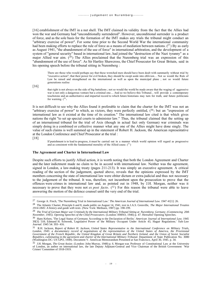[16] establishment of the IMT in a nut shell. The IMT claimed its validity from the fact that the Allies had won the war and Germany had "unconditionally surrendered". However, unconditional surrender is a product of force, and as the sole basis for the formation of the IMT makes any trials the tribunal might conduct an "arbitrary exercise of power". For some time prior to the Second World War the international community had been making efforts to replace the rule of force as a means of mediation between nations.  $(^{27})$  By as early as August 1941, "the abandonment of the use of force" in international arbitration, and the development of a system of "general security" based in international law, had joined the "destruction of the Nazi tyranny" as a major Allied war aim.  $(^{28})$  The Allies proclaimed that the Nuremberg trial was an expression of this "abandonment of the use of force". As Sir Hartley Shawcross, the Chief Prosecutor for Great Britain, said in his opening speech before the tribunal sitting in Nuremberg :

There are those who would perhaps say that these wretched men should have been dealt with summarily without trial by "executive action"; that their power for evil broken, they should be swept aside into oblivion.... Not so would the Rule of Law be raised and strengthened on the international as well as upon the municipal plane ; not so would future generations realise

[16]

that right is not always on the side of big battalions ; not so would the world be made aware that the waging of aggressive war is not only a dangerous venture but a criminal one.... And so we believe this Tribunal... will provide a contemporary touchstone and an authoritative and impartial record to which future historians may turn for truth, and future politicians for warning.  $(^{29})$ 

It is not difficult to see why the Allies found it preferable to claim that the charter for the IMT was not an "arbitrary exercise of power" to which, as victors, they were perfectly entitled,  $(30)$  but an "expression of international law as it existed at the time of its creation." The international law cited is that which gives nations the right "to set up special courts to administer law." Thus, the tribunal claimed that the setting up of an international tribunal for the trial of Axis (though in actual fact only German) war criminals was simply doing in a combined or collective manner what any one of the Allies might have done singly. The value of such claims is well summed up in the statement of Robert H. Jackson, the American representative at the London Conference and Chief Prosecutor at the trial :

[18]

If punishment is to lead to progress, it must be carried out in a manner which world opinion will regard as progressive and as consistent with the fundamental morality of the Allied cause.  $(31)$ 

#### **The Agreement and Charter in International Law**

Despite such efforts to justify Allied action, it is worth noting that both the London Agreement and Charter and the later indictment made no claim to be in accord with international law. Neither was the agreement, signed in London, a law-making treaty (pages 211-213). It was simply an executive agreement. A critical reading of the section of the judgement, quoted above, reveals that the opinions expressed by the IMT members concerning the state of international law were obiter dictum or extra-judicial and thus not necessary to the judgement of the tribunal. It was, therefore, not incumbent upon the prosecution to prove that the offences were crimes in international law and, as pointed out in 1948, by J.H. Morgan, neither was it necessary to prove that they were not *ex post facto*.  $(3^2)$  For this reason the tribunal were able to leave answering the motion of the defence counsel until the very end of the trial.

<sup>27</sup> George A. Finch, 'The Nuremberg Trial in International Law.' *The American Journal of International Law*. 1947 41[1]: 26.

<sup>28</sup> The Atlantic Charter, Principle 6 and 8, made public on August 14, 1941, text in J.A.S. Grenville, *The Major International Treaties 1914-1845: A history and guide with texts*. (New York: Methuen, 1987) pp. 198-199.

<sup>29</sup> *The Trial of German Major war Criminals by the International Military Tribunal Sitting at Nuremberg Germany (Commencing 20th November, 1945). Opening Speeches of the Chief Prosecutors.* (London: HMSO, 1946) p. 47. Hereafter Opening Speeches.

<sup>30</sup> Hans Kelsen, 'The Legal Status of Germany According to the Declaration of Berlin.' *American Journal of International Law.* 1945 39[3]: 518; Edmund H. Schwenk, 'Legislative Power of the Military Occupant Under Article 43, Hague Regulations.' *Yale Law Journal*. 1945 54: 393- 416.

<sup>31</sup> R.H. Jackson, *Report of Robert H. Jackson, United States Representative to the International Conference on Military Trials, London, 1945: a documentary record of negotiations of the representatives of the United States of America, the Provisional Government of the French Republic, the United Kingdom of Great Britain and Northern Ireland, and the Union of Soviet Socialist Republics, culminating in the agreement and charter of the International Military Tribunal.* Department of State Publication No. 3080 (Washington DC: US GPO, 1949). Document V. American Memorandum Presented at San Francisco, April 30, 1945. p. 34.

<sup>32</sup> J.H. Morgan, *The Great Assize*. (London: John Murray, 1948) p. 6. Morgan was Professor of Constitutional Law at the University of London, an author on international law, the late Deputy Adjutant-General and Vice Chairman of the British Government 'War Crimes' Committee of 1918-1919.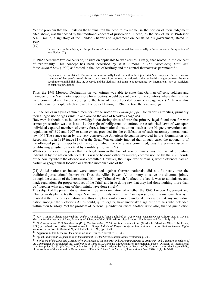Yet the problem that the jurists on the tribunal felt the need to overcome, in the portion of their judgement cited above, was that posed by the traditional concept of jurisdiction. Indeed, as the Soviet jurist, Professor A.N. Trainin, a signatory of the London Charter and Agreement on behalf of his government, stated in 1945 :

[19]

In literature on the subject, all the problems of international criminal law are usually reduced to one - the question of jurisdiction.  $(^{33})$ 

In 1945 there were two concepts of jurisdiction applicable to war crimes. Firstly, that rooted in the concept of territoriality. This concept has been described by W.B. Simons in *The Nuremberg Trial and International Law* (1990) as "rooted in the idea of territory and the control thereover as paramount" :

So, where acts complained of as war crimes are actually localized within the injured state's territory and the victims are members of that state's armed forces - or at least from among its nationals - the territorial triangle between the state seeking to establish liability, the accused, and the victim(s) had come to be recognised by international law as sufficient to establish jurisdiction.  $(34)$ 

Thus, the 1943 Moscow Declaration on war crimes was able to state that German officers, soldiers and members of the Nazi Party responsible for atrocities, would be sent back to the countries where their crimes were committed and tried according to the laws of those liberated countries (page 47).  $(^{35})$  It was this jurisdictional principle which allowed the Soviet Union, in 1943, to take the lead amongst

[20] the Allies in trying captured members of the notorious *Einsatzgruppen* for various atrocities, primarily their alleged use of "gas vans" in and around the area of Kharkov (page 48).

However, it should also be acknowledged that during times of war the primary legal foundation for war crimes prosecution was, as it still is, the right of belligerents to enforce the established laws of war upon individual captured members of enemy forces. International institutions such as the Hague conventions and regulations of 1899 and 1907 to some extent provided for the codification of such customary international law.  $(36)$  The stance taken by the very conservative American delegation involved in the Commission on Responsibility in 1919 (page 81) after the Great War certainly implied that in such cases the nationality of the offended party, irrespective of the soil on which the crime was committed, was the primary issue in establishing jurisdiction for trial by a military tribunal.  $(37)$ 

Whatever the case, it appears that the legal norm in the trial of war criminals was the trial of offending individual by the nation offended. This was to be done either by military commission or by the civil courts of the country where the offence was committed. However, the major war criminals, whose offences had no particular geographical location or affected more than one of the

[21] Allied nations or indeed were committed against German nationals, did not fit neatly into the traditional jurisdictional framework. Thus, the Allied Powers felt at liberty to solve the dilemma jointly through the creation of the International Military Tribunal which "defined the law it was to administer, and made regulations for proper conduct of the Trial" and in so doing saw that they had done nothing more than do "together what any one of them might have done singly".

The subject of the present dissertation will be an examination of whether the 1945 London Agreement and Charter, in its plan to try the major Nazi war criminals, was in fact "an expression of international law as it existed at the time of its creation" and thus simply a joint attempt to undertake measures that any individual nation amongst the victorious Allies could, quite legally, have undertaken against criminals who offended within their territory. Yet the problem of personal jurisdiction raises another issue also, that of jurisdiction

<sup>&</sup>lt;sup>33</sup> A.N. Trainin *Hitlerite Responsibility Under Criminal Law*. (First published as *Ugolovnaya Otvetstvennost Gilterovtzev*. in 1944 in<br>Moscow for the Institute of Law, Academy of Sciences of the USSR, edition cited Lond

<sup>34</sup> G. Ginsburgs and V.N. Kudriavtsev (Ed.), *The Nuremberg Trial and International Law*. (Dordrecht: Martinus Nijhoff Publishers, 1990) pp. 43-44. For further discussion see L.S. Sunga *Individual Responsibility in International Law for Serious Human Rights Violations*. (Dordrecht: Martinus Nijhoff Publishers, 1992) pp. 19-20.

<sup>35</sup> **Appendix 4.** The Moscow Declaration on War Crimes, November 1, 1943.

<sup>36</sup> op. cit., *Individual Responsibility in International Law for Serious Human Rights Violations*, p. 20-21.

<sup>37</sup> *Violations of the Laws and Customs of War. Reports of the Majority and Dissenting Reports of American and Japanese Members of the Commission of Responsibilities. Conference of Paris 1919*. Carnegie Endowment for International Peace, Division of International Law, Pamphlet No. 32. (Oxford: Clarendon Press 1919) p. 70-71. Also to be found as 'Report of the Commission on the Responsibility of the Authors of the war and on Enforcement of Penalties.' *American Journal of International Law.* 1920 14 [1]: 140-142.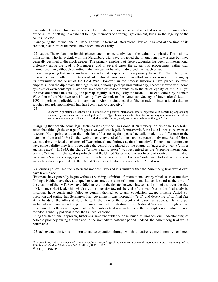over subject matter. This issue was raised by the defence counsel when it attacked not only the jurisdiction of the Allies in setting up a tribunal to judge members of a foreign government, but also the legality of the counts indicted.

In analysing the International Military Tribunal in terms of international law as it existed at the time of its creation, historians of the period have been unnecessarily

[22] vague. The explanation for this phenomenon most certainly lies in the realm of emphasis. The majority of historians who have dealt with the Nuremberg trial have broached the international law issues but have generally declined to dig much deeper. The primary emphasis of these academics has been on international diplomacy along the road to Nuremberg (and in several cases the actual trial proceedings) rather than international law, although admittedly the two cannot be wholly divorced from each other.

It is not surprising that historians have chosen to make diplomacy their primary focus. The Nuremberg trial represents a mammoth effort in terms of international co-operation, an effort made even more intriguing by its proximity to the onset of the Cold War. However, in the process historians have placed so much emphasis upon the diplomacy that legality has, although perhaps unintentionally, become viewed with some cynicism or even contempt. Historians have often expressed doubts as to the strict legality of the IMT, yet the ends are almost universally, and perhaps rightly, seen to justify the means. A recent address by Kenneth W. Abbot of the Northwestern University Law School, to the American Society of International Law in 1992, is perhaps applicable to this approach. Abbot maintained that "the attitude of international relations scholars towards international law has been... actively negative" : [23]

as shown in quotations like these : "[T] he tradition of positive international law is regarded with something approaching contempt by students of international politics"; or... "[p] olitical scientists... tend to dismiss any emphasis on the role of institutions as a vestige of the discredited ideas of the formal, legal, institutional school of thought."  $(38)$ 

In arguing that despite some legal technicalities "justice" was done at Nuremberg, an historian, Leo Kahn, states that although the charge of "aggressive war" was legally "controversial", the issue is not as relevant as it seems. Kahn points out that the inclusion of "crimes against peace" actually made little difference to the outcome of the trial."  $(39)$  Of the twelve men convicted of "crimes against peace", only one, Rudolf Hess, was not also convicted on charges of "war crimes" and "crimes against humanity". Though such arguments have some validity they fail to recognise the central role played by the charge of "aggressive war" ("crimes against peace"). In 1945, the charge "crimes against peace" was recognised as the "supreme international crime". Without this charge it is probable that the United States would never have participated in the trial of Germany's Nazi leadership, a point made clearly by Jackson at the London Conference. Indeed, as the present writer has already pointed out, the United States was the driving force behind Allied war

[24] crimes policy. Had the Americans not been involved it is unlikely that the Nuremberg trial would ever have taken place.

Historians have generally begun without a working definition of international law by which to measure their findings. Neither have they attempted to reconstruct the state of international law as it stood at the time of the creation of the IMT. Few have failed to refer to the debate, between lawyers and politicians, over the fate of Germany's Nazi leadership which grew in intensity toward the end of the war. Yet in the final analysis, historians have consistently failed to commit themselves to any conclusion except praising Allied cooperation and stating that Germany's Nazi government was thoroughly "evil" and deserving of its final fate at the hands of the Allies at Nuremberg. In the view of the present writer, such an approach fails to put sufficient emphasis upon the political importance of the destruction of National Socialism through a trial procedure. This thesis will argue that the Nuremberg trial was, in terms of the principles upon which it was founded, a wholly political rather than a legal exercise.

Using the traditional approach, historians have undoubtably done much to broaden our understanding of Allied diplomacy during the war and in the immediate post-war period. Indeed, the Nuremberg trial was a remarkable

[25] achievement in terms of international co-operation, through which an entire régime is now remembered

<sup>38</sup> Kenneth W. Abbot, 'Elements of a Joint Discipline.' Proceedings of the American Society of International Law. *Proceedings of the 86th Annual Meeting*. Washington D.C. April 1-4, 1992. p. 167

<sup>39</sup> Ibid., pp. 154-155.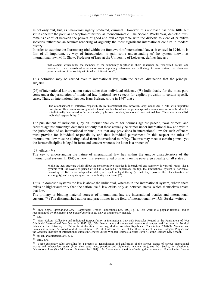as not only evil, but, as Shawcross rightly predicted, criminal. However, this approach has done little but set in concrete the popular conception of history as monochromatic. The Second World War, depicted thus, remains a conflict between the powers of good and evil comparable with the didactic folklore of primitive societies, rather than an accurate rendering of arguably the most significant international conflict in modern history.

In order to examine the Nuremberg trial within the framework of international law as it existed in 1946, it is first of all important, by way of introduction, to gain some understanding of the system known as international law. M.N. Shaw, Professor of Law at the University of Leicester, defines law as :

that element which binds the members of the community together in their adherence to recognised values and standards.... Law consists of a series of rules regulating behaviour, and reflecting, to some extent, the ideas and preoccupations of the society within which it functions.  $(40)$ 

This definition may be carried over to international law, with the critical distinction that the principal subjects

[26] of international law are nation-states rather than individual citizens.  $(41)$  Individuals, for the most part, come under the jurisdiction of municipal law (national law) except for explicit provision in certain specific cases. Thus, an international lawyer, Hans Kelsen, wrote in 1947 that :

> The establishment of collective responsibility by international law, however, only establishes a rule with important exceptions. There are norms of general international law by which the person against whom a sanction is to be directed is individually determined as the person who, by his own conduct, has violated international law. These norms establish individual responsibility.  $(^{42})$

The punishment of individuals, by an international court, for "crimes against peace", "war crimes" and "crimes against humanity" demands not only that these actually be crimes under international law and within the jurisdiction of an international tribunal, but that any provisions in international law for such offences must provide for individual responsibility and thus individual punishment. In this respect the rules of international law must be distinguished from international morality. The two may meet at certain points, yet the former discipline is legal in form and content whereas the latter is a branch of

#### [27] ethics.  $(^{43})$

The key to understanding the nature of international law lies within the unique characteristics of the international system. In 1945, as now, this system relied primarily on the sovereign equality of all states :

While the legal structure within all but the most primitive societies is hierarchical and authority is vertical, rather like a pyramid with the sovereign person or unit in a position of supremacy on top, the international system is horizontal consisting of 160 or so independent states, all equal in legal theory (in that they possess the characteristics of sovereignty) and recognising no one in authority over them.  $(44)$ 

Thus, in domestic systems the law is above the individual, whereas in the international system, where there exists no higher authority than the nation itself, law exists only as between states, which themselves create that law.

The primary or binding material sources of international law are international treaties and international custom.  $(^{45})$  The distinguished author and practitioner in the field of international law, J.G. Strake, writes :

<sup>40</sup> M.N. Shaw, *International Law*. (Cambridge: Grotius Publications Ltd., 1991) p. 1. This work is a popular textbook and is recommended by *The British Year Book of International Law*. as a university manual.

 $41$  Ibid.

 $42$  Hans Kelsen, 'Collective and Individual Responsibility in International Law with Particular Regard to the Punishment of War Criminals.' *International Law Quarterly*. 1947 1[2]: 534. Kelsen was a distinguished international lawyer and Lecturer in Political Science at the University of California at the time of writing; drafted Austrian Republican Constitution, 1920-30; Member and Permanent Reporter, Austrian Court of Constitution, 1920-30; Professor of Law at the Universities of Vienna, Cologne, Prague, and the Graduate Institute of International studies in Geneva; Oliver Wendell Holmes Lecturer 1940-41 at the Harvard Law School.

<sup>43</sup> op. cit., *International Law*. p. 2.

<sup>44</sup> Ibid., p. 6.

<sup>45</sup> These customary rules crystallise by a process of generalisation and unification of the various usages of various international organs and independent states (from their state laws, practices and diplomatic relations etc.), see J.G. Strake, *Introduction to International Law*. (9th Ed. London: Butterworths, 1984) p. 34. Strake was at the time of writing the professor of Humanitarian Law at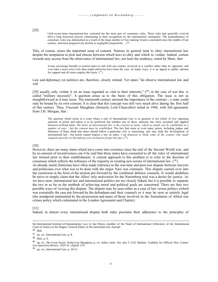[28]

Until recent times international law consisted for the most part of customary rules. These rules had generally evolved after a long historical process culminating in their recognition by the international community. The preponderance of customary rules was diminished as a result of the large number of 'law making' treaties concluded since the middle of last century, and must progressively decline to negligible proportions.... (46)

This, of course, raises the important issue of consent. Nations in general tend to obey international law despite the temptation to pick and choose between which laws to obey and which to violate. Indeed, certain rewards may accrue from the observance of international law, not least the tendency, noted by Shaw, that :

It may encourage friendly or neutral states to side with one country involved in a conflict rather than its opponent, and even take a more active role than might otherwise have been the case. In many ways, it is an appeal to public opinion for support and all states employ this tactic.  $(47)$ 

Law and diplomacy (or politics) are, therefore, closely related. Yet states "do observe international law and will

[29] usually only violate it on an issue regarded as vital to their interests,"  $(^{48})$  in the case of war this is called "military necessity". A question arises as to the basis of this obligation. The issue is not as straightforward as it may seem. The nineteenth century stressed the importance of the contract ; a state could only be bound by its own consent. It is clear that this concept was still very much alive during the first half of this century. Thus, Viscount Maugham (formerly Lord Chancellor) noted in 1948, with full agreement from J.H. Morgan, that :

The question which arises in a court where a rule of International Law is in question is not which of two opposing opinions of jurists and others is to be preferred, but whether one of these opinions has been accepted and applied between civilised states. *The basis of international law is the consent of states, which no doubt can be established in a number of ways ; but the consent must be established*. The fact that some or even many jurists, including judges and Ministers of State, think that states should follow a particular rule is interesting, and may help the development of international law ; but jurists cannot impose a law on states. *I am disposed to think some of the counsel who made eloquent speeches at Nuremberg were inclined to forget this fact*. (<sup>49</sup> )

[30]

However, there are many states which have come into existence since the end of the Second World war, and by no amount of inventiveness can it be said that these states have consented to all the rules of international law formed prior to their establishment. A current approach to this problem is to refer to the doctrine of consensus which reflects the influence of the majority in creating new norms of international law.  $(50)$ As already noted, historians have often made reference to the war-time and post-war dispute between lawyers and politicians over what was to be done with the major Nazi war criminals. This dispute carried over into the courtroom in the form of the motion put forward by the combined defence counsels. It would doubtless be naive to simply claim that the Allies' only motivation for the Nuremberg trial was a desire for justice. As we have seen, international law and international politics are too closely linked, but it is possible to separate the two in as far as the methods of achieving moral and political goals are concerned. There are thus two possible ways of viewing this dispute. The dispute may be seen either as a case of law versus politics (which was essentially the case put forward by the defendants and their counsel) or it may be seen as entirely legal (the standpoint maintained by the prosecution and many of those involved in the formulation of Allied war crimes policy which culminated in the London Agreement and Charter).

[31]

Indeed, in almost every international dispute both sides proclaim their adherence to the principles of

<sup>46</sup> Ibid.

the International Institute of Humanitarian Law in San Remo; member of the Panel of International Arbitrators of the International Court of Justice at the Hague; General Editor of the *Australian Law Journal*.

<sup>47</sup> op. cit., *International Law*. p. 8.

<sup>48</sup> Ibid., p. 9.

<sup>49</sup> op. cit., *The Great Assize*. Preface by Maugham, p. vii. Italics mine. See also C.A.H. Bartlett, 'Liability for Official War Crimes.' *Law Quarterly Review*. 1919 35 [April]: 179.

<sup>50</sup> op. cit., *International Law*. p. 10-11.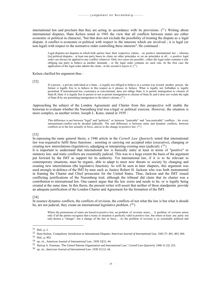international law and proclaim that they are acting in accordance with its provisions.  $(51)$  Writing about international disputes, Hans Kelsen noted in 1943 the view that all conflicts between states are either economic or political in character, "but that does not exclude the possibility of treating the dispute as a legal dispute. A conflict is economic or political with respect to the interests which are involved ; it is legal (or non-legal) with respect to the normative order controlling these interests". He continued :

Legal disputes are disputes in which both parties base their respective claims... on positive international law ; whereas [in] political disputes... at least one party bases its claim on other principles or on no principles at all... a positive legal order can always be applied to any conflict whatever. Only two cases are possible ; either the legal order contains a rule obliging one party to behave as another demands ; or the legal order contains no such rule. In the first case the application of the legal order admits the claim; in the second it rejects it.  $(52)$ 

Kelsen clarified his argument thus :

[32]

If a person - a private individual or a State - is legally not obliged to behave in a certain way toward another person, the former is legally free to to behave in this respect as it pleases to behave. What is legally not forbidden is legally permitted. If international law, customary or conventional, does not oblige State A to permit immigration to citizens of State B, State A is legally free to permit or not to permit immigration to citizens of State B, and it does not violate the right of State B by not permitting immigration to the latter's citizens.  $(^{53})$ 

Approaching the subject of the London Agreement and Charter from this perspective will enable the historian to evaluate whether the Nuremberg trial was a legal or political exercise. However, the situation is more complex, as another writer, Joseph L. Kunz, stated in 1939 :

This difference is not between "legal" and "political," or between "justicable" and "non-justicable" conflicts ; for every international conflict can be decided judicially. The real difference is between static and dynamic conflicts, between conflicts as to the law actually in force, and as to the change in positive law.  $(^{54})$ 

#### [33]

In espousing the same general thesis, a 1946 article in the *Cornell Law Quarterly* noted that international law was required to fulfil three functions : assisting or carrying out accepted rules (executive), changing or creating new interrelations (legislative), adjudging or interpreting existing ones (judicial).  $(55)$ 

It is important to understand that international law is basically static at least in terms of "positive" or statutory law, and static conflicts are essentially judicial. This was to a large extent the basis of the argument put forward by the IMT as support for its authority. Yet international law, if it is to be relevant to contemporary situations, must be organic, able to adapt to meet new threats to society by changing and creating new interrelations (the legislative function). As will be seen in later chapters, this argument was used strongly in defence of the IMT by men such as Justice Robert H. Jackson who was both instrumental in framing the Charter and Chief prosecutor for the United States. Thus, Jackson and the IMT issued conflicting justifications of the Nuremberg trial, although the tribunal did claim that its charter was a contribution to international law. One cannot argue that the law exists and needs to be, or is legally being created at the same time. In this thesis, the present writer will assert that neither of these standpoints provide an adequate justification of the London Charter and Agreement for the formation of the IMT.

#### [34]

In essence dynamic conflicts, the conflicts of revision, the conflicts of not what the law is but what it should be, are not judicial, they create an international legislative problem.  $(56)$ 

Where the pretensions of states are based in positive law, no problem of revision arises.... A problem of revision arises only if all the parties recognise that a treaty or situation is perfectly valid in positive law, but where at least one party not only desires a "change", but a change of the law in force.... As the problem of revision is so essentially political and

<sup>51</sup> Ibid., p. 2.

<sup>52</sup> Hans Kelsen, 'Compulsory Jurisdiction in International Disputes.'*American Journal of International Law*. 1943 37: 401, 403, 404.

<sup>53</sup> Ibid., p. 402.

<sup>54</sup> op. cit., American Journal of International Law. 1939 33[1]: 44.

<sup>55</sup> Harrop A. Freeman, 'The United Nations Organisation and International Law.' *Cornell Law Quarterly*. 1946 31 [3]: 253.

<sup>56</sup> op. cit., *American Journal of International Law*. 1939 33 [1]: 44.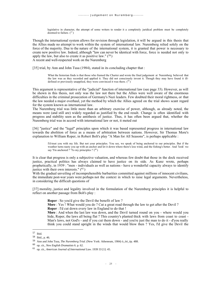legislative in character, the attempt of some writers to render it a completely juridical problem must be completely doomed to failure.  $(^{57})$ 

Though the international system allows for revision through legislation, it will be argued in this thesis that the Allies made no attempt to work within the system of international law. Nuremberg relied solely on the force of the majority. Due to the nature of the international system, it is granted that power is necessary to create new positive law. Indeed, although "law can never be identical with force, force is needed not only to apply the law, but also to create it as positive law."  $(58)$ A recent and well-respected work on the Nuremberg

[35] trial, by Ann and John Tusa (1984), stated in its concluding chapter that :

What the historian finds is that those who framed the Charter and wrote the final judgement at Nuremberg believed that the law was as they recorded and applied it. They did not consciously invent it. Though they may have found it illdefined or previously unapplied, they were convinced it was there.  $(59)$ 

This argument is representative of the "judicial" function of international law (see page 33). However, as will be shown in this thesis, not only was the law not there but the Allies were well aware of the enormous difficulties in the criminal prosecution of Germany's Nazi leaders. Few doubted their moral rightness, or that the law needed a major overhaul, yet the method by which the Allies agreed on the trial shows scant regard for the system known as international law.

The Nuremberg trial was little more than an arbitrary exercise of power, although, as already noted, the means were (and still are) widely regarded as justified by the end result. Change is often identified with progress and stability seen as the antithesis of justice. Thus, it has often been argued that, whether the Nuremberg trial was in accord with international law or not, it meted out

[36] "justice" and the "legal" principles upon which it was based represented progress in international law towards the abolition of force as a means of arbitration between nations. However, Sir Thomas More's explanation to William Roper, in Robert Bolt's play "A Man for All Seasons", is perhaps applicable :

I'd trust you with my life. But not your principles. You see, we speak of being anchored to our principles. But if the weather turns nasty you up with an anchor and let it down where there's less wind, and the fishing's better. And 'look' we say 'I'm anchored !' 'To my principles !' (60)

It is clear that progress is only a subjective valuation, and whereas few doubt that those in the dock received justice, practical politics has always claimed to have justice on its side. As Kunz wrote, perhaps prophetically, in 1939 : "men - individuals as well as nations - have a wonderful capacity always to identify justice with their own interests."  $(61)$ 

With the gradual unveiling of incomprehensible barbarities committed against millions of innocent civilians, the immediate post-war years were perhaps not the context in which to raise legal arguments. Nevertheless, in considering the difficult questions of

[37] morality, justice and legality involved in the formulation of the Nuremberg principles it is helpful to reflect on another passage from Bolt's play :

**Roper** : So you'd give the Devil the benefit of law ?

**More** : Yes ! What would you do ? Cut a great road through the law to get after the Devil ? **Roper** : I'd cut down every law in England to do that !

**More** : And when the last law was down, and the Devil turned round on you - where would you hide, Roper, the laws all being flat ? This country's planted thick with laws from coast to coast -Man's laws, not God's - and if you cut them down - and you're just the man to do it - d'you really think you could stand upright in the winds that would blow then ? Yes, I'd give the Devil the

<sup>57</sup> Ibid.

<sup>58</sup> Ibid., p. 46.

<sup>59</sup> Ann and John Tusa, *The Nuremberg Trial*. (New York: Atheneum, 1984) ò\_òó\_óp. 488.

<sup>60</sup> op. cit., *New English Dramatists* 6. p. 62.

<sup>61</sup> op. cit., *American Journal of International Law*. 1939 33 [1]: 45.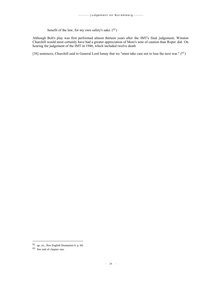benefit of the law, for my own safety's sake.  $(62)$ 

Although Bolt's play was first performed almost thirteen years after the IMT's final judgement, Winston Churchill would most certainly have had a greater appreciation of More's note of caution than Roper did. On hearing the judgement of the IMT in 1946, which included twelve death

[38] sentences, Churchill said to General Lord Ismay that we "must take care not to lose the next war." (63)

<sup>62</sup> op. cit., *New English Dramatists* 6. p. 60.

<sup>63</sup> See end of chapter one.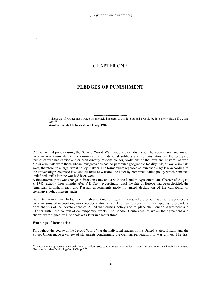# CHAPTER ONE

# **PLEDGES OF PUNISHMENT**

------------------------------- It shows that if you get into a war, it is supremely important to win it. You and I would be in a pretty pickle if we had lost.  $(^{64})$ 

**Winston Churchill to General Lord Ismay, 1946.**

Official Allied policy during the Second World War made a clear distinction between minor and major German war criminals. Minor criminals were individual soldiers and administrators in the occupied territories who had carried out, or been directly responsible for, violations of the laws and customs of war. Major criminals were those whose transgressions had no particular geographic locality. Major war criminals were, therefore, to a large extent policy-makers. The former were regarded as punishable by law according to the universally recognised laws and customs of warfare, the latter by combined Allied policy which remained undefined until after the war had been won.

-------------------------------

A fundamental post-war change in direction came about with the London Agreement and Charter of August 8, 1945, exactly three months after V-E Day. Accordingly, until the fate of Europe had been decided, the American, British, French and Russian governments made no united declaration of the culpability of Germany's policy-makers under

[40] international law. In fact the British and American governments, whose people had not experienced a German army of occupation, made no declaration at all. The main purpose of this chapter is to provide a brief analysis of the development of Allied war crimes policy and to place the London Agreement and Charter within the context of contemporary events. The London Conference, at which the agreement and charter were signed, will be dealt with later in chapter three.

#### **Warnings of Retribution**

Throughout the course of the Second World War the individual leaders of the United States, Britain and the Soviet Union made a variety of statements condemning the German perpetrators of war crimes. The first

<sup>64</sup> *The Memoirs of General the Lord Ismay.* (London 1960) p. 157 quoted in M. Gilbert, *Never Despair: Winston Churchill 1945-1965*. (Toronto: Stoddart Publishing Co., 1988) p. 285.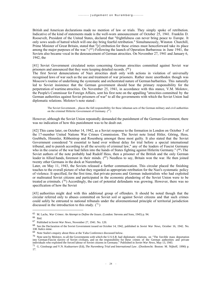British and American declarations made no mention of law or trials. They simply spoke of retribution. Indicative of the kind of statements made is the well-worn announcement of October 25, 1941. Franklin D. Roosevelt, President of the United States, declared that "frightfulness can never bring peace to Europe. It only sows seeds of hatred which will one day bring fearful retribution." Simultaneously, Winston Churchill, Prime Minister of Great Britain, stated that "[r] etribution for these crimes must henceforward take its place among the major purposes of the war."  $(65)$  Following the launch of Operation Barbarossa in June 1941, the Soviets also became vocal in the denouncement of German atrocities. On November 27, 1941 and January 6, 1942, the

[41] Soviet Government circulated notes concerning German atrocities committed against Soviet war prisoners and announced that they were keeping detailed records. (<sup>66</sup> )

The first Soviet denunciations of Nazi atrocities dealt only with actions in violation of universally recognised laws of war such as the use and treatment of war prisoners. Rather more unorthodox though was Moscow's routine of underlining the systematic and orchestrated nature of German barbarities. This naturally led to Soviet insistence that the German government should bear the primary responsibility for the perpetration of wartime atrocities. On November 25, 1941, in accordance with this stance, V.M. Molotov, the People's Commissar for Foreign Affairs, sent his first note on the appalling "atrocities committed by the German authorities against Soviet prisoners of war" to all the governments with which the Soviet Union had diplomatic relations. Molotov's note stated :

The Soviet Government... places the full responsibility for these inhuman acts of the German military and civil authorities on the criminal Hitlerite Government of Germany.  $(67)$ 

However, although the Soviet Union repeatedly demanded the punishment of the German Government, there was no indication of how this punishment was to be dealt out.

[42] This came later, on October 14, 1942, as a Soviet response to the formation in London on October 3 of the 17-member United Nations War Crimes Commission. The Soviet note listed Hitler, Göring, Hess, Goebbels, Himmler, Ribbentrop and Rosenberg amongst those most guilty. It also stated that the Soviet Government considered "it essential to hand over without delay for trial before a special international tribunal, and to punish according to all the severity of criminal law," any of the leaders of Fascist Germany who in the course of the war had fallen into the hands of States fighting against Hitlerite Germany." (<sup>68</sup>) The Soviet authors of the note probably had Rudolf Hess, then a prisoner of the British and the only German leader in Allied hands, foremost in their minds. (<sup>69</sup>) Needless to say, Britain won the war. He then joined twenty other Germans in the dock at Nuremberg.

Later, on May 11, 1943, the Soviets released a further communication. This circular placed the finishing touches to the overall picture of what they regarded as appropriate retribution for the Nazi's systematic policy of violence. It specified, for the first time, that private persons and German industrialists who had exploited or maltreated Soviet citizens and participated in the economic plundering of the Soviet Union were to be treated as criminals.  $(70)$  Accordingly, the cast of potential defendants was growing. However, there was no specification of how the Soviet

[43] authorities might deal with this additional group of offenders. It should be noted though that the circular referred only to abuses committed on Soviet soil or against Soviet citizens and that such crimes could safely be entrusted to national tribunals under the aforementioned principle of territorial jurisdiction discussed in the introduction to this study.  $(71)$ 

<sup>65</sup> M. Lachs, *War Crimes: An Attempt to Define the Issues*. (London: Stevens and Sons, 1945) p. 94.

<sup>66</sup> Ibid.

<sup>67</sup> Published in *Soviet War News*, November 27, 1941. No. 120.

<sup>68</sup> See the Declaration of the Soviet Government issued on October 14, 1942, published in *Soviet War News*, October 16, 1942. No. 338. Italics mine.

<sup>69</sup> Note Stalin's enquiry about Hess at the Yalta Conference discussed below.

<sup>70</sup> Note sent by Molotov, to all the Governments with which the U.S.S.R. had diplomatic relations, on "The forcible mass deportation into German-Fascist slavery of Soviet civilians, and on the responsibility for these crimes of the German authorities and private individuals who exploited the forced labour of Soviet citizens in Germany." Published in *Soviet War News*, May 13, 1943.

<sup>71</sup> G. Ginsburgs and V.N. Kudnavtsev (Ed), *The Nuremberg Trial and International Law*. (Dordorecht: Boston: M. Nijhoff, 1990) p. 17.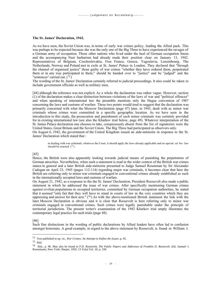#### **The St. James' Declaration, 1942.**

As we have seen, the Soviet Union was, in terms of early war crimes policy, leading the Allied pack. This was perhaps to be expected because she was the only one of the Big Three to have experienced the ravages of a German army of occupation. Those other nations who lived under the heel of German occupation forces and the accompanying Nazi barbarism had already made their position clear on January 13, 1942. Representatives of Belgium, Czechoslovakia, Free France, Greece, Yugoslavia, Luxembourg, The Netherlands, Norway and Poland met in exile at St. James' Palace in London. They declared that "through the channel of organised justice" those guilty of war crimes "whether they have ordered them, perpetrated them or in any way participated in them," should be handed over to "justice" and be "judged" and the "sentences" carried out.  $(72)$ 

The wording of the St. James' Declaration certainly referred to judicial proceedings. It also could be taken to include government officials as well as military men,

[44] although the reference was not explicit. As a whole the declaration was rather vague. However, section (1) of the declaration makes a clear distinction between violations of the laws of war and "political offences" and when speaking of international law the preamble mentions only the Hague convention of 1907 concerning the laws and customs of warfare. These two points would tend to suggest that the declaration was primarily concerned with what the Moscow Declaration (page 47) later, in 1943, dealt with as minor war criminals whose crimes were committed in a specific geographic location. As we have seen in the introduction to this study, the prosecution and punishment of such minor criminals was certainly provided for in existing international law (see also the Kharkov trial below, page 49). Whatever interpretation of the St. James Palace declaration one chooses to take, conspicuously absent from the list of signatories were the United States, Great Britain and the Soviet Union. The Big Three had participated as observers only.

On August 6, 1942, the government of the United Kingdom issued an aide-mémoire in response to the St. James' Declaration which stated that :

in dealing with war criminals, whatever the Court, it should apply the laws already applicable and no special *ad hoc* law should be enacted.  $(^{73})$ 

#### [45]

Hence, the British were also apparently looking towards judicial means of punishing the perpetrators of German atrocities. Nevertheless, when such a statement is read in the wider context of the British war crimes stance in general and a later British aide-mémoire presented to Judge Samuel Rosenman by Sir Alexander Cadogan on April 23, 1945 (pages 112-114) regarding major war criminals, it becomes clear that here the British are referring only to minor war criminals engaged in conventional crimes already established as such in the internationally accepted laws and customs of warfare.

On August 21, 1942, as a response to the the St. James' Declaration, President Roosevelt also made a public statement in which he addressed the issue of war crimes. After specifically mentioning German crimes against civilian populations in occupied territories, committed by German occupation authorities, he stated that it seemed "only fair that they will have to stand in courts of law in the very countries which they are oppressing and answer for their acts."  $(74)$  As with the above-mentioned British statement the link with the later Moscow Declaration is obvious and it is clear that Roosevelt is here referring only to minor war criminals engaged in conventional crimes. Such crimes were legally punishable under the principle of territorial jurisdiction. The present writer's examination of the 1943 Kharkov trial amply illustrates the contemporary legal practice for such trials (page 48).

#### [46]

Such fine distinctions in the wording of public declarations by Allied leaders have often led to confusion amongst historians. A good example, in regard to the above statement by Roosevelt, is found in William J.

<sup>72</sup> Text published in op. cit., *War Crimes: An Attempt to Define the Issues*. p. 95.

<sup>73</sup> Ibid.

<sup>74</sup> Ibid., p. 96. May also be found in F.D. Roosevelt, *The Public Papers and Addresses of Franklin D. Roosevelt*. (Ed. Samuel I. Rosenmann, New York: Harper, 1950, 13 Vols) Vol. 10, p. 330.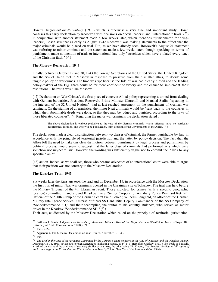Bosch's *Judgement on Nuremberg* (1970) which is otherwise a very fine and important study. Bosch confuses this early declaration by Roosevelt with decisions on "Axis leaders" and "international" trials.  $(75)$ In conjunction with another statement made a few weeks later, which mentions "punishment" for "ringleaders", Bosch saw that as early as August 1942 Roosevelt was making statements to the effect that the major criminals would be placed on trial. But, as we have already seen, Roosevelt's August 21 statement was referring to minor criminals and the statement made a few weeks later, though speaking in terms of punishment, made no mention of trials or international law only "atrocities which have violated every tenet of the Christian faith." (<sup>76</sup> )

#### **The Moscow Declaration, 1943**

Finally, between October 19 and 30, 1943 the Foreign Secretaries of the United States, the United Kingdom and the Soviet Union met in Moscow in response to pressure from their smaller allies, to decide some tangible policy on war crimes. The time was ripe because the tide of war had clearly turned and the leading policy-makers of the Big Three could be far more confident of victory and the chance to implement their resolutions. The result was "The Moscow

[47] Declaration on War Crimes", the first piece of concrete Allied policy representing a united front dealing with German barbarities. President Roosevelt, Prime Minister Churchill and Marshal Stalin, "speaking in the interests of the 32 United Nations", had at last reached agreement on the punishment of German war criminals. On the signing of an armistice, the minor Nazi criminals would be "sent back to the countries in which their abominable deeds were done, so that they may be judged and punished according to the laws of those liberated countries".  $(77)$  Regarding the major war criminals the declaration stated :

The above declaration is without prejudice to the case of the German criminals whose offenses have no particular geographical location, and who will be punished by joint decision of the Governments of the Allies.  $(^{78})$ 

The declaration made a clear disdistinction between two classes of criminal, the former punishable by law in accordance with the principle of territorial jurisdiction and the latter by policy decision. The fact that the Allies felt the need to make this clear distinction, between punishment by legal process and punishment by political process, would seem to suggest that the latter class of criminals had performed acts which were somehow not subject to law. However, the wording was sufficiently vague not to commit the Allies to any specific plan of

[48] action. Indeed, as we shall see, those who became advocates of an international court were able to argue that their position was not contrary to the Moscow Declaration.

#### **The Kharkov Trial, 1943**

Six weeks later the Russians took the lead and on December 15, in accordance with the Moscow Declaration, the first trial of minor Nazi war criminals opened in the Ukrainian city of Kharkov. The trial was held before the Military Tribunal of the 4th Ukrainian Front. Those indicted, for crimes (with a specific geographic location) committed in and around Kharkov, were "Senior Corporal of Auxiliary Police Reinhard Retzlaff, Official of the 560th Group of the German Secret Field Police ; Wilhelm Langheld, an officer of the German Military Intelligence Service ; Untersturmführer SS Hans Ritz, Deputy Commander of the SS Company of "Sonderkommando SD," and their accomplice, the traitor to his country Bulanov, who served as motor driver in the Kharkov "Sonderkommando SD." (<sup>79</sup> )

Their acts, as dictated by the Moscow Declaration which relied on the principle of territorial jurisdiction,

<sup>75</sup> William J. Bosch, *Judgement on Nuremberg: American Attitudes Toward the Major German War-Crime Trial*s. (Chapel Hill: University of North Carolina Press, 1970) p. 21.

<sup>76</sup> Ibid., p. 22.

<sup>77</sup> **Appendix 4.** The Moscow Declaration on War Crimes, November 1, 1943.

<sup>78</sup> Ibid.

<sup>79</sup> *The Trial in the Case of the Atrocities Committed by the German Fascist Invaders in the City of Kharkov and the Kharkov Region, December 15-18, 1943.* (Moscow: Foreign Languages Publishing House, 1944) p. 3. Hereafter Kharkov Trial. (The book is basically an edited transcript of the trial, one of two very similar extant texts, the other being I.F. Kladov, *The Peoples Verdict: A full report of the Proceedings at the Krasnodar and Kharkov German Atrocity Trials*. New York: Hutchinson and Co., 1944)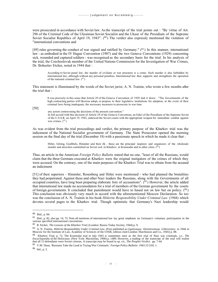were prosecuted in accordance with Soviet law. As the transcript of the trial points out : "By virtue of Art. 296 of the Criminal Code of the Ukrainian Soviet Socialist and the Ukase of the Presidium of the Supreme Soviet Socialist Republics of April 19, 1943".  $(^{80}$ ) The verdict also expressly mentioned the violation of "international conventions and

[49] rules governing the conduct of war signed and ratified by Germany."  $(81)$  In this manner, international law - as embodied in the IV Hague Convention (1907) and the two Geneva Conventions (1929) concerning sick, wounded and captured soldiers - was recognised as the secondary basis for the trial. In his analysis of the trial, the Czechoslovak member of the United Nations Commission for the Investigation of War Crimes, Dr. Bohuslav Etcher, noted in 1944 that :

According to Soviet penal law, the murder of civilians or war prisoners is a crime. Such murder is also forbidden by international law, although without any personal penalties. International law thus supports and strengthens the operation of the national criminal law.  $(^{82})$ 

This statement is illuminated by the words of the Soviet jurist, A. N. Trainin, who wrote a few months after the trial that :

It was precisely in this sense that Article 29 of the Geneva Convention of 1929 laid it down : "The Governments of the high contracting parties will likewise adopt, or propose to their legislative institutions for adoption, in the event of their criminal laws being inadequate, the necessary measures to prosecute in war time

[50]

any action contravening the decisions of the present convention."

In full accord with this decision of Article 29 of the Geneva Convention, an Edict of the Presidium of the Supreme Soviet of the U.S.S.R. on April 19, 1943, endowed the Soviet courts with the appropriate weapon for immediate combat against war crimes.  $(^{83})$ 

As was evident from the trial proceedings and verdict, the primary purpose of the Kharkov trial was the indictment of the National Socialist government of Germany. The State Prosecutor opened the morning session on the final day of the trial (December 18) with a passionate speech in which he made it clear that :

Hitler, Göring, Goebbels, Himmler and their ilk - these are the principal inspirers and organizers of the wholesale murder and atrocities committed on Soviet soil, in Kharkov, in Krasnodar and in other cities. (84)

Thus, an article in the American *Foreign Policy Bulletin* stated that no one, "least of all the Russians, would claim that the three Germans executed at Kharkov were the original instigators of the crimes of which they were accused. On the contrary, one of the main purposes of the Kharkov Trial was to obtain from the accused an indictment

[51] of their superiors - Himmler, Rosenberg and Hitler were mentioned - who had planned the brutalities they had perpetrated. Against these and other Nazi leaders the Russians, along with the Governments of all occupied countries, have long been preparing elaborate lists of accusations". (85) However, the article added that international law made no accomodation for a trial of members of the German government by the courts of foreign governments. It concluded that punishment would have to based not on law but on policy.  $(^{86})$ This conclusion was obviously very much in accord with the aforementioned Moscow Declaration. So too was the conclusion of A. N. Trainin in his book *Hitlerite Responsibility Under Criminal Law* (1944) which devotes several pages to the Kharkov trial. Though optimistic that Germany's Nazi leadership would

<sup>80</sup> Ibid., p. 84.

<sup>81</sup> Ibid., p. 82, also pp. 14, 73. Note all mentions of international law lay great emphasis on Germany's voluntary participation in the various specified international conventions.

<sup>82</sup> B. Etcher, *The Lessons of the Kharkov Trial*. (London: Russia Today Society, 1944) p. 9.

<sup>83</sup> A. N. Trainin, *Hitlerite Responsibility Under Criminal Law.* (First published as *Ugolovnaya Otvetstvennost Gilterovtzev*. in 1944 in Moscow for the Institute of Law, Academy of Sciences of the USSR, edition cited London: Hutchinson and Co., 1945) p. 88.

<sup>84</sup> Kharkov Trial, p. 72. The Krasnodar trial in July 1943 is sometimes seen as the first trial of Nazi war criminals, i.e., *The Encyclopoedia of the Holocaust*. (New York: Macmillan, 1990) p. 1489. However, a reading of the transcript of the trial will realise that all 13 defendants were Soviet citizens. A transcript may be found in op. cit., *The Peoples Verdict*. pp. 7-44.

<sup>85</sup> V.M. Dean, 'Russians Take the Lead in Trying War Criminals.' *Foreign Policy Bulletin*. 1943 23 [10]: 1.

<sup>86</sup> bid., p. 2.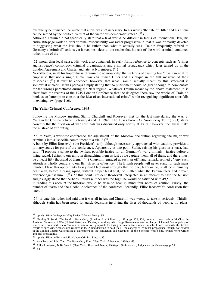eventually be punished, he wrote that a trial was not necessary. In his words "the fate of Hitler and his clique can be settled by the political verdict of the victorious democratic states."  $(^{87})$ 

Although Trainin did not specifically state that a trial would be difficult in terms of international law, his entire 108-page work on Nazi criminal responsibility was rather progressive in that it was primarily devoted to suggesting what the law should be rather than what it actually was. Trainin frequently refered to Germany's "criminal" actions yet it becomes clear to the reader that his use of the word criminal contained rather more of the

[52] moral than legal sense. His work also contained, in early form, reference to concepts such as "crimes against peace", conspiracy, criminal organisations and criminal propaganda which later turned up in the London Agreement and Charter and later at Nuremberg. (88)

Nevertheless, in all his hopefulness, Trainin did acknowledge that in terms of existing law "it is essential to emphasise that not a single human law can punish Hitler and his clique in the full measure of their misdeeds." (<sup>89</sup>) It must be conceded, however, that what Trainin actually meant by this statement is somewhat unclear. He was perhaps simply stating that no punishment could be great enough to compensate for the wrongs perpetrated during the Nazi régime. Whatever Trainin meant by the above statement, it is clear from the records of the 1945 London Conference that the delegates there saw the whole of Trainin's book as an "attempt to construct the idea of an international crime" while recognising significant shortfalls in existing law (page 116).

#### **The Yalta (Crimea) Conference, 1945**

Following the Moscow meeting Stalin, Churchill and Roosevelt met for the last time during the war, at Yalta in the Crimea between February 4 and 11, 1945. The Tusas book *The Nuremberg Trial* (1983) states correctly that the question of war criminals was discussed only briefly at Yalta. However, the Tusas make the mistake of attributing

[53] to Yalta, a war-time conference, the adjustment of the Moscow declaration regarding the major war criminals into a "specific commitment to a trial."  $(90)$ 

A book by Elliot Roosevelt (the President's son), although necessarily approached with caution, provides a primary source for parts of the conference. Apparently at one point Stalin, raising his glass in a toast, had said : "I propose a salute to the swiftest possible justice for all Germany's war criminals - justice before a firing squad. I drink to our unity in dispatching them as fast as we capture them, all of them, and there must be at least fifty thousand of them."  $(91)$  Churchill, enraged at such an off-hand remark, replied : "Any such attitude is wholly contrary to our British sense of justice ! The British people will never stand for such mass murder. I take this opportunity to say that I feel most strongly that no one, Nazi or no, shall be summarily dealt with, before a firing squad, without proper legal trial, no matter what the known facts and proven evidence against him."  $(92)$  At this point President Roosevelt interjected in an attempt to ease the tension and jokingly stated that perhaps Stalin's number was too high, he would be satisfied with 49,500.

In reading this account the historian would be wise to bear in mind four notes of caution. Firstly, the number of toasts and the alcoholic tolerance of the conferees. Secondly, Elliot Roosevelt's confession that later, in

[54] private, his father had said that it was all in jest and Churchill was wrong to take it seriously. Thirdly, although Stalin has been noted for quick decisions involving the lives of thousands of people, no plans,

<sup>87</sup> op. cit., *Hitlerite Responsibility Under Criminal Law*. p. 95.

<sup>&</sup>lt;sup>88</sup> Bradley F. Smith, *The Road to Nuremberg*. (London: André Deutsch, 1981) pp. 122, 131, notes that men such as McCloy, the Assistant Secretary of War (United States) and Davies, who along with Judge Rosenmann was in ch war crimes, both made use of Trainin in their various proposals for trying the major Nazi war criminals. It was primarily the tireless efforts of such Americans which resulted in the Allied decision to hold trials. The concept of criminal propaganda though not evident in the London Charter was realised at Nuremberg in the conviction and execution of the Streicher whose only crimes were written and oral propaganda.

<sup>89</sup> op. cit., Hitlerite Responsibility Under Criminal Law. p. 95.

<sup>90</sup> Ann Tusa and John Tusa, *The Nuremberg Trial.* (New York: Atheneum, 1984) p. 63.

<sup>91</sup> Elliot Roosevelt, *As He Saw It*. (New York: Sloan and Pearce, 1946) p. 188, in op. cit., *Judgement on Nuremberg.* p. 23.

<sup>92</sup> Ibid.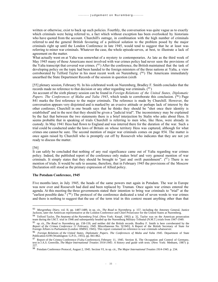written or otherwise, exist to back up such policies. Fourthly, the conversation was quite vague as to exactly which criminals were being referred to, a fact which without exception has been overlooked by historians who have quoted from the account. Churchill's outrage, in combination with the high number of criminals referred to and the general British favouring of a political solution to the problem posed by the major criminals right up until the London Conference in late 1945, would tend to suggest that he at least was referring to minor war criminals. Whatever the case, the whole episode serves, at best, to illustrate a lack of agreement on the matter.

What actually went on at Yalta was somewhat of a mystery to contemporaries. As late as the third week of May 1945 many of those Americans most involved with war crimes policy had never seen the provisions of the Yalta transcript that covered war crimes. (93) After the conference, the British maintained that the task of developing policy on the topic had been handed to the foreign ministers of the three nations at Yalta, a view corroborated by Telford Taylor in his most recent work on Nuremberg.  $(94)$  The Americans immediately unearthed the State Department Records of the session in question (sixth

[55] plenary session, February 9). In his celebrated work on Nuremberg, Bradley F. Smith concludes that the records made no reference to that decision or any other regarding war criminals.  $(^{95})$ 

An account of the sixth plenary session can be found in *Foreign Relations of the United States, Diplomatic Papers. The Conferences of Malta and Yalta 1945*, which tends to corroborate this conclusion. (<sup>96</sup> ) Page 841 marks the first reference to the major criminals. The reference is made by Churchill. However, the conversation appears very disjointed and is marked by an evasive attitude or perhaps lack of interest by the other conferees. Churchill in one breath says that he thinks they should be "shot once their identity is established" and in the next that they should be given a "judicial trial". The inconsistency may be explained by the fact that between the two statements there is a brief interjection by Stalin who asks about Hess. It seems probable that in speaking of trials Churchill is referring to men who, like Hess, were already in custody. In May 1941 Hess had flown to England and was interred there for the duration of the war. Such a trial could be conducted under the laws of Britain on whose territory Hess was captured, although for what crimes one cannot be sure. The second mention of major war criminals comes on page 854. The matter is once again raised by Churchill who is promptly cut off by Roosevelt who indicates that they are not yet ready to discuss the matter.

#### [56]

It can safely be concluded that nothing of any real significance came out of Yalta regarding war crimes policy. Indeed, the published report of the conference only makes brief and very general mention of war criminals. It simply states that they should be brought to "just and swift punishment".  $(97)$  There is no mention of trials. It would be safe to assume, therefore, that in February 1945 the provisions of the Moscow Declaration still stood as the primary expression of Allied policy.

#### **The Potsdam Conference, 1945**

Five months later, in July 1945, the heads of the same powers met again in Potsdam. The war in Europe was now over and Roosevelt had died and been replaced by Truman. Once again war crimes entered the agenda. At this meeting the three governments stated their intention to bring war criminals to "trial" at the "earliest possible date."  $(98)$  The protocol of the conference dedicated a total of seven words to war crimes and there is nothing to suggest that the use of the term trial in this context meant anything other than that

<sup>&</sup>lt;sup>93</sup> Morgenthau Diary, vol. II, pp. 1487-1489, in op. cit., *The Road to Nuremberg*. p. 157, including the Attorney General, Justice<br>Jackson, later the American representative at the London Conference and Chief Prosecutor

<sup>94</sup> Telford Taylor, *The Anatomy of the Nuremberg Trial*. (New York: Knopf, 1992) p. 32, Taylor was on the American prosecution<br>team during the I.M.T. trial in 1946 and subsequently headed up the Nuremburg Military Tribunal

<sup>95</sup> op. cit., *The Road to Nuremberg* pp. 158-159, and neither did the British records. Bradley F. Smith is here corroberated by the Report of the Crimea Conference 11 February, 1945. Miscellaneous No. 5[1945]. A Report of the British Secretary of State for<br>Foreign Affairs to Parliament (London: HMSO, 1945). This report contained no reference to war cri

<sup>96</sup> *Foreign Relations of the United States, Diplomatic Papers. The Conferences of Malta and Yalta 1945.* Department of State Publication 6199 (Washington: G.P.O., 1955). pp. 841-862.

<sup>97</sup> Report of the Crimea Conference (Yalta Conference), February 11, 1945. Section II, The Occupation and Control of Germany, text in J.A.S. Grenville, *The Major International Treaties 1914-1945: A history and guide with texts*. (New York: Methuen, 1987) p. 227.

<sup>98</sup> Potsdam Conference Protocol, August 2, 1945. Section VI, in op. cit., *The Major International Treaties 1914-1945*. p. 234.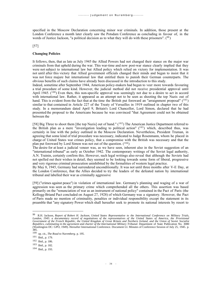specified in the Moscow Declaration concerning minor war criminals. In addition, those present at the London Conference a month later clearly saw the Potsdam Conference as concluding in favour of, in the words of Justice Jackson, "a political decision as to what they will do with these prisoners".  $(99)$ 

[57]

#### **Changing Policies**

It follows, then, that as late as July 1945 the Allied Powers had not changed their stance on the major war criminals from that upheld during the war. This war-time and now post-war stance clearly implied that they were not subject to international law but Allied policy which relied on victory for implementation. It was not until after this victory that Allied government officials changed their minds and began to insist that it was not force majure but international law that entitled them to punish their German counterparts. The obvious benefits of such claims have already been discussed in the introduction to this study.

Indeed, sometime after September 1944, American policy-makers had begun to veer more towards favouring a trial procedure of some kind. However, the judicial method did not receive presidential approval until April 1945.  $(100)$  Even then, this non-specific approval was seemingly not due to a desire to act in accord with international law. Rather, it appeared as an attempt not to be seen as shooting the top Nazis out of hand. This is evident from the fact that at the time the British put foreward an "arraignment proposal"  $(101)$ similar to that contained in Article 227 of the Treaty of Versailles in 1919 outlined in chapter two of this study. In a memorandum dated April 9, Britain's Lord Chancellor, Lord Simon, declared that he had presented the proposal to the Americans because he was convinced "that Agreement could not be obtained between the

[58] Big Three to shoot them [the top Nazis] out of hand." (<sup>102</sup>) The American Justice Department referred to the British plan as a mere "investigation leading to political action" ( <sup>103</sup>) which, described thus, was certainly in line with the policy outlined in the Moscow Declaration. Nevertheless, President Truman, in agreeing that some kind of trial procedure was necessary, indicated to Judge Rosenmann, whom he placed in charge of United States war crimes policy, that a compromise with the British was necessary and that the plan put foreward by Lord Simon was not out of the question.  $(104)$ 

The desire for at least a judicial veneer was, as we have seen, inherent also in the Soviet suggestion of an "international tribunal" as early as October 1942. The contemporary writings of the Soviet legal authority, A.N. Trainin, certainly confirm this. However, such legal writings also reveal that although the Soviets had not spelled out their wishes in detail, they seemed to be looking towards some form of liberal, progressive and very rigorous criminal prosecution uninhibited by the formalities of western legal practice.

By May 8, 1945, Germany had surrendered unconditionally. It was not until three months after V-E Day, at the London Conference, that the Allies decided to try the leaders of the defeated nation by international tribunal and labelled their war as criminally aggressive

[59] ("crimes against peace") in violation of international law. Germany's planning and waging of a war of aggression was seen as the primary crime which comprehended all the others. This assertion was based primarily on the "renunciation of war as an instrument of national policy" contained in the Pact of Paris (the Kellogg-Briand Pact concluded on August 27, 1928) of which Germany was a signatory. However, the Pact of Paris made no mention of criminality, penalties or individual responsibility except the statement in its preamble that "any signatory Power which shall hereafter seek to promote its national interests by resort to

<sup>99</sup> R.H. Jackson, *Report of Robert H. Jackson, United States Representative to the International Conference on Military Trials, London, 1945: a documentary record of negotiations of the representatives of the United States of America, the Provisional Government of the French Republic, the United Kingdom of Great Britain and Northern Ireland, and the Union of Soviet Socialist* Republics, culminating in the agreement and charter of the International Military Tribunal. Department of State Publication No. 3080<br>(Washington DC: GPO, 1949). Hereafter International Conference. Document LI. Minutes of C 385.

<sup>100</sup> op. cit., *The Road to Nuremberg.* p. 195.

<sup>101</sup> Ibid., p. 179.

<sup>102</sup> Ibid., p. 186.

<sup>103</sup> Ibid., p. 182.

<sup>104</sup> Ibid., p. 193.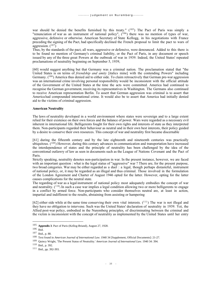war should be denied the benefits furnished by this treaty."  $(105)$  The Pact of Paris was simply a "renunciation of war as an instrument of national policy",  $(^{106})$  there was no mention of types of war, aggressive, defensive or otherwise. American Secretary of State Kellogg, in his negotiations with France preceding the signing of the Pact, had specifically declined the French proposal to limit the pact to wars of aggression.  $(107)$ 

Thus, by the standards of the pact, all wars, aggressive or defensive, were denounced. Added to this there is to be found no mention of Germany's criminal liability, or the Pact of Paris, in any document or speech issued by any of the three great Powers at the outbreak of war in 1939. Indeed, the United States' repeated proclamations of neutrality beginning on September 5, 1939,

[60] would suggest anything but that Germany was a criminal nation. The proclamation stated that "the United States is on terms of *friendship and amity* [italics mine] with the contending Powers" including Germany. (<sup>108</sup>) America thus denied aid to either side. To claim retroactively that German pre-war aggression was an international crime involving personal responsibility would be inconsistent with the official attitude of the Government of the United States at the time the acts were committed. America had continued to recognise the German government, receiving its representatives in Washington. The Germans also continued to receive American representation Berlin. To assert that German aggression was criminal is to assert that America had compounded international crime. It would also be to assert that America had initially denied aid to the victims of criminal aggression.

#### **American Neutrality**

The laws of neutrality developed in a world environment where states were sovereign and to a large extent relied for their existence on their own forces and the balance of power. Wars were regarded as a necessary evil inherent in international life. Belligerents fought for their own rights and interests of state as they interpreted them. Non-participants regarded their behaviour as neutral and in their own best interests, their policy guided by a desire to conserve their own resources. This concept of war and neutrality first became discernable

[61] during the fifteenth century and by the late eighteenth and nineteenth centuries was practically ubiquitous.  $(109)$  However, during this century advances in communication and transportation have increased the interdependence of states and the principle of neutrality has been challenged by the idea of the conventional outlawry of law as seen in documents such as the League of Nations Covenant and the Pact of Paris.

Strictly speaking, neutrality denotes non-participation in war. In the present instance, however, we are faced with an important question : what is the legal status of "aggressive" war ? There are, for the present purpose, two broad categories. War may be either regarded as a duel : a legal, though perhaps distasteful, instrument of national policy, or, it may be regarded as an illegal and thus criminal. Those involved in the formulation of the London Agreement and Charter of August 1946 opted for the latter. However, opting for the latter causes complications for the neutral state.

The regarding of war as a legal instrument of national policy most adequately embodies the concept of war and neutrality.  $(110)$  In such a case war implies a legal condition allowing two or more belligerents to engage in a conflict by armed force. Non-participants who consider themselves neutral are, at least in action, impartial and indifferent to the results, abstaining from assisting or hampering

[62] either side while at the same time conserving their own vital interests.  $(^{111})$  The war is not illegal and they have no obligation to intervene. Such was the United States' declaration of neutrality in 1939. Yet, the Allied post-war policy, embodied in the Nuremberg principles, of discriminating between the criminal and the victim is inconsistent with the concept of neutrality as implemented by the United States until her entry

<sup>105</sup> **Appendix 3**. Pact of Paris (Kellog-Briand), August 27, 1928.

<sup>106</sup> Ibid.

<sup>107</sup> Ibid., p. 88.

<sup>108</sup> Text found in *American Journal of International Law*. 1940 34 [Supplement, Official Documents]: 21-27.

<sup>109</sup> Quincy Wright, 'The Present Status of Neutrality.' *American Journal of International Law*. 1940 34: 394.

<sup>110</sup> Ibid., p. 392.

<sup>111</sup> Ibid., pp. 392-393.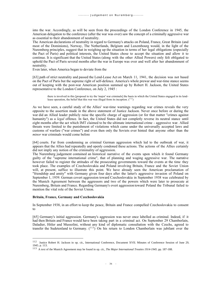into the war. Accordingly, as will be seen from the proceedings of the London Conference in 1945, the American delegation to the conference (after the war was over) saw the concept of a criminally aggressive war as essential to their abandonment of neutrality.

The American declarations of neutrality in regard to Germany's attacks on Poland, France, Great Britain (and most of the Dominions), Norway, The Netherlands, Belgium and Luxembourg would, in the light of the Nuremberg principles, suggest that in weighing up the situation in terms of her legal obligations (especially the Pact of Paris) and political interests, the United States chose to accept the situation and allow it to continue. It is significant that the United States (along with the other Allied Powers) only felt obligated to uphold the Pact of Paris several months after the war in Europe was over and well after her abandonment of neutrality.

Even later, when America began to deviate from the

[63] path of strict neutrality and passed the Lend-Lease Act on March 11, 1941, the decision was not based on the Pact of Paris but the supreme right of self-defence. America's whole prewar and war-time stance seems out of keeping with the post-war American position summed up by Robert H. Jackson, the United States representative to the London Conference, on July 2, 1945 :

there is involved in this [proposal to try the 'major' war criminals] the basis in which the United States engaged in its lendlease operation, the belief that this war was illegal from its inception.  $(^{112})$ 

As we have seen, a careful study of the Allies' war-time warnings regarding war crimes reveals the very opposite to the assertion made in the above statement of Justice Jackson. Never once before or during the war did an Allied leader publicly raise the specific charge of aggression (or for that matter "crimes against humanity") as a *legal* offence. In fact, the United States did not completly reverse its neutral stance until eight months after the act which IMT claimed to be the ultimate international crime - aggressive war. Allied threats were limited to the punishment of violations which came under the universally accepted laws and customs of warfare ("war crimes") and even then only the Soviets ever hinted that anyone other than the *minor* war criminals would come before

[64] courts. Far from condemning as criminal German aggression which led to the outbreak of war, it appears that the Allies had repeatedly and openly condoned these actions. The actions of the Allies certainly did not imply any notion of the criminality of aggression.

The Nuremberg judgement contained an historical narrative of the events upon which it found Germany guilty of the "supreme international crime", that of planning and waging aggressive war. The narrative however failed to register the attitudes of the prosecuting governments toward the events at the time they took place. The examples of Czechoslovakia and Poland involving Britain, France and the Soviet Union will, at present, suffice to illustrate this point. We have already seen the American proclamation of "friendship and amity" with Germany given four days after the latter's aggressive invasion of Poland on September 1, 1939. German covert aggression toward Czechoslovakia in September 1938 was celebrated by the Munich Agreement between the aggressors and two of the powers which were later to prosecute at Nuremberg, Britain and France. Regarding Germany's overt aggression toward Poland the Tribunal failed to mention the vital role of the Soviet Union.

#### **Britain, France, Germany and Czechoslovakia**

In September 1938, in an effort to keep the peace, Britain and France compelled Czechoslovakia to consent to

[65] Germany's initial aggression. Germany's aggression was never once labelled as criminal. Indeed, if it had then Britain and France would have been taking part in a criminal act. On September 29 Chamberlain, Daladier, Hitler and Mussolini, without any kind of diplomatic consultation with the Czechs, agreed to transfer the Sudetenland to Germany.  $(113)$  On his return to London Chamberlain was jubilant over the

<sup>112</sup> Justice Robert H. Jackson in op. cit., International Conference, Document XVII. Minutes of Conference Session of June 29, 1945. p. 113.

<sup>113</sup> A text of the Munich Agreement may be found in op. cit., *The Major International Treaties 1914-1945*. pp. 187-188.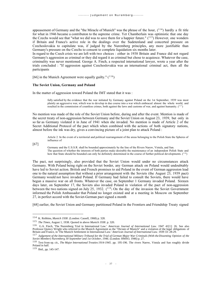appeasement of Germany and the "the Miracle of Munich" was the phrase of the hour,  $(114)$  hardly a fit title for what in 1946 became a contributon to the supreme crime. Yet Chamberlain was optimistic that one day the Czechs would see that "what we did was to save them for a happier future."  $(^{115})$  However, one wonders if Britain and France's active role in the dealings over the Sudetenland and concerted pressure on Czechoslovakia to capitulate was, if judged by the Nuremberg principles, any more justifiable than Germany's pressure on the Czechs to consent to complete liquidation six months later.

In regard to the Czech crisis we are left with two choices : either in 1938 Britain and France did not regard Germany's aggression as criminal or they did regard it as criminal but chose to acquiesce. Whatever the case, criminality was never mentioned. George A. Finch, a respected international lawyer, wrote a year after the trials concluded : "If aggression against Czechoslovakia was an international criminal act, then all the participants

[66] in the Munich Agreement were equally guilty."  $(116)$ 

#### **The Soviet Union, Germany and Poland**

In the matter of aggression toward Poland the IMT stated that it was :

fully satisfied by the evidence that the war initiated by Germany against Poland on the 1st September, 1939 was most plainly an aggressive war, which was to develop in due course into a war which embraced almost the whole world, and resulted in the commission of countless crimes, both against the laws and customs of war, and against humanity.  $(117)$ 

No mention was made of the role of the Soviet Union before, during and after the event. Mention is made of the secret treaty of non-aggression between Germany and the Soviet Union on August 23, 1939, but only in so far as Germany violated it in June of 1941 when she invaded. No mention is made of Article 2 of the Secret Additional Protocol of the pact which when combined with the actions of both signatory nations, almost before the ink was dry, gives a convincing picture of a joint plan to attack Poland :

Article 2. In the event of a territorial and political rearrangement of the areas belonging to the Polish State the Spheres of influence of

[67]

Germany and the U.S.S.R. shall be bounded approximately by the line of the Rivers Narew, Vistula, and San. The question of whether the interests of both parties make desirable the maintenance of an independent Polish State and how that State should be bounded can only be definitely determined in the course of further political developments. (<sup>118</sup>)

The pact, not surprisingly, also provided that the Soviet Union would under no circumstances attack Germany. With Poland being right on the Soviet border, any German attack on Poland would undoubtably have led to Soviet action. British and French promises to aid Poland in the event of German aggression lead one to the natural assumption that without a prior arrangement with the Soviets (the August 23, 1939 pact) Germany would not have invaded Poland. If Germany had failed to consult the Soviets, there would have begun a massive war on all fronts. Whatever the case, on September 1 Germany invaded Poland. Sixteen days later, on September 17, the Soviets also invaded Poland in violation of the pact of non-aggression between the two nations signed on July 25, 1932.  $(119)$  On the day of the invasion the Soviet Government informed the Polish Ambassador that Poland no longer existed and at a meeting in Moscow on September 27, in perfect accord with the Soviet-German pact signed a month

[68] earlier, the Soviet Union and Germany partitioned Poland in the Frontiers and Friendship Treaty signed

<sup>114</sup> K. Robbins, *Munich 1938*. (London: Cassell, 1968) p. 328.

<sup>115</sup> *The Times*, August 1, 1938. Quoted in above *Munich 1938*. p. 320.

<sup>&</sup>lt;sup>116</sup> G.A. Finch, 'The Nuremberg Trial in International Law.' *American Journal of International Law*. 1947 41[1]: 26. See also<br>Professor Quincy Wright who referred to the Munich Agreement as the "Dictate of Munich" and a Britain and France, in 'The Munich Settlement in International Law.' *American Journal of International Law*. 1939 33: 28-29.

<sup>117</sup> *Judgement of the International Military Tribunal for the Trial of German Major War Criminals (With the Dissenting Opinion of the Soviet Member) Nuremberg 30 September and 1st October, 1946.* (London: HMSO, 1946) p. 27.

<sup>118</sup> Text from op. cit., *The Major International Treaties 1914-1945*. pp. 195-196. The rivers Narew, Vistula and San roughly divide Poland in half.

<sup>119</sup> Ibid., pp. 145-147.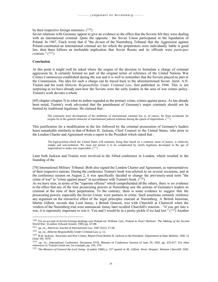by their respective foreign ministers.  $(120)$ 

Soviet relations with Germany appear to give no evidence to the effect that the Soviets felt they were dealing with an international criminal. Quite the opposite : the Soviet Union participated in the liquidation of Poland. In 1947, Finch wrote that if "the *dictum* of the Nuremberg Tribunal that the Aggression against Poland constituted an international criminal act for which the perpetrators were individually liable is good law, then there follows an irrefutable implication that Soviet Russia and its officials were *participes criminis*." (<sup>121</sup>)

#### **Conclusion**

At this point it might well be asked where the origins of the decision to formulate a charge of criminal aggression lie. It certainly formed no part of the original terms of reference of the United Nations War Crimes Commission established during the war and it is well to remember that the Soviets played no part in the Commission. The idea for such a charge can be traced back to the aforementioned Soviet Jurist A.N. Trainin and his work *Hitlerite Responsibility Under Criminal Law*, first published in 1944. This is not surprising as we have already seen how the Soviets were the early leaders in the area of war crimes policy. Trainin's work devotes a whole

[69] chapter (chapter 5) to what its author regarded as the primary crime, crimes against peace. As has already been noted, Trainin's work advocated that the punishment of Germany's major criminals should not be limited by traditional legalisms. He claimed that :

The extremely poor development of the problems of international criminal law is, of course, far from accidental. Its origins lie in the general character of international judicial relations during the epoch of imperialism. (<sup>122</sup>)

This justification for a modification in the law followed by the criminal prosecution of Germany's leaders bears remarkable similarity to that of Robert H. Jackson, Chief Counsel to the United States, who prior to the London Charter and Agreement wrote a report to the President which stated that :

The legal position which the United States will maintain, being thus based on a common sense of justice, is relatively simple and non-technical. We must not permit it to be complicated by sterile legalisms developed in the age of imperialism to make war respectable.  $(^{123})$ 

Later both Jackson and Trainin were involved in the Allied conference in London, which resulted in the founding of the

[70] International Military Tribunal. Both also signed the London Charter and Agreement, as representatives of their respective nations. During the conference Trainin's book was referred to on several occasions, and at the conference session on August 2, it was specifically decided to change the previously-used term "the crime of war" to "crime against peace" in accordance with Trainin's book.  $(124)$ 

As we have seen, in terms of the "supreme offense" which comprehended all the others, there is no evidence to the effect that any of the four prosecuting powers at Nuremberg saw the actions of Germany's leaders as criminal at the time of their perpetration. To the contrary, there is some evidence to suggest that the prosecuting powers, especially the Soviet Union, were partners in crime. Such assertions certainly reinforce any argument on the retroactive effect of the legal principles enacted at Nuremberg. A British historian, Martin Gilbert, records that Lord Ismay, a British General, was with Churchill at Chartwell when the verdicts of the Nuremberg trial were announced. Ismay later recalled Churchill's reaction : "if you get into a war, it is supremely important to win it. You and I would be in a pretty pickle if we had lost." (<sup>125</sup>) Another

<sup>120</sup> For an account of Soviet-German dealings over Poland see William Carr, *Poland to Pearl Harbour: The Making of the Second World War*. (London: Edward Arnold, 1985) pp. 67-88.

<sup>121</sup> op. cit., *American Journal of International Law*. 1947 41[1]: 27-28.

<sup>122</sup> op. cit., *Hitlerite Responsibility Under Criminal Law*. p. 11.

<sup>123</sup> R.H. Jackson, 'Atrocities and War Crimes: Report From Robert H. Jackson to the President.' *Department of State Bulletin*. 1945 12 [June 10]: 1076.

<sup>124</sup> op. cit., International Conference, Document XVII. Minutes of Conference Session of June 29, 1945. pp. 416-417. For other references to Trainin's book see, for example, pp. 295, 379.

<sup>125</sup> *The Memoirs of General the Lord Ismay.* (London 1960) p. 157 quoted in M. Gilbert, *Never Despair: Winston Churchill 1945-*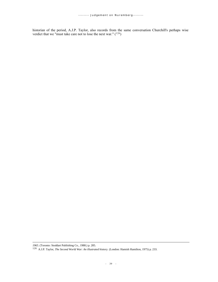historian of the period, A.J.P. Taylor, also records from the same conversation Churchill's perhaps wise verdict that we "must take care not to lose the next war."  $(126)$ 

*<sup>1965</sup>*. (Toronto: Stoddart Publishing Co., 1988.) p. 285.

<sup>126</sup> A.J.P. Taylor, *The Second World War: An illustrated history.* (London: Hamish Hamilton, 1975) p. 233.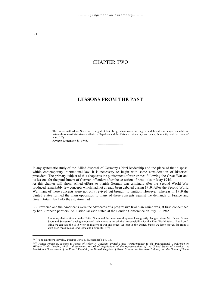## CHAPTER TWO

## **LESSONS FROM THE PAST**

---------------------- The crimes with which Nazis are charged at Nürnberg, while worse in degree and broader in scope resemble in nature those most historians attribute to Napoleon and the Kaiser - crimes against peace, humanity and the laws of war.  $(^{127})$ 

*Fortune***, December 31, 1945.**

In any systematic study of the Allied disposal of Germany's Nazi leadership and the place of that disposal within contemporary international law, it is necessary to begin with some consideration of historical precedent. The primary subject of this chapter is the punishment of war crimes following the Great War and its lessons for the punishment of German offenders after the cessation of hostilities in May 1945.

-----------------------

As this chapter will show, Allied efforts to punish German war criminals after the Second World War produced remarkably few concepts which had not already been debated during 1919. After the Second World War many of these concepts were not only revived but brought to fruition. However, whereas in 1919 the United States formed the main opposition to many of these concepts against the demands of France and Great Britain, by 1945 the situation had

[72] reversed and the Americans were the advocates of a progressive trial plan which was, at first, condemned by her European partners. As Justice Jackson stated at the London Conference on July 19, 1945 :

I must say that sentiment in the United States and the better world opinion have greatly changed since Mr. James Brown Scott and Secretary Lansing announced their views as to criminal responsibility for the First World War.... But I don't think we can take the 1918 view on matters of war and peace. At least in the United States we have moved far from it with such measures as lend-lease and neutrality.  $(^{128})$ 

<sup>127</sup> 'The Nürnberg Novelty.' *Fortune* 1945 31 [December]: 140-141.

<sup>&</sup>lt;sup>128</sup> Justice Robert H. Jackson in *Report of Robert H. Jackson, United States Representative to the International Conference on Military Trials, London, 1945: a documentary record of negotiations of the representatives of the United States of America, the Provisional Government of the French Republic, the United Kingdom of Great Britain and Northern Ireland, and the Union of Soviet*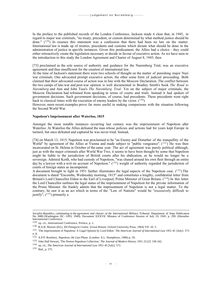In the preface to the published records of the London Conference, Jackson made it clear that, in 1945, in regard to major war criminals, "no treaty, precedent, or custom determined by what method justice should be done."  $(129)$  In essence this statement was a confession that there had been no law on the matter. International law is made up of treaties, precedents and customs which dictate what should be done in the administration of justice in specific instances. Given this predicament, the Allies had a choice : they could either retroactively create the legislation necessary or decide in favour of executive action. As we have seen in the introduction to this study the London Agreement and Charter of August 8, 1945, then

[73] proclaimed as the sole source of authority and guidance for the Nuremberg Trial, was an executive agreement and thus insufficient for the creation of international law.

At the time of Jackson's statement there were two schools of thought on the matter of punishing major Nazi war criminals. One advocated prompt executive action, the other some form of judicial proceeding. Both claimed that their advocated course of action was in line with the Moscow Declaration. The conflict between the two camps of late-war and post-war opinion is well documented in Bradley Smith's book *The Road to Nuremberg* and Ann and John Tusa's *The Nuremberg Trial*. Yet on the subject of major criminals, the Moscow Declaration had refrained from speaking in terms of courts and trials. Instead it had spoken of government decisions. Such government decisions, of course, had precedents. These precedents went right back to classical times with the execution of enemy leaders by the victor.  $(^{130})$ 

However, more recent examples prove far more useful in making comparisons with the situation following the Second World War.

#### **Napoleon's Imprisonment after Waterloo, 1815**

Amongst the most notable instances occurring last century was the imprisonment of Napoleon after Waterloo. At Waterloo the Allies defeated the man whose policies and actions had for years kept Europe in turmoil, but once defeated and captured he was never tried. Instead,

[74] on March 13, 1815, Napoleon was proclaimed to be "an Enemy and Disturber of the tranquillity of the World" by agreement of the Allies at Vienna and made subject to "public vengeance".  $(^{131})$  He was then incarcerated on St. Helena in October of the same year. The act of agreement was purely political although, just as with the major criminals after World War Two, it seems to have been thought by some that Napoleon might be liable to the jurisdiction of British courts after his abdication, as he would no longer be a sovereign. Admiral Keith, who had custody of Napoleon, "was chased around his own fleet through an entire day by a lawyer with a writ on account of Napoleon." (132) weight of authority regarded the jurisdiction of courts of foreign states as incompetent.

A document brought to light in 1951 further illuminates the legal aspects of the Napoleon case. (<sup>133</sup>) The document is dated "Encombe, Wednesday morning, 1815" and constitutes a lengthy, confidential letter from Britain's Lord Chancellor Eldon to the Earl of Liverpool, Prime Minister of Great Britain. (<sup>134</sup>) In this letter the Lord Chancellor outlines the legal status of the imprisonment of Napoleon for the private information of the Prime Minister. He frankly admits that the imprisonment of Napoleon is not a legal matter. To the contrary, he saw it as an act which in terms of the "Law of Nations" would be "excessively difficult to justify",  $(^{135})$  primarily a

Socialist Republics, culminating in the agreement and charter of the International Military Tribunal. Department of State Publication<br>No. 3080 (Washington DC: GPO, 1949). Document XXXVII. Minutes of Conference Session of J International Conference.

<sup>129</sup> op. cit., International Conference, Preface, p. v.

<sup>130</sup> R.A.B. Mynors (Ed.), *XII Panegyrici Latini.* (Great Britain: Oxford University Press, 1964) VII. 10. 5.

<sup>131</sup> 'The Imprisonment of Napoleon: A Legal Opinion by Lord Eldon.' *The American Journal of International Law* 1951 45 [July]: 573 n. 8.

<sup>132</sup> A.P.P. Rosebery, *Napoleon, the Last Phase*. (London: A.L. Humphreys, 1906) p. 59.

<sup>133</sup> John Hall Stewart, 'The Norton Napoleon Collection.' *The Journal of Modern History* 1951 23 [2]: 158-162.

<sup>134</sup> op. cit., *The American Journal of International Law* 1951 45 [July]: 572.

<sup>135</sup> Ibid., p. 575.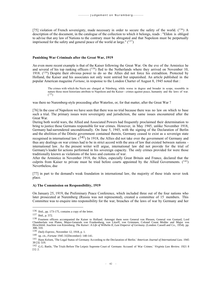[75] violation of French sovereignty, made necessary in order to secure the safety of the world.  $(^{136})$  A description of the document, in the catalogue of the collection to which it belongs, reads : "Eldon is obliged to advise that any law of Nations to the contrary must be abrogated and that Napoleon must be perpetually imprisoned for the safety and general peace of the world at large."  $(137)$ 

### **Punishing War Criminals after the Great War, 1919**

An even more recent example is that of the Kaiser following the Great War. On the eve of the Armistice he and several of his top ranking officers  $(138)$  fled to the Netherlands where they arrived on November 10, 1918. (<sup>139</sup>) Despite their obvious power to do so the Allies did not force his extradition. Protected by Holland, the Kaiser and his associates not only went untried but unpunished. An article published in the popular American magazine *Fortune*, in response to the London Charter of August 8, 1945 noted that :

The crimes with which the Nazis are charged at Nürnberg, while worse in degree and broader in scope, resemble in nature those most historians attribute to Napoleon and the Kaiser - crimes against peace, humanity and the laws of war.  $(^{140})$ 

was there no Nuremberg-style proceeding after Waterloo, or, for that matter, after the Great War?

[76] In the case of Napoleon we have seen that there was no trial because there was no law on which to base such a trial. The primary issues were sovereignty and jurisdiction, the same issues encountered after the Great War.

During both world wars, the Allied and Associated Powers had frequently proclaimed their determination to bring to justice those Germans responsible for war crimes. However, in May 1945, unlike November 1918, Germany had surrendered unconditionally. On June 5, 1945, with the signing of the Declaration of Berlin and the abolition of the Dönitz government contained therein, Germany ceased to exist as a sovereign state

recognised in international law.  $(141)$  In 1918, the Allies did not take over the government of Germany and thus any dealings on war crimes had to be in strict accord with the area of law that existed between nations international law. As the present writer will argue, international law did not provide for the trial of Germany's leader for actions performed in his sovereign capacity. The only crimes provided for were those traditionally known as violations of the laws and customs of war.

After the Armistice in November 1918, the Allies, especially Great Britain and France, declared that the culprits from Kaiser to private must be tried before courts appointed by the Allied Governments.  $(142)$ Nevertheless, due

[77] in part to the demand's weak foundation in international law, the majority of these trials never took place.

#### **A) The Commission on Responsibility, 1919**

On January 25, 1919, the Preliminary Peace Conference, which included three out of the four nations who later prosecuted at Nuremberg (Russia was not represented), created a committee of 15 members. This Committee was to enquire into responsibility for the war, breaches of the laws of war by Germany and her

<sup>136</sup> Ibid., pp. 173-175, contains a copy of the letter.

<sup>137</sup> Ibid., p. 572.

<sup>&</sup>lt;sup>138</sup> Fourteen officers accompanied the Kaiser to Holland. Amongst them were General von Plessen, General von Gontard, Lord Chamberlain von Platen, Major-Generals von Frankenberg, von Litorff, von Grimmen, Colonel Count Moltke and Major von Hirschfeld. Joachim von Kürenberg, *The Kaiser: A Life of Wilhelm II, Last Emperor of Germany*. (London: Cassell and Co., 1954). pp. 308, 310.

<sup>139</sup> *Daily Express*, November 12, 1918, p. 1.

<sup>140</sup> op. cit., *Fortune* 1945 31[December]: 140-141.

<sup>141</sup> Hans Kelsen, 'The Legal Status of Germany According to the Declaration of Berlin.' *American Journal of International Law*. 1945 39 [3]: 519.

<sup>142</sup> G.G. Battle, 'The Trials Before The Leipsic Supreme Court of Germans Accused of War Crimes.' *Virginia Law Review*. 1921 8  $[1]: 2.$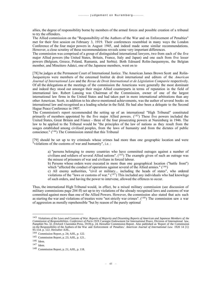allies, the degree of responsibility borne by members of the armed forces and possible creation of a tribunal to try the offenders.

The Allied commission on the "Responsibility of the Authors of the War and on Enforcement of Penalties" met for their first session on February 3, 1919. Their conferences resembled in many ways the London Conference of the four major powers in August 1945, and indeed made some similar recommendations. However, a close scrutiny of these recommendations reveals some very important differences.

The commission was comprised of a group of distinguished international lawyers, two from each of the five major Allied powers (the United States, Britain, France, Italy and Japan) and one each from five lesser powers (Belgium, Greece, Poland, Rumania, and Serbia). Both Edouard Rolin-Jaequemyns, the Belgian member, and Mineitero Adatci, one of the Japanese members, went on to

[78] be judges at the Permanent Court of International Justice. The American James Brown Scott and Rolin-Jaequemyns were members of the esteemed Institut de droit international and editors of the *American Journal of International Law* and the *Revue de Droit International et de Législation Comparée* respectively. Of all the delegations at the meetings of the commission the Americans were generally the most dominant and indeed they stood out amongst their major Allied counterparts in terms of reputation in the field of international law. Robert Lansing was Chairman of the Commission, owner of one of the largest international law firms in the United States and had taken part in more international arbitrations than any other American. Scott, in addition to his above-mentioned achievements, was the author of several books on international law and recognised as a leading scholar in the field. He had also been a delegate to the Second Hague Peace Conference in 1907.

The Commission's report recommended the setting up of an international "High Tribunal" constituted primarily of members appointed by the five major Allied powers.  $(143)$  These five powers included the United States, Great Britain and France - three of the four prosecuting powers at Nuremberg in 1946. The law to be applied to the Tribunal would be "the principles of the law of nations as they result from the usages established among civilised peoples, from the laws of humanity and from the dictates of public conscience." (<sup>144</sup>) The Commission stated that this Tribunal

[79] should be set up to try criminals whose crimes had more than one geographic location and were "violations of the customs of war and humanity", i.e. :

a) "persons belonging to enemy countries who have committed outrages against a number of civilians and soldiers of several Allied nations".  $(^{145})$  The example given of such an outrage was the misuse of prisoners of war and civilians in forced labour.

b) Persons whose orders were executed in more than one geographical location ("battle front") which "affected the conduct of operations against several of the Allied armies."  $(146)$ 

c) All enemy authorities, "civil or military... including the heads of states", who ordered violations of the "laws or customs of war."  $(1<sup>47</sup>)$  This included any individuals who had knowlege of such orders, and having the power to intervene, allowed the offences to occur.

Thus, the international High Tribunal would, in effect, be a mixed military commission (see discussion of military commissions page 204 ff) set up to try violations of the already recognised laws and customs of war committed against more than one of the Allied Powers. However, the commission also stated that acts such as starting the war and violations of treaties were "not strictly war crimes". (<sup>148</sup>) The commission saw a war of aggression as morally reprehensible "but by reason of the purely optional

<sup>143</sup> *Violations of the Laws and Customs of War. Reports of Majority and Dissenting Reports of American and Japanese Members of the Commission of Responsibilities. Conference of Paris 1919.* Carnegie Endowment for International Peace, Division of International law, Pamphlet No. 32. (Oxford: Clarendon Press, 1919) p. 24. Hereafter Commission Report. Also published as 'Report of the Commission on the Responsibility of the Authors of the War and Enforcement of Penalties.' *American Journal of International Law*. 1920 14 [1]: 95-154. p. 122. Hereafter AJIL.

<sup>144</sup> Commission Report, p. 24; AJIL, p. 122.

<sup>145</sup> Commission Report, p. 23; AJIL, p. 121..

<sup>146</sup> Idem.

<sup>147</sup> Idem.

<sup>148</sup> Commission Report, p. 21; AJIL, p. 118.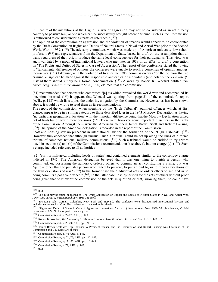[80] nature of the institutions at the Hague... a war of aggression may not be considered as an act directly contrary to positive law, or one which can be successfully brought before a tribunal such as the Commission is authorized to consider under its terms of reference."  $(149)$ 

The opinion of the commission on aggression and the violation of treaties would appear to be corroborated by the Draft Convention on Rights and Duties of Neutral States in Naval and Aerial War prior to the Second World War in 1939.  $(150)$  The advisory committee, which was made up of American university law school professors  $(151)$  and representatives from the Department of State, based its draft on the assumption that all wars, regardless of their origin produce the same legal consequences for their participants. This view was again validated by a group of international lawyers who met later in 1939 in an effort to draft a convention on "The Rights and Duties of States in Case of Aggression". The report of the conference stated that owing to "fundamental differences of opinion" the conferees were unable to reach a consensus of opinion amongst themselves.  $(^{152})$  Likewise, with the violation of treaties the 1919 commission was "of the opinion that no criminal charge can be made against the responsible authorities or individuals (and notably the ex-Kaiser)". Instead there should simply be a formal condemnation. (<sup>153</sup>) A work by Robert K. Woetzel entitled *The Nuremberg Trials in International Law* (1960) claimed that the commission

[81] recommended that persons who committed "[a] cts which provoked the world war and accompanied its inception" be tried.  $(^{154})$  It appears that Woetzel was quoting from page 21 of the commission's report (AJIL, p. 118) which lists topics the under investigation by the Commission. However, as has been shown above, it would be wrong to read them as its recomendations.

The report of the commission, when speaking of the "High Tribunal", outlined offences which, at first glance, appear to be in a similar category to those described later in the 1943 Moscow Declaration as having "no particular geographical location" with the important difference being that the Moscow Declaration talked not of trials but of government decisions. (<sup>155</sup>) There were, however, some important dissenters in the ranks of the Commission. Amongst them were the American members James Brown Scott and Robert Lansing. (<sup>156</sup>) The opinion of the American delegation is recorded in the report of the Commission.

Scott and Lansing saw no precedent in international law for the formation of the "High Tribunal".  $(^{157})$ However, they conceded that although unusual, such a tribunal could be set up along the lines of a mixed tribunal of combined national military commissions.  $(158)$  Such a tribunal would be entitled to try crimes listed in sections (a) and (b) of the Commissions recommendation (see above), but not charge (c).  $(1\bar{5}9)$  Such a charge included reference to all authorities

[82] "civil or military... including heads of states" and contained elements similar to the conspiracy charge indicted in 1945. The American delegation believed that it was one thing to punish a person who committed, or, possessing the authority, ordered others to commit an act constituting a crime, but was "quite another thing to punish a person who failed to prevent, to put an end to, or to repress violations of the laws or customs of war."  $(160)$  In the former case the "individual acts or orders others to act, and in so doing commits a positive offence."  $(^{161})$  In the latter case he is "punished for the acts of others without proof being given that he knew of the commission of the acts in question or that, knowing them, he could have

<sup>149</sup> Ibid.

<sup>150</sup> The Text may be found published as 'The Draft Convention on Rights and Duties of Neutral States in Naval and Aerial War.' *American Journal of International Law*. 1939 33: 169ff.

<sup>151</sup> Including Yale, Cornell, Columbia, New York and Harvard. The conferees were distinguished international lawyers and included names such as G.A. Finch whose work is cited in this thesis.

<sup>152</sup> 'Rights and Duties of States in Case of Aggression.' *American Journal of International Law*. 1939 33 [Supplement, Official Documents]: 827. No list of participants is given.

<sup>153</sup> Commission Report, p. 22-23; AJIL, p. 120.

<sup>154</sup> Robert K. Woetzel, *The Nuremberg Trials in International Law*. (London: Stevens and Sons Ltd., 1960) p. 28.

<sup>155</sup> Commission Report, p. 23-24; AJIL, pp. 121-122.

<sup>156</sup> James Brown Scott was legal adviser to President Wilson and the Commission and Robert Lansing was Chairman of the Commission and U.S. Secretary of State.

<sup>157</sup> Commission Report, p. 74; AJIL, p. 145.

<sup>158</sup> Commission Report, pp.71, 76; AJIL, pp. 142, 147.

<sup>159</sup> Commission Report, pp. 71-72; AJIL, pp. 142-143.

<sup>160</sup> Commission Report, p. 72; AJIL, p. 143.

<sup>161</sup> Ibid.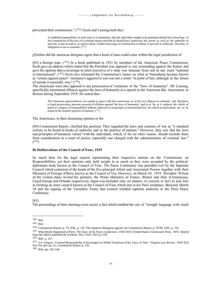prevented their commission."  $(162)$  Scott and Lansing held that :

to establish responsibility in such cases it is elementary that the individual sought to be punished should have knowlege of the commission of the acts of a criminal nature and that he should have possessed the power as well as the authority to prevent, to put an end to, or repress them. Neither knowlege of commission or ability to prevent is sufficient. The duty or obligation to act is essential.  $(163)$ 

gNeither did the american delegates agree that a head of state could come within the legal jurisdiction of

[83] a foreign state. (<sup>164</sup>) In a book published in 1921 by members of the American Peace Commission, Scott gave an address which stated that the President was opposed to any proceeding against the Kaiser and gave his opinion that a sovereign or chief executive of a state was immune from suit in any court "national or international".  $(^{165})$  Scott also reiterated the Commission's stance on what at Nuremberg became known as "crimes against peace". Germany's aggressive war was not a crime "in point of law, although in the forum of morals it assuredly was." (<sup>166</sup>)

The Americans were also opposed to any prosecution of violations of the "laws of humanity". Mr Lansing, specifically mentioned offences against the laws of humanity in a speech to the American Bar Association in Boston during September 1918. He stated that :

The American representatives are unable to agree with this conclusion, in so far as it subjects to criminal, and therefore, to legal prosecution, persons accused of offenses against 'the laws of humanity,' and in so far as it subjects the chiefs of states to a degree of responsibility hitherto unknown in municipal or international law, for which no precedents are to be found in the modern practice of nations.  $(167)$ 

The Americans, in their dissenting opinion in the

[84] Commission Report, clarified this position. They regarded the laws and customs of war as "a standard certain, to be found in books of authority and in the practice of nations." However, they saw that the laws and principles of humanity varied "with the individual, which, if for no other reason, should exclude them from consideration in a court of justice, especially one charged with the administration of criminal law."  $(^{168})$ 

### **B) Deliberations of the Council of Four, 1919**

So much then for the legal experts representing their respective nations on the Commission on Responsibilities, yet their opinions only held weight in as much as they were accepted by the politicaldiplomatic body known as the Council of Four. The Peace Conference was presided over by the Supreme Council which consisted of the heads of the five principal Allied and Associated Powers together with their Ministers of Foreign Affairs, known as the Council of Ten. However, on March 24, 1919, President Wilson of the United states invited his partners, the Prime Ministers of France, Britain and Italy (Clemenceau, Lloyd George and Orlando respectively, Japan was included only on matters of concern to her) to join him in forming an inner council known as the Council of Four which met at his Paris residence. Between March 24 and the signing of the Versailles Treaty that council wielded supreme authority at the Paris Peace Conference.

[85]

The proceedings of their meetings were secret, a fact which enabled the use of "straight language with small

<sup>162</sup> Ibid.

<sup>163</sup> Ibid.

<sup>164</sup> Commission Report, p. 73; AJIL, p. 135. The Japanese delegation agreed, see Commission Report, p. 79-80; AJIL, p. 152.

<sup>165</sup> *What Really Happened at Paris: The Story of the Peace Conference, 1918-1919*. (United States: Greenwood Press, 1976. Reprint from the edition published by Scribner, New York, 1921) p. 238.

<sup>166</sup> Ibid., p. 237.

<sup>167</sup> S.S. Gregory, 'Criminal Responsibility of Sovereigns for Wilful Violations of the Laws of War.' *Virginia Law Review*. 1920 6[5]:

<sup>414.</sup> See also op. cit., Commission Report, p. 135.

<sup>168</sup> Ibid., pp. 134, 144.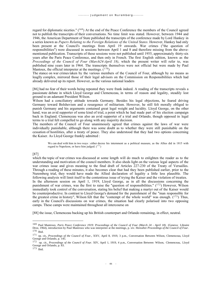regard for diplomatic niceties." (<sup>169</sup>) At the end of the Peace Conference the members of the Council agreed not to publish the transcripts of their conversations. No time limit was stated. However, between 1944 and 1946, the American Department of State published the transcripts of the conference made by Lord Hankey in a series known as *Papers Relating to the Foreign Relations of the United States*. However, Hankey had only been present at the Council's meetings from April 19 onwards. War crimes ("the question of responsibilities") were discussed in sessions between April 1 and 8 and therefore missing from the abovementioned publication. Transcripts of these sessions were not published until 1955, approximately thirty-six years after the Paris Peace Conference, and then only in French. The first English edition, known as the *Proceedings of the Council of Four (March24-April 18)*, which the present writer will refer to, was published nine years later in 1964. The transcripts themselves were not official but were made by Paul Mantoux, the official interpreter at the meetings.  $(170)$ 

The stance on war crimes taken by the various members of the Council of Four, although by no means as leaglly complex, mirrored those of their legal advisors on the Commission on Responsibilities which had already delivered up its report. However, as the various national leaders

[86] had no fear of their words being repeated they were frank indeed. A reading of the transcripts reveals a passionate debate in which Lloyd George and Clemenceau, in terms of reason and legality, steadily lost ground to an adamant President Wilson.

Wilson had a conciliatory attitude towards Germany. Besides his legal objections, he feared driving Germany toward Bolshevism and a resurgence of militarism. However, he still felt morally obliged to punish Germany and his arguments contained great legal weight and lucidity. Lloyd George, on the other hand, was an avid supporter of some kind of trial, a point which he had made part of his election campaign back in England. Clemenceau was also an avid supporter of a trial and Orlando, though opposed in legal terms to a trial felt compelled to go along with any majority decision.

The members of the Council of Four unanimously agreed that crimes against the laws of war were individually punishable, although there was some doubt as to whether they were still punishable on the cessation of hostilities, after a treaty of peace. They also understood that they had two options concerning the Kaiser. As Lloyd George frankly admitted :

We can deal with him in two ways : either decree his internment as a political measure, as the Allies did in 1815 with regard to Napoleon, or have him judged.  $(^{171})$ 

#### [87]

which the topic of war crimes was discussed at some length will do much to enlighten the reader as to the understanding and motivation of the council members. It also sheds light on the various legal aspects of the war crimes issue and gives meaning to the final draft of Articles 227-230 of the Treaty of Versailles. Through a reading of these minutes, it also becomes clear that had they been published earlier, prior to the Nuremberg trial, they would have made the Allied declaration of legality a little less plausible. The following analysis will limit itself to the contentious issue of trying the Kaiser and the violation of treaties. In the afternoon session on April 1, 1919, Lloyd George, as in all the discussions concerning the punishment of war crimes, was the first to raise the "question of responsibilities."  $(172)$  However, Wilson immediatly took control of the conversation, stating his belief that making a martyr out of the Kaiser would be counterproductive. In contrast to Lloyd George's demand for the punishment of the "man responsible for the greatest crime in history", Wilson felt that the "contempt of the whole world" was enough.  $(173)$  Thus, early in the Council's discussions on war crimes, the situation had clearly polarised into two opposing camps. These camps were maintained throughout all intercourse on

[88] the issue, Clemenceau backing up his British counterpart and Orlando remaining, in effect, neutral.

<sup>169</sup> Paul Mantroux, *Paris Peace Conference 1919: Proceedings of the Council of Four (March 24 - April 18)*. (Geneva: Libraire Droz, 1964), introduction by Paul Mantroux who was interpreter at the meetings, p. xiv. Hereafter *Proceedings of the Council of Four*. <sup>170</sup> Ibid.

<sup>171</sup> op. cit., *Proceedings of the Council of Four.*, XXV, April 8, 1919, 3 p.m., Conversation Between Wilson, Clemenceau, Lloyd George and Orlando, p. 145.

<sup>172</sup> op. cit., *Proceedings of the Council of Four*. XIV, April 1, 1919, 4 p.m., Conversation Between Wilson, Clemenceau, Lloyd George and Orlando, p. 83.

<sup>173</sup> Ibid.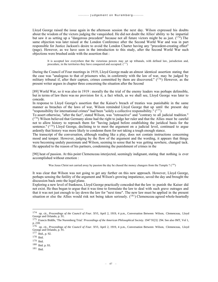Lloyd George raised the issue again in the afternoon session the next day. Wilson expressed his doubts about the wisdom of the victors judging the vanquished. He did not doubt the Allies' ability to be impartial but saw it as setting up a "dangerous precedent" because not all future victors might be as just.  $(174)$  The same objection was later raised at the London Conference after the Second World War and was in part responsible for Justice Jackson's desire to avoid the London Charter having any "precedent-creating effect" (page). However, as we have seen in the introduction to this study, after the Second World War such objections were brushed aside with the assertion that :

It is accepted law everywhere that the victorious powers may set up tribunals, with defined law, jurisdiction and, procedure, in the territories they have conquered and occupied.  $(^{175})$ 

During the Council of Four meetings in 1919, Lloyd George made an almost identical assertion stating that the case was "analogous to that of prisoners who, in conformity with the law of war, may be judged by military tribunal if, after their capture, crimes committed by them are discovered." (176) However, as the present writer argues in chapter three concerning the situation after the Second

[89] World War, so it was also in 1919 : morally the the trial of the enemy leaders was perhaps defensible, but in terms of law there was no provision for it, a fact which, as we shall see, Lloyd George was later to concede.

In response to Lloyd George's assertion that the Kaiser's breach of treaties was punishable in the same manner as breaches of the laws of war, Wilson reminded Lloyd George that up until the present day "responsibility for international crimes" had been "solely a collective responsibility."  $(177)$ 

To assert otherwise, "after the fact", stated Wilson, was "retroactive" and "contrary to all judicial tradition."  $(178)$  Wilson believed that Germany alone had the right to judge her ruler and that the Allies must be careful not to allow history to reproach them for "having judged before establishing the juridical basis for the sentence."  $(179)$  Lloyd George, declining to to meet the argument on a judicial level, continued to argue ardently that history was more likely to condemn them for not taking a tough enough stance.

The transcript of the conversation, although reading like a play, does not contain instructions concerning mood and temper. However, judging by the flow of the argument and the wording, it appears that things were becoming unduly passionate and Wilson, seeming to sense that he was getting nowhere, changed tack. He appealed to the reason of his partners, condemning the punishment of crimes in the

[90] heat of passion. At this point Clemenceau interjected, seemingly indignant, stating that nothing is ever accomplished without emotion :

Was Jesus Christ not carried away by passion the day he chased the money changers from the Temple ? (<sup>180</sup>)

It was clear that Wilson was not going to get any further on this new approach. However, Lloyd George, perhaps sensing the futility of the argument and Wilson's growing impatience, saved the day and brought the discussion back onto the legal plane.

Exploring a new level of frankness, Lloyd George practically conceded that the law to punish the Kaiser did not exist. He thus began to argue that it was time to formulate the law to deal with such grave outrages and that it was not just enough to lay down the law for "next time". The new law must be applied in the present situation or else the Allies would risk not being taken seriously.  $(^{181})$  Clemenceau agreed whole-heartedly

<sup>174</sup> op. cit., *Proceedings of the Council of Four*. XVI, April 2, 1919, 4 p.m., Conversation Between Wilson, Clemenceau, Lloyd George and Orlando, p. 91.

<sup>175</sup> Francis Biddle, 'The Nuremberg Trial.' *Proceedings of the American Philosophical Society*. 1947 91[3]: 294. See also IMT, Vol 1, p. 218.

<sup>176</sup> op. cit., *Proceedings of the Council of Four*. XVI, April 2, 1919, 4 p.m., Conversation Between Wilson, Clemenceau, Lloyd George and Orlando, p. 91.

<sup>177</sup> Ibid., p. 92. <sup>178</sup> Ibid.

<sup>179</sup> Ibid.

<sup>180</sup> Ibid. p. 93.

<sup>181</sup> Ibid.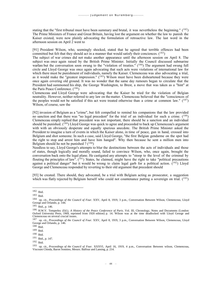stating that the "first tribunal must have been summary and brutal, it was nevertheless the beginning."  $(182)$ The Prime Ministers of France and Great Britain, having lost the argument on whether the law to punish the Kaiser existed, were now plainly advocating the formulation of retroactive law. The last word in the afternoon session on April 2 went to

[91] President Wilson, who, seemingly shocked, stated that he agreed that terrible offences had been committed but felt that they should act in a manner that would satisfy their conciences.  $(^{183})$ 

The subject of war crimes did not make another appearance until the afternoon session on April 8. The subject was once again raised by the British Prime Minister. Initially the Council discussed submarine warfare but the conversation soon swung to the "violation of treaties." (<sup>184</sup>) The argument had swung full circle and Lloyd George was once again advocating that such acts were violations of international law for which there must be punishment of individuals, namely the Kaiser. Clemenceau was also advocating a trial, as it would make the "greatest impression." (<sup>185</sup>) Wilson must have been disheartened because they were once again covering old ground. It was no wonder that the same day rumours began to circulate that the President had summoned his ship, the George Washington, to Brest, a move that was taken as a "hint" at the Paris Peace Conference.  $(^{186})$ 

Clemenceau and Lloyd George were advocating that the Kaiser be tried for the violation of Belgian neutrality. However, neither referred to any law on the matter. Clemenceau believed that the "consciences of the peoples would not be satisfied if this act were treated otherwise than a crime at common law."  $(187)$ Wilson, of course, saw the

[92] invasion of Belgium as a "crime", but felt compelled to remind his companions that the law provided no sanction and that there was "no legal precedent" for the trial of an individual for such a crime.  $(188)$ Clemenceau simply replied that precedent was not important, there should be a sanction and an individual should be punished.  $(189)$  Lloyd George was quick to agree and proceeded to back up Clemenceau's argument with with an obviously desperate and equally spurious anecdote. The British Prime Minister asked the President to imagine a turn of events in which the Kaiser alone, in time of peace, gun in hand, crossed into Belgium and shot someone. In such a case, said Lloyd George, "the first Belgian gendarme on the spot had the right to stop and arrest him and have him hanged". Why then because he sent a million men into Belgium should he not be punished  $? (^{190})$ 

Needless to say, Lloyd George's attempts to blur the destinctions between the acts of individuals and those of states, though logically and morally sound, failed to convince Wilson, who, once again, brought the conversation back onto the legal plane. He castigated any attempts to "stoop to the level of the criminal by flouting the principles of law".  $(191)$  States, he claimed, might have the right to take "political precautions" against a political danger" but it would be wrong to claim legal garb for a political action.  $(192)$  Lloyd George and Clemenceau responded by reverting to their old argument that precedent should

[93] be created. There should, they advocated, be a trial with Belgium acting as prosecutor, a suggestion which was flatly rejected by Belgium herself who could not countenance putting a sovereign on trial.  $(193)$ 

<sup>189</sup> Ibid.

<sup>182</sup> Ibid.

<sup>183</sup> Ibid.

<sup>184</sup> op. cit., *Proceedings of the Council of Four*. XXV, April 8, 1919, 3 p.m., Conversation Between Wilson, Clemenceau, Lloyd George and Orlando, p. 144.

<sup>185</sup> Ibid., p. 146.

<sup>186</sup> H.W.V. Temperley (Ed.), *A History of the Peace Conference of Paris*. Vol. III, Chronology, Notes and Documents (London: Oxford University Press, 1969, reprinted from 1920 edition) p. 14. Wilson was at the time deadlocked with Lloyd George and Clemenceau on several crucial issues.

<sup>187</sup> op. cit., *Proceedings of the Council of Four.* XXV, April 8, 1919, 3 p.m., Conversation Between Wilson, Clemenceau, Lloyd George and Orlando, p. 146.

<sup>188</sup> Ibid.

<sup>190</sup> Ibid.

<sup>191</sup> Ibid., p. 147.

<sup>192</sup> Ibid.

<sup>193</sup> op. cit., *Proceedings of the Council of Four*. XXXVI, April 16, 1919, 4 p.m., Conversation Between wilson, Clemenceau, Viscount Chinda, Baron Sonnino, Messrs. Balfour and Lansing, p. 214.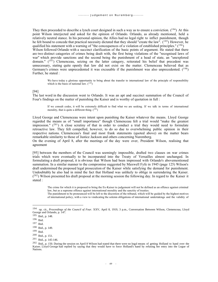They then proceeded to describe a lynch court designed in such a way as to ensure a conviction.  $(194)$  At this point Wilson interjected and asked for the opinion of Orlando. Orlando, as already mentioned, held a relatively neutral stance. In his personal opinion, the Allies had no legal right to inflict punishment, though he felt bound to concede that practical necessity dictated that they should "create the law". (195) However, he qualified his statement with a warning of "the concequences of a violation of established principles."  $(196)$ 

Wilson followed Orlando with a succinct clarification of the basic points of argument. He stated that there are two distinct catagories of crimes being dealt with, the first being violations of the "recognised laws of war" which provide sanctions and the second being the punishment of a head of state, an "unexplored domain."  $(197)$  Clemenceau, seizing on the latter catagory, reiterated his belief that precedent was unnecessary, stating quite openly that law did not exist on the matter. Clemenceau believed that as Germany's crimes were unprecedented it was excusable if the punishment was also unprecedented. (<sup>198</sup>) Further, he stated :

We have today a glorious opportunity to bring about the transfer to international law of the principle of responsibility which is the basis of national law.  $(^{199})$ 

#### [94]

The last word in the discussion went to Orlando. It was an apt and succinct summation of the Council of Four's findings on the matter of punishing the Kaiser and is worthy of quotation in full :

If we consult codes, it will be extremely difficult to find what we are seeking. If we talk in terms of international morality, that is quite a different thing.  $(^{200})$ 

Lloyd George and Clemenceau were intent upon punishing the Kaiser whatever the means. Lloyd George regarded the means as of "small importance" though Clemenceau felt a trial would "make the greatest impression."  $(^{201})$  A close scrutiny of that in order to conduct a trial they would need to formulate retroactive law. They felt compelled, however, to do so due to overwhelming public opinion in their respective nations. Clemenceau's final and most frank statements (quoted above) on the matter bears remarkable similarity to those of Justice Jackson and others concerning Nuremberg.

On the evening of April 8, after the meetings of the day were over, President Wilson, realising that agreement

[95] between the members of the Council was seemingly impossible, drafted two clauses on war crimes trials which were eventually to be incorparated into the Treaty of Versailles almost unchanged. In formulating a draft proposal, it is obvious that Wilson had been impressed with Orlando's abovementioned summation. In a similar manner to the compromise suggested by Maxwell Fyfe in 1945 (page 125) Wilson's draft undermined the proposed legal prosecution of the Kaiser while satisfying the demand for punishment. Undoubtably he also had in mind the fact that Holland was unlikely to oblige in surrendering the Kaiser.  $(202)$  Wilson presented his draft proposal at the morning session the following day. In regard to the Kaiser it stated :

The crime for which it is proposed to bring the Ex-Kaiser to judgement will not be defined as an offence against criminal law, but as a supreme offence against international morality and the sanctity of treaties.

The punishment to be pronounced will be left to the discretion of the tribunal, which will be guided by the highest motives of international policy, with a view to vindicating the solemn obligations of international undertakings and the validity of

<sup>194</sup> op. cit., *Proceedings of the Council of Four*. XXV, April 8, 1919, 3 p.m., Conversation Between Wilson, Clemenceau, Lloyd George and Orlando, p. 147.

<sup>195</sup> Ibid., p. 148.

<sup>196</sup> Ibid.

<sup>197</sup> Ibid.

<sup>198</sup> Ibid., p. 149.

<sup>199</sup> Ibid.

<sup>200</sup> Ibid., p. 151.

<sup>201</sup> Ibid., p. 145-146.

<sup>&</sup>lt;sup>202</sup> Ibid., p. 150. During the session on April 8 Wilson had stated that there were no legal means of getting Holland to hand over the Kaiser. Lloyd George had replied by saying that they would have to force Holland's hand by refusing her entry into the Legue of Nations.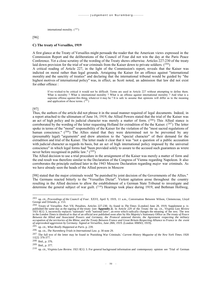international morality.  $(^{203})$ 

## [96]

#### **C) The treaty of Versailles, 1919**

A first glance at the Treaty of Versailles might persuade the reader that the American views expressed in the Commission Report and the deliberations of the Council of Four did not win the day at the Paris Peace Conference. Yet a close scrutiny of the wording of the Treaty shows otherwise. Articles 227-230 of the treaty laid down provision for the trial of war criminals from the Kaiser down to private soldiers.  $(2^{04})$ 

A critical reading of Article 227, in the light of the Commission's report, reveals that the Kaiser was indicted on moral rather than legal grounds. Arraigning the Kaiser for an offence against "international morality and the sanctity of treaties" and declaring that the international tribunal would be guided by "the highest motives of international policy" was, in effect, as Scott noted, an admission that law did not exist for either offence :

If we wished to be critical it would not be difficult. Terms are used in Article 227 without attempting to define them. What is morality ? What is international morality ? What is an offense against international morality ? And what is a supreme offense against this thing, whatever it may be ? It is safe to assume that opinions will differ as to the meaning and application of these terms.  $(^{205})$ 

## [97]

Thus, the authors of the article did not phrase it in the usual manner required of legal documents. Indeed, in a report attached to the ultimatum of June 16, 1919, the Allied Powers stated that the trial of the Kaiser was an act of high policy and its judicial character was merely a matter of form.  $(206)$  This Allied stance is corroborated by the wording of the letter requesting Holland for extradition of the the Kaiser.  $(2^{07})$  The letter spoke in terms of the "moral" responsibility of the Kaiser for the violation of the "most sacred regulations of human conscience."  $(^{208})$  The Allies stated that they were determined not to be prevented by any (presumably legal) "arguments" and drew attention to the "special character" of their demand for the extradition and trial of the Kaiser. The letter made it clear that it was "not a question of a public accusation with judicial character as regards its basis, but an act of high international policy imposed by the universal conscience" in which legal forms had "been provided solely to assure to the accused such guarantees as wrere never before recognised in public law."  $(^{209})$ 

The Allied decision to use a trial procedure in the arraignment of the Kaiser was merely a matter of form and the end result was therefore similar to the Declaration of the Congress of Vienna regarding Napoleon. It also corroborates the principle outlined later in the 1943 Moscow Declaration regarding *major* war criminals. As we have already seen the heads of the Allied powers in Moscow

[98] stated that the major criminals would "be punished by joint decision of the Governments of the Allies." The Germans reacted bitterly to the "Versailles Dictat". Violent agitation arose throughout the country resulting in the Allied decision to allow the establishment of a German State Tribunal to investigate and determine the general subject of war guilt.  $(^{210})$  Hearings took place during 1919, and Bethman Hollweg,

<sup>203</sup> op. cit., *Proceedings of the Council of Four*. XXVI, April 9, 1919, 11 a.m., Conversation Between Wilson, Clemenceau, Lloyd George and Orlando, p. 153.

<sup>204</sup> Treaty of Versailles. Part VII, Penalties, Articles 227-230. As found in *The Times* [London] June 28, 1919, Supplement p. iv. published the same day as the signing of the treaty (see **Appendix 2**). In Article 229 of the Treaty the op. cit., *Virginia Law Review*<br>1921 8[1]: 3, incorrectly replaces "nationals" with "national laws", an error which r in the *London Times* is identical to that of an official text published soon after by His Majesty's Stationary Office as *The treaty of Peace Between the Allied and Associated Powers and Germany, the Protocol annexed thereto, the Agreement respecting the military occupation of the territories of the Rhine, and the Treaty Between France and Great Britain Respecting Alliance to France in the event of unprovoked aggression by Germany. Signed at Versailles, June 28th, 1919*. (London: HMSO, 1919).

<sup>205</sup> op. cit., *What Really Happened at Paris*. p. 239.

<sup>206</sup> op. cit., *The Nuremberg Trials in International Law*. p. 30 note 29.

<sup>207</sup> The full text of the letter may be found in 'Punishing War Criminals.' *Current History Magazine of the New York Times*. 1920 11[2]: 376-377.

<sup>208</sup> Ibid., p. 376.

<sup>209</sup> Ibid., p. 377.

<sup>210</sup> op. cit., *Virginia Law Review*. 1921 8[1]: 3. For general background information and contemporary opinion see 'Trial of German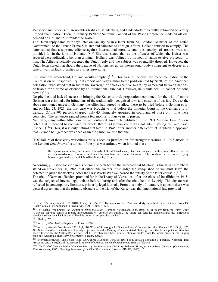Vansdorff and other German notables testified. Hindenberg and Ludendorff reluctantly submitted to a very limited examination. Then, in January 1920 the Supreme Council of the Peace Conference made an official demand on Holland to surrender the Kaiser.

The Dutch reply came four days later on January 24 in a letter from M. Loudon, Minister of the Dutch Government, to the French Prime Minister and Minister of Foreign Affairs. Holland refused to comply. The letter stated that a supreme offence against international morality and the sanctity of treaties was not provided for in the laws of Holland.  $(2^{11})$  She also stated that as the offences of which the Kaiser was accused were political, rather than criminal, Holland was obliged by its neutral status to give protection to him. The Allies reluctantly accepted the Dutch reply and the subject was eventually dropped. However, the Dutch letter stated that should the League of Nations set up an international body competent to decree in a case of war, on facts qualified as crimes, providing

[99] sanctions beforehand, Holland would comply.  $(212)$  This was in line with the recommendation of the Commission on Responsibility in its report and very similar to the position held by Scott, of the American delegation, who stated that in future the sovereign or chief executive might, by agreement between nations, be triable for a crime or offence by an international tribunal. However, he maintained, "It cannot be done now."  $(213)$ 

Despite the total lack of success in bringing the Kaiser to trial, preparations continued for the trial of minor German war criminals, for infractions of the traditionally recognised laws and customs of warfare. Due to the above-mentioned unrest in Germany the Allies had agreed to allow these to be tried before a German court and on May 23, 1921, the first case was brought to trial before the Imperial Court in the German city of Leipzig. Of the 901 persons charged, only 45 ultimately appeared in court and of those only nine were convicted. The sentences ranged from a few months to four years in prison.

Naturally, many within Allied circles were outraged. An article published in the 1921 Virginia Law Review noted that it "tended to convince the world that this German court was not administering full and exact justice."  $(2^{14})$  Thus, it was only natural that later, in 1945, after another bitter conflict in which it appeared that German belligerence was once again the cause, we find that the

[100] failure of these early war crimes trials is seen as justification for stronger measures. A 1945 article in the London *Law Journal* is typical of the post-war attitude when it noted that :

The experiment of letting the national tribunals of the defeated enemy try their subjects for their war offences proved utterly unsatisfactory. This time the United Nations have been more determined. The courts of the victors are trying those charged with acts which horrified humanity.  $(^{215})$ 

Accordingly, Justice Jackson in his opening speech before the International Military Tribunal in Nuremberg stated on November 20, 1945, that either "the victors must judge the vanquished or we must leave the defeated to judge themselves. After the First World War we learned the futility of the latter course."  $(2^{16})$ The trial of German offenders provided for in the Treaty of Versailles, after the close of hostilities in 1918, was the subject of intense legal debate before, during and after the trials held in Leipzig. This debate was reflected in contemporary literature, primarily legal journals. From this body of literature it appears there was general agreement that the primary obstacle to the trial of the Kaiser was that international law provided

Officers.' *The Independent*. 1920 101[February 14]: 252-253; Hermann Wendel, 'National Martyrs and Matters of Opinion.' from Die Glocke. (July 11) republished in *Living Age*. 1921 31[4030]: 35-37.

<sup>211</sup> M. Lachs, *War Crimes: An Attempt to Define the Issues*. (Lomdon: Stevens and Sons, 1945) p. 58, quotes from the Dutch letter: "L'offense supreme contre la morale internationale et l'autorité des traités ... ne figure pas dans les nomenclatures des infractions pénales inséreés dans les lois des Hollandais ou les traités par elle conclus."

 $212$  Ibid., p. 57.

<sup>213</sup> op. cit., *What Really Happened at Paris*. p. 238.

<sup>214</sup> op. cit., *Virginia Law Review* 1921 8 [1]: 16; 'Trial of Sovereigns for State and War Offences.' *Juridical Review* 1931 43 [2]: 176; *The Times* described the trials as a "travesty of justice," and the *Evening Standard* stated "Leipzig, from the Allies' point of view has been a farce." see the *Fortnightly Review*. 1921 116 [September]: 420. For a selection of quotes from the world press on the Leipzig trials see 'Acquittals That Convict Germany.' *Literary Digest*.

<sup>215</sup> Norman Bentwich, 'The Belsen Trial.' *Law Journal*. (London) 1945 95[4167]: 394. See also Benjamin B. Ferencz, 'Nürnberg Trial Procedure and the Rights of the Accused.' J*ournal of Criminal Law and Criminology.* 1948 39 [2]: 145.

<sup>216</sup> *The Trial of German Major War Criminals by the International Military Tribunal Sitting at Nuremberg Germany (Commencing 20th November, 1945). Opening Speeches of the Chief Prosecutors.* (London: HMSO, 1946) p. 5.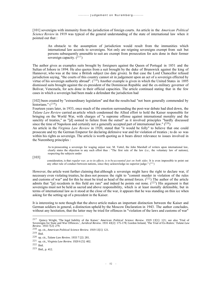[101] sovereigns with immunity from the jurisdiction of foreign courts. An article in the *American Political Science Review* in 1919 was typical of the general understanding of the state of international law when it pointed out that :

An obstacle to the assumption of jurisdiction would result from the immunities which international law accords to sovereigns. Not only are reigning sovereigns exempt from suit but persons subsequently amenable to suit are exempt from prosecution for acts done in their former sovereign capacity.  $(217)$ 

The author gives as examples suits brought by foreigners against the Queen of Portugal in 1851 and the Sultan of Johore in 1894. He also quotes from a suit brought by the duke of Brunswick against the king of Hannover, who was at the time a British subject (no date given). In that case the Lord Chancellor refused jurisdiction saying, "the courts of this country cannot sit in judgement upon an act of a sovereign effected by virtue of his sovereign authority abroad".  $(218)$  Another example is given in which the United States in 1895 dismissed suits brought against the ex-president of the Dominican Republic and the ex-military governor of Bolivar, Venezuela, for acts done in their official capacities. The article continued stating that in the few cases in which a sovereign had been made a defendant the jurisdiction had

[102] been created by "extraordinary legislation" and that the results had "not been generally commended by historians."  $(219)$ 

Fourteen years later, in 1933, once much of the emotion surrounding the post-war debate had died down, the *Tulane Law Review* carried an article which condemned the Allied effort to hold the Kaiser responsible for bringing on the World War, with charges of "a supreme offense against international morality and the sanctity of treaties," as "[d] oomed to failure from the outset" as it involved principles "hardly discussed since the time of Napoleon and certainly not a generally accepted part of international law."  $(^{220})$ 

An article in the *Virginia Law Review* in 1920, stated that "it would be folly" to believe that one could prosecute and try the German Emperor for declaring defensive war and for violation of treaties ; to do so was within his rights as sovereign. The article is worth quoting as it bears direct relevance to issues involved in the Nuremberg principles :

As to prosecuting a sovereign for waging unjust war, M. Vattel, the John Marshall of writers upon international law, clearly states the objection to any such effort thus : "The first rule of the law (i.e., the voluntary law of nations), respecting the subjects under

[103]

consideration, is that *regular war, as to its effects, is to be accounted just on both sides*. It is even impossible to point out any other rule of conduct between nations, since they acknowledge no superior judge."  $(2^{21})$ 

However, the article went further claiming that although a sovereign might have the right to declare war, if necessary even violating treaties, he does not possess the right to "commit murder in violation of the rules and customs of war" and for this he must be tried as head of the armed forces.  $(^{222})$  The author of the article admits that "[p] recedents in this field are rare" and indeed he points out none.  $(2^{23})$  His argument is that sovereigns must not be held as sacred and above responsibility, which is at least morally defensible, but in terms of international law as it stood at the close of the war, it appears that he was standing on thin ice when asking for the setting up of a precedent in the Kaiser.

It is interesting to note though that the above article makes an important distinction between the Kaiser and German soldiers in general, a distinction upheld by the Moscow Declaration in 1943. The author concludes, without any hesitation, that the latter may be tried for offences in "violation of the laws and customs of war"

<sup>217</sup> Quincy Wright, 'The legal liability of the Kaiser.' *American Political Science Review*. 1919 13[1]: 121; see also 'Trial of Sovereigns for State and War Offences.', *Juridical Review*. 1931 43[2]: 175-178; Gordon Ireland, 'The Trial of Ex-Rulers.' *Tulane Law Review.* 1933 7[2]: 279.

<sup>218</sup> op. cit., *American Political Science Review.* 1919 13[1]: 121.

<sup>219</sup> Ibid.

<sup>220</sup> op. cit., *Tulane Law Review.* 1933 7 [2]: 281.

<sup>221</sup> op. cit., *Virginia Law Review*. 1920 6 [5]: 402.

 $222$  Ibid.

<sup>223</sup> Ibid., p. 412.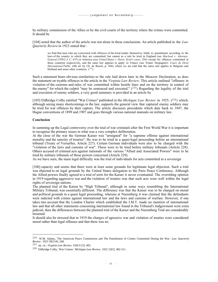by military commission of the Allies or by the civil courts of the territory where the crimes were committed. It should be

[104] noted that the author of the article was not alone in these conclusions. An article published in the *Law Quarterly Review* in 1923 stated that :

we find that men who are concerned with offences of the kind render themselves liable to punishment according to the laws of the country in which they are committed, but cannot as a rule be tried in England (see *Macleod v. Attorney-General [1891] A. C. 455*) or America (see *United States v. Davis, Scott's cases, 294*) except for offences committed in those countries respectively, and the same law appears to apply to France (see Frantz Despagnet's *Cours de Droit International Public* (4th ed. by Ch. de Boeck, p. 384), where we are told that the same rule applies to Belgium and Holland and some other countries.  $(^{224})$ 

Such a statement bears obvious similarities to the rule laid down later in the Moscow Declaration, as does the statement on tryable offences in the article in the *Virginia Law Review*. This article outlined "offenses in violation of the customs and rules of war committed within hostile lines and on the territory in control of the enemy" for which the culprit "may be sentenced and executed."  $(^{225})$  Regarding the legality of the trial and execution of enemy soldiers, a very good summary is provided in an article by

[105] Eldbridge Colby entitled "War Crimes" published in the *Michigan Law Review* in 1925, (<sup>226</sup>) which, although seeing many shortcomings in the law, supports the general view that captured enemy soldiers may be tried for war offences by their captors. The article discusses precedents which date back to 1847, the Hague conventions of 1899 and 1907 and goes through various national manuals on military law.

## **Conclusion**

In summing up the Legal controversy over the trial of war criminals after the First World War it is important to recognise the primary issues in what was a very complex deliberation.

At the close of the war the German Kaiser was "arraigned" for "a supreme offense against international morality and the sanctity of treaties". He was to be tried in a quasi-legal proceeding before an international tribunal (Treaty of Versailles, Article 227). Certain German individuals were also to be charged with the "violation of the laws and customs of war". These were to be tried before military tribunals (Article 228). Others accused of criminal acts against nationals of the various "Allied and Associated Powers" were to be tried by military tribunals of those powers concerned (Article 229).

As we have seen, the main legal difficulty was the trial of individuals for acts committed in a sovereign

[106] capacity and seems that there were at least some grounds for legitimate legal objection. Such a trial was objected to on legal grounds by the United States delegation to the Paris Peace Conference. Although the Allied powers finally agreed to a trial of sorts for the Kaiser it never eventuated. The overriding opinion in 1919 regarding aggressive war and the violation of treaties was that such acts were well within the legal rights of sovereign nations.

The planned trial of the Kaiser by "High Tribunal", although in some ways resembling the International Military Tribunal, was essentially different. The difference was that the Kaiser was to be charged on moral and political grounds in a quasi legal proceeding, whereas at Nuremberg it was claimed that the defendants were indicted with crimes against international law and the laws and customs of warfare. However, if one takes into account that the London Charter which established the I.M.T. made no mention of international law and that all other statements concerning international law found in the Tribunal's Judgewment were extra judicial, then the differences between the planned trial of the Kaiser and the Nuremberg Trial are considerably lessened.

It should also be stressed that in 1919 the charges of agressive war and violation of treaties were considered moral rather than legal offenses and that there was no

<sup>224</sup> W.M. Adams, 'The American Peace Commission and The Punishment of Crimes Committed During the War.' *Law Quarterly Review*. 1923 39[154]: 248.

<sup>225</sup> op. cit., *Virginia Law Review.* 1920 6 [5]: 405.

<sup>226</sup> Eldbridge Colby, 'War Crimes.' *Michigan Law Review*. 1925 23[5]: 482-511.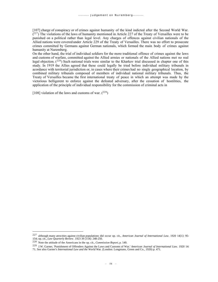[107] charge of conspiracy or of crimes against humanity of the kind indicted after the Second World War.  $(227)$  The violations of the laws of humanity mentioned in Article 227 of the Treaty of Versailles were to be punished on a political rather than legal level. Any charges of offences against civilian nationals of the Allied nations were covered under Article 229 of the Treaty of Versailles. There was no effort to prosecute crimes committed by Germans against German nationals, which formed the main body of crimes against humanity at Nuremberg.

On the other hand, the trial of individual soldiers for the more traditional offence of crimes against the laws and customs of warfare, committed against the Allied armies or nationals of the Allied nations met no real legal objection. (<sup>228</sup>) Such national trials were similar to the Kharkov trial discussed in chapter one of this study. In 1919 the Allies agreed that these could legally be tried before individual military tribunals in acordance with territorial jurisdiction or, in cases where their crimes had no single geographical location, by combined military tribunals composed of members of individual national military tribunals. Thus, the Treaty of Versailles became the first international treaty of peace in which an attempt was made by the victorious belligerent to enforce against the defeated adversary, after the cessation of hostilities, the application of the principle of individual responsibility for the commission of criminal acts in

[108] violation of the laws and customs of war.  $(^{229})$ 

<sup>227</sup> although many atrocities against civilian populations did occur op. cit., *American Journal of International Law*. 1920 14[1]: 95- 154; op. cit., *Law Quarterly Review*. 1923 39 [154]: 248-250.

<sup>228</sup> Note the attitude of the Americans in the op. cit., *Commission Report*, p. 140.

<sup>229</sup> J.W. Garner, 'Punishment of Offenders Against the Laws and Customs of War.' *American Journal of International Law*. 1920 14: 71. See also Garner's *International Law and the World Wa*r. (London: Longmans, Green and Co., 1920) p. 471.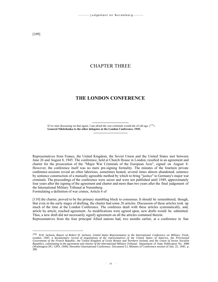## CHAPTER THREE

## **THE LONDON CONFERENCE**

---------------------------------- If we start discussing on that again, I am afraid the war criminals would die of old age.  $(^{230})$ **General Nikitchenko to the other delegates at the London Conference, 1945.** --------------------------------

Representatives from France, the United Kingdom, the Soviet Union and the United States met between June 26 and August 8, 1945. The conference, held at Church House in London, resulted in an agreement and charter for the prosecution of the "Major War Criminals of the European Axis", signed on August 8. However, the conference itself was no mere pre-signing formality. The minutes of the fourteen private conference sessions reveal an often laborious, sometimes heated, several times almost abandoned, sentence by sentence construction of a mutually agreeable method by which to bring "justice" to Germany's major war criminals. The proceedings of the conference were secret and were not published until 1949, approximately four years after the signing of the agreement and charter and more than two years after the final judgement of the International Military Tribunal at Nuremberg. Formulating a definition of war crimes, Article 6 of

[110] the charter, proved to be the primary stumbling block to consensus. It should be remembered, though, that even in the early stages of drafting, the charter had some 26 articles. Discussion of these articles took up much of the time at the London Conference. The conferees dealt with these articles systematically, and, article by article, reached agreement. As modifications were agreed upon, new drafts would be submitted.

Thus, a new draft did not necessarily signify agreement on all the articles contained therein.

Representatives from the four principal Allied nations had, two months earlier, at a conference in San

<sup>230</sup> R.H. Jackson, *Report of Robert H. Jackson, United States Representative to the International Conference on Military Trials, London, 1945: a documentary record of negotiations of the representatives of the United States of America, the Provisional Government of the French Republic, the United Kingdom of Great Britain and Northern Ireland, and the Union of Soviet Socialist* Republics, culminating in the agreement and charter of the International Military Tribunal. Department of State Publication No. 3080<br>(Washington DC: GPO, 1949). Hereafter International Conference. Document LI. Minutes of C 389.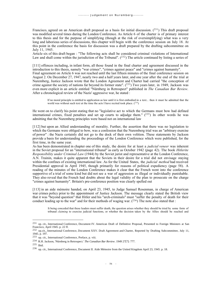Francisco, agreed on an American draft proposal as a basis for initial discussion.  $(^{231})$  This draft proposal was modified several times during the London Conference. As Article 6 of the charter is of primary interest to this thesis and for the purpose of simplifying (though at the risk of oversimplifying) what was a very long and laborious series of discussions, this chapter will begin with the conference session on July 18. At this point in the conference the basis for discussion was a draft prepared by the drafting subcommittee on July 11, 1945.

Article six of this draft began : "The following acts shall be considered criminal violations of International Law and shall come within the jurisdiction of the Tribunal".  $(^{232})$  The article continued by listing a series of

[111] offences including, in infant form, all those found in the final charter and agreement discussed in the introduction to this thesis, namely "war crimes", "crimes against peace" and "crimes against humanity". Final agreement on Article 6 was not reached until the last fifteen minutes of the final conference session on August 2. On December 27, 1947, nearly two and a half years later, and one year after the end of the trial at Nuremberg, Justice Jackson wrote that the London Agreement and Charter had carried "the conception of crime against the society of nations far beyond its former state". (233) Two years later, in 1949, Jackson was even more explicit in an article entitled "Nürnberg in Retrospect" published in *The Canadian Bar Review*. After a chronological review of the Nazis' aggressive war, he stated :

If no moral principle is entitled to application as law until it is first embodied in a text... then it must be admitted that the world was without such text at the time the acts I have recited took place.  $(2^{34})$ 

He went on to clarify his point stating that no "legislative act to which the Germans must bow had defined international crimes, fixed penalties and set up courts to adjudge them."  $(^{235})$  In other words he was admitting that the Nuremberg principles were based not on international law

[112] but upon an Allied understanding of morality. Further, the assertion that there was no legislation to which the Germans were obliged to bow, was a confession that the Nuremberg trial was an "arbitrary exercise of power" : the Nazis certainly did not go to the dock of their own volition. These statements by Jackson provide a basis for understanding the proceedings of the London Conference which were published, for the first time, in the same year.

As has been demonstrated in chapter one of this study, the desire for at least a *judicial veneer* was inherent in the Soviet proposal for an "international tribunal" as early as October 1942 (page 42). The book *Hitlerite Responsibility under Criminal Law* (1944) by the Soviet jurist and representative at the London Conference, A.N. Trainin, makes it quite apparent that the Soviets in their desire for a trial did not envisage staying within the confines of existing international law. As for the United States, the *judicial method* had received Presidential approval in April 1945, though primarily for reasons of political expediency (page 58). A reading of the minutes of the London Conference makes it clear that the French went into the conference supportive of a trial of some kind but did not see a war of aggression as illegal or individually punishable. They also reveal that the French had doubts about the legal validity of the plan to prosecute on the charge "crimes against humanity". Britain's pre-conference position was clearly spelled out

[113] in an aide mémoire handed, on April 23, 1945, to Judge Samuel Rosenman, in charge of American war crimes policy prior to the appointment of Justice Jackson. The message clearly stated the British view that it was "beyond question" that Hitler and his "arch-criminals" must "suffer the penalty of death for their conduct leading up to the war" and for their methods of waging war.  $(2^{36})$  The note also stated that :

It being conceded that these leaders must suffer death, the question arises whether they should be tried by some form of tribunal *claiming* to exercise judicial functions, or whether the decision taken by the Allies should be reached and

<sup>231</sup> op. cit., International Conference, Document IV. American Draft of Definitive Proposal, Presented to Foreign Ministers at San Francisco, April 1945. p. 22 ff.

<sup>&</sup>lt;sup>232</sup> op.cit., International Conference, Document XXV. Draft Agreement and Charter, Reported by Drafting Subcommittee, July 11, 1945. p. 197.

<sup>233</sup> op. cit., International Conference, Preface, p. viii.

<sup>234</sup> R.H. Jackson, 'Nürnberg in Retrospect.' *The Canadian Bar Review*. 1949 27[7]: 777.

<sup>235</sup> Ibid.

<sup>236</sup> op. cit., International Conference, Document II. Aide Mémoire from the United Kingdom April 23, 1945. p. 18.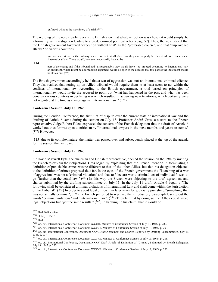enforced without the machinery of a trial.  $(^{237})$ 

The wording of the note clearly reveals the British view that whatever option was chosen it would simply be a formality, an investigation leading to a predetermined political action (page 57). Thus, the note stated that the British government favoured "execution without trial" as the "preferable course", and that "unprovoked attacks" on various countries :

are not war crimes in the ordinary sense, nor is it at all clear that they can properly be described as crimes under international law. These would, however, necessarily have to be

[114]

part of the charge and if the tribunal had - as presumably they would have - to proceed according to international law, an argument, which might be a formidable argument, would be open to the accused that this part of the indictment should be struck out.  $(238)$ 

The British government accordingly held that a war of aggression was not an international criminal offence. They also realised that setting up an Allied tribunal would require them to at least seem to act within the confines of international law. According to the British government, a trial based on principles of international law would invite the accused to point out "what has happened in the past and what has been done by various countries in declaring war which resulted in acquiring new territories, which certainly were not regarded at the time as crimes against international law."  $(^{239})$ 

## **Conference Session, July 18, 1945**

During the London Conference, the first hint of dispute over the current state of international law and the drafting of Article 6 came during the session on July 18. Professor André Gros, assistant to the French representative Judge Robert Falco, expressed the concern of the French delegation that the draft of Article 6 worked out thus far was open to criticism by "international lawyers in the next months and years to come."  $(240)$  However,

[115] due to its complex nature, the matter was passed over and subsequently placed at the top of the agenda for the session the next day.

## **Conference Session, July 19, 1945**

Sir David Maxwell Fyfe, the chairman and British representative, opened the session on the 19th by inviting the French to explain their objections. Gros began by explaining that the French intention in formulating a definition of punishable crimes was no different to that of the other Allies, but that his delegation objected to the definition of crimes proposed thus far. In the eyes of the French government the "launching of a war of aggression" was not a "criminal violation" and that to "declare war a criminal act of individuals" was to go "further than the actual law."  $(241)$  In this way the French were objecting to the draft agreement and charter submitted by the drafting subcommittee on July 11. In the July 11 draft, Article 6 began : "The following shall be considered criminal violations of International Law and shall come within the jurisdiction of the Tribunal".  $(242)$  In order to avoid legal criticism in later years for judicially punishing "something that was not actually criminal",  $(243)$  the French preferred to rephrase the introductory paragraph leaving out the words "criminal violations" and "International Law". (<sup>244</sup>) They felt that by doing so the Allies could avoid legal objections but "get the same results."  $(^{245})$  In backing up his claim, that it would be

<sup>237</sup> Ibid. Italics mine.

<sup>238</sup> Ibid., p. 18-19.

<sup>239</sup> Ibid.

<sup>240</sup> op. cit., International Conference, Document XXXIII. Minutes of Conference Session of July 18, 1945, p. 286.

<sup>241</sup> op. cit., International Conference, Document XXXVII. Minutes of Conference Session of July 19, 1945, p. 295.

<sup>242</sup> op. cit., International Conference, Document XXV. Draft Agreement and Charter, Reported by Drafting Subcommittee, July 11, 1945. p. 197.

<sup>243</sup> op. cit., International Conference, Document XXXVII. Minutes of Conference Session of July 19, 1945. p. 295.

<sup>244</sup> op. cit., International Conference, Document XXXV. Draft Article of Definition of "Crimes", Submitted by French Delegation, July 19, 1945. p. 293.

<sup>245</sup> op. cit., International Conference, Document XXXVII. Minutes of Conference Session of July 19, 1945. p. 296.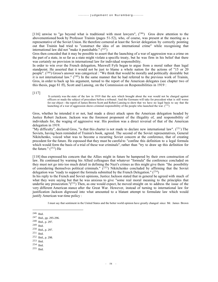[116] unwise to "go beyond what is traditional with most lawyers",  $(246)$  Gros drew attention to the abovementioned book by Professor Trainin (pages 51-52), who, of course, was present at the meeting as a representative of the Soviet Union. He therefore cornered at least the Soviet delegation by correctly pointing out that Trainin had tried to "construct the idea of an international crime" while recognising that international law did not "make it punishable."  $(247)$ 

Gros then conceded that it may be possible to assert that the launching of a war of aggression was a crime on the part of a state, in so far as a state might violate a specific treaty, but he was firm in his belief that there was certainly no provision in international law for individual responsibility.

In order to win over the French delegation, Maxwell Fyfe began to argue from a moral rather than legal standpoint. He asserted that it would not be just to blame a whole nation for the actions of "15 or 20 people". (<sup>248</sup>) Gross's answer was categorical : "We think that would be morally and politically desirable but it is not international law."  $(249)$  In the same manner that he had referred to the previous work of Trainin, Gros, in order to back up his argument, turned to the report of the American delegates (see chapter two of this thesis, page 81 ff), Scott and Lansing, on the Commission on Responsibilities in 1919 :

[117]

 It certainly was the state of the law in 1919 that the acts which brought about the war would not be charged against officers or made the subject of procedure before a tribunal. And the Germans will take for precedent what is still worse for our object - the report of James Brown Scott and Robert Lansing to show that we have no legal basis to say that the launching of a war of aggression shows criminal responsibility of the people who launched the war.  $(250)$ 

Gros, whether he intended it or not, had made a direct attack upon the American delegation headed by Justice Robert Jackson. Jackson was the foremost proponent of the illegality of, and responsibility of individuals for, the waging of aggressive war. His position was a direct reversal of that of the American delegation in 1919.

"My difficulty", declared Gros, "is that this charter is not made to declare new international law". (251) The Soviets, having been reminded of Trainin's book, agreed. The second of the Soviet representatives, General Nikitchenko, voiced what was to become a recurring Soviet concern at the conference, that of creating precedent for the future. He espoused that they must be careful to "confine this definition to a legal formula which would form the basis of a trial of these war criminals", rather than "try to draw up this definition for the future."  $(^{252})$  He

[118] thus expressed his concern that the Allies might in future be hampered by their own construction of law. He continued by warning his Allied colleagues that whatever "formula" the conference concluded on they must not go into too much detail in defining the Nazi's crimes as this might give them "the possibility of considering themselves political criminals."  $(253)$  Nikitchenko concluded by affirming that the Soviet delegation was "ready to support the formula submitted by the French Delegation."  $(254)$ 

In his reply to the French and Soviet opinions, Justice Jackson stated that in general he agreed with much of what they were saying but that he was anxious to give "some real moral meaning to the principles that underlie any prosecution." $(^{255})$  Then, as one would expect, he moved straight on to address the issue of the very different American stance after the Great War. However, instead of turning to international law for justification Jackson digressed into what amounted to a blatant attempt to formulate law which would justify American war-time policy :

I must say that sentiment in the United States and the better world opinion have greatly changed since Mr. James Brown

<sup>253</sup> Ibid.

<sup>246</sup> Ibid.

<sup>247</sup> Ibid., pp. 295-296.

<sup>248</sup> Ibid., p. 297.

<sup>249</sup> Ibid.

<sup>250</sup> Ibid., p. 297.

<sup>251</sup> Ibid.

<sup>252</sup> Ibid., p. 298.

<sup>254</sup> Ibid.

<sup>255</sup> Ibid.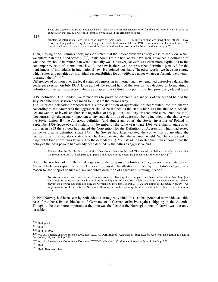Scott and Secretary Lansing announced their views as to criminal responsibility for the First World war. I have no expectation that any rule we could formulate would avoid the criticism of some

[119]

scholars of international law, for a good many of them since 1918 - in language that was used about others - have learned nothing and have forgotten nothing. But I don't think we can take the 1918 view on matters of war and peace. At least in the United States we have moved far from it with such measures as lend-lease and neutrality. (256)

Then, moving on to Trainin's book, Jackson stated that the Soviet view was "very close to the view which we entertain in the United States."  $(^{257})$  In his book, Trainin had, as we have seen, advanced a definition of what the law should be rather than what it actually was. However, Jackson was even more explicit as to the contemporary state of international law. As he saw it, there was no prescribed "criminal penalty" for the punishment of individuals in international law. He pointed out that : "In other words, we have no statute which states any penalties or individual responsibilities for any offenses under whatever formula we attempt to arraign them."  $(258)$ 

Differences of opinion over the legal status of aggression in international law remained unresolved during the conference session on July 19. A large part of the second half of the session was devoted to formulating a definition of the term aggression which, as chapter four of this study points out, had previously eluded legal

[119] definition. The London Conference was to prove no different. An analysis of the second half of the July 19 conference session does much to illustrate the reasons why.

The American delegation proposed that a simple definition of aggression be incorporated into the charter. According to the Americans the aggressor should be defined as the state which was the first to blockade, declare war on, or invade another state regardless of any political, military or economic considerations.  $(2^{59})$ Not surprisingly the primary opponent to any such definition of aggression being included in the charter was the Soviet Union. By the American definition (and almost any other) the Soviet invasions of Poland in September 1939 (page 66) and Finland in November of the same year (page 156) were plainly aggressive. Further, in 1933 the Soviets had signed the Convention for the Definition of Aggression which had rested on the very same definition (page 145). The Soviets had later violated the convention by invading the territory of all the signatory states. Nikitchenko advocated that the tribunal would "not be competent to judge what kind of war was launched by the defendants".  $(260)$  Instead he asserted that it was enough that the policy of the Axis powers had already been defined by the Allies as aggressive and :

The fact that the Nazi leaders are criminals has already been established. The task of the Tribunal is only to determine the measure of guilt of each particular person and mete out the necessary punishment - the sentences.  $(261)$ 

[121] The reaction of the British delegation to the proposed definition of aggression was categorical. Maxwell Fyfe was supportive of the American proposal. The illustration given by the British delegate as a reason for the support of such a black and white definition of aggression is telling indeed :

To take an actual case, one that involves my country... Norway for example... we have information that they [the Germans] are going to say that it was done in anticipation of measures which they claim we were about to take to prevent the Norwegians from assisting the Germans by the supply of iron.... If we are going to introduce Norway - we might want to for the atrocities in Norway - I think we are rather opening the door for trouble if there is no definition.  $(262)$ 

In 1940 Norway had been seen by both sides as strategically vital. Its coast had potential to provide valuable bases for either a British blockade of Germany or a German offensive against shipping in the Atlantic. Thought to be even more important at the time was the fact that the Norwegian port of Narvik was the only passable

<sup>256</sup> Ibid. p. 299.

<sup>257</sup> Ibid.

<sup>258</sup> Ibid., p. 300.

<sup>259</sup> op. cit., International Conference, Document XXXVI. Definition of "Aggression," Suggested by American Delegation as Basis of Discussion, July 19, 1945. p. 294.

<sup>260</sup> op. cit., International Conference, Document XXXVII. Minutes of Conference Session of July 19, 1945. p. 303.

 $261$  Ibid.

<sup>262</sup> Ibid., Brackets mine.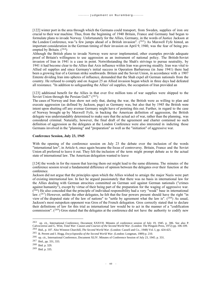[122] winter port in the area through which the Germans could transport, from Sweden, supplies of iron ore crucial to their war machine. Thus, from the beginning of 1940 Britain, France and Germany had begun to formulate plans to invade Norway. Unfortunately for the Allies, Germany, in the words of Justice Jackson at the London Conference, was "a few jumps ahead of a British invasion". (<sup>263</sup>) As Maxwell Fyfe hinted, an important consideration in the German timing of their invasion on April 9, 1940, was the fear of being preempted by Britain.  $(264)$ 

Although the British plans to invade Norway were never implemented, other examples provide adequate proof of Britain's willingness to use aggression as an instrument of national policy. The British-Soviet invasion of Iran in 1941 is a case in point. Notwithstanding the Shah's strivings to pursue neutrality, by 1941 it had become clear to the Allies that Axis influence within Iran was growing steadily. Iran was vital to Allied oil supplies and since Germany's initial success in Operation Barbarossa (in June 1941) there had been a growing fear of a German strike southwards. Britain and the Soviet Union, in accordance with a 1907 Entente dividing Iran into spheres of influence, demanded that the Shah expel all German nationals from the country. He refused to comply and on August 25 an Allied invasion began which in three days had defeated all resistance. "In addition to safeguarding the Allies' oil supplies, the occupation of Iran provided an

[123] additional benefit for the Allies in that over five million tons of war supplies were shipped to the Soviet Union through the Persian Gulf." (265)

The cases of Norway and Iran show not only that, during the war, the British were as willing to plan and execute aggression (as defined by Jackson, page) as Germany was, but also that by 1945 the British were intent upon shutting off any avenue Germany might have of pointing this out. Further, in regard to the case of Norway brought up by Maxwell Fyfe, in backing the American definition of aggression, the British delegate was understandably determined to make sure that the actual act of war, rather than the planning, was considered criminal. Naturally, however, the final draft of the agreement and charter contained no such definition of aggression as the delegates at the London Conference were also interested in indicting those Germans involved in the "planning" and "preparation" as well as the "initiation" of aggressive war.

## **Conference Session, July 23, 1945**

With the opening of the conference session on July 23 the debate over the inclusion of the words "international law", in Article 6, once again became the focus of controversy. Britain, France and the Soviet Union all preferred to leave it out. They felt the inclusion of the term might prompt debate as to the actual state of international law. The American delegation wanted to leave

[124] the words in for the reason that leaving them out might lead to the same dilemma. The minutes of the conference session reveal a fundamental difference of opinion between the delegates over their function at the conference.

Jackson did not argue that the principles upon which the Allies wished to arraign the major Nazis were part of existing international law. In fact he argued passionately that there was no basis in international law for the Allies dealing with German atrocities committed on German soil against German nationals ("crimes against humanity"), except by virtue of their being part of the preparation for the waging of aggressive war.  $(2^{66})$  He also conceded that the principle of individual responsibility had a very "weak" base in international law.  $(2^{67})$  However, unlike the other delegates, he felt that the four powers present should have the right "in view of the disputed state of the law of nations" to "settle by agreement what the law is".  $(^{268})$  As usual, Jackson's most outspoken opponent was Gros of the French delegation. Gros correctly stated that to declare their definitions of law for this trial as international law would be to act in the manner of a "codification commission". (<sup>269</sup>) Gros stated that the delegates at the conference did not have the authority to codify new

<sup>263</sup> op. cit., International Conference, Document XXXVII. Minutes of conference session of July 19, 1945. p. 306. See also P. Calvocoressi and G. Wint, *Total War: Causes and Courses of the Second World War*. (London: The Penguin Press, 1972) pp. 106-109.

<sup>264</sup> Ibid., p. 107. Also Winston Churchill, *The Second World War.* (London: Cassell and Co., 1948) Vol. I, pp. 424-425.

<sup>265</sup> B. Perrett and I. Hogg, *Encyclopoedia of the Second World War.* (London: Longman, 1989) p. 210.

<sup>266</sup> op. cit., International Conference, Document XLIV. Minutes of Conference Session of July 23, 1945. p. 331.

<sup>267</sup> Ibid., pp. 331, 333.

<sup>268</sup> Ibid. p. 329.

<sup>269</sup> Ibid. p. 335.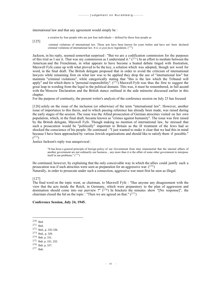international law and that any agreement would simply be :

a creation by four people who are just four individuals -- defined by those four people as

[125]

criminal violations of international law. Those acts have been known for years before and have not been declared criminal violations of international law. It is *ex post facto* legislation.  $(^{270})$ 

Jackson, in his reply, seemed somewhat surprised : "But we are a codification commission for the purposes of this trial as I see it. That was my commission as I understand it."  $(271)$  In an effort to mediate between the American and the Frenchman, in what appears to have become a heated debate tinged with frustration, Maxwell Fyfe came up with what proved to be the key, a solution which was adopted, though not word for word, in the final draft. The British delegate proposed that in order to avoid the criticism of international lawyers while remaining firm on what law was to be applied they drop the use of "international law" but maintain "criminal violations", while categorically stating that "this is the law which the Tribunal will apply" and for which there is "personal responsibility".  $(2^{72})$  Maxwell Fyfe was thus the first to suggest the great leap in wording from the legal to the political domain. This was, it must be remembered, in full accord with the Moscow Declaration and the British stance outlined in the aide mémoire discussed earlier in this chapter.

For the purpose of continuity, the present writer's analysis of the conference session on July 23 has focused

[126] solely on the issue of the inclusion (or otherwise) of the term "international law". However, another issue of importance to this thesis, and to which passing reference has already been made, was raised during the early stages of the session. The issue was the Allied prosecution of German atrocities visited on her own population, which, in the final draft, became known as "crimes against humanity". The issue was first raised by the British delegate, Maxwell Fyfe. Though making no mention of international law, he stressed that such a prosecution would be "politically" important to Britain as the ill treatment of the Jews had so shocked the conscience of his people. He continued : "I just wanted to make it clear that we had this in mind because I have been approached by various Jewish organizations and should like to satisfy them if possible."  $(273)$ 

Justice Jackson's reply was unequivocal :

"It has been a general principle of foreign policy of our Government from time immemorial that the internal affairs of another government are not ordinarily our business... any more than it is the affair of some other government to interpose itself in our problems."  $(^{274})$ 

He continued, however, by explaining that the only conceivable way in which the allies could justify such a prosecution was if such atrocities were seen as preparation for an aggressive war.  $(275)$ Naturally, in order to prosecute under such a connection, aggressive war must first be seen as illegal.

#### [127]

The final word on the topic went, as chairman, to Maxwell Fyfe : "Has anyone any disagreement with the view that the acts inside the Reich, in Germany, which were preparatory to the plan of aggression and domination should come into our purview ?"  $(276)$  In brackets the minutes show "[No response]", the chairman closed the lid on the topic : "Then we are agreed on that."  $(277)$ 

#### **Conference Session, July 24, 1945.**

<sup>274</sup> Ibdi. p. 331.

<sup>270</sup> Ibid.

<sup>271</sup> Ibid.

<sup>272</sup> Ibid., p. 335-336.

<sup>273</sup> Ibid., p. 329.

<sup>275</sup> Ibdi. p. 331, 333.

<sup>276</sup> Ibdi. p. 337.

<sup>277</sup> Ibdi.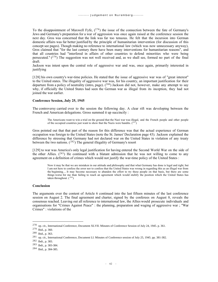To the disappointment of Maxwell Fyfe,  $(278)$  the issue of the connection between the fate of Germany's Jews and Germany's preparation for a war of aggression was once again raised at the conference session the next day. Gros was concerned that the link was far too tenuous. He felt that the incursion into German domestic affairs was far better justified by the principle of humanitarian intervention (for discussion of this concept see pages). Though making no reference to international law (which was now unnecessary anyway), Gros claimed that "for the last century there have been many interventions for humanitarian reasons", and that all countries had "interfered in affairs of other countries to defend minorities who were being persecuted."  $(279)$  The suggestion was not well received and, as we shall see, formed no part of the final draft.

Jackson was intent upon the central role of aggressive war and was, once again, primarily interested in justifying

[128] his own country's war-time policies. He stated that the issue of aggressive war was of "great interest" to the United states. The illegality of aggressive war was, for his country, an important justification for their departure from a policy of neutrality (intro, page). (<sup>280</sup>) Jackson did not, however, make any attempt to say why, if officially the United States had seen the German war as illegal from its inception, they had not joined the war earlier.

#### **Conference Session, July 25, 1945**

The controversy carried over to the session the following day. A clear rift was developing between the French and American delegations. Gross summed it up succinctly :

The Americans want to win a trial on the ground that the Nazi war was illegal, and the French people and other people of the occupied countries just want to show that the Nazis were bandits.  $(^{281})$ 

Gros pointed out that that part of the reason for this difference was that the actual experience of German occupation was foreign to the United States (note the St. James' Declaration page 43). Jackson explained the difference by stressing that Germany had not declared war on the United States in violation of any treaty between the two nations.  $(^{282})$  The general illegality of Germany's resort

[129] to war was America's only legal justification for having entered the Second World War on the side of the other Allies.  $(^{283})$  He continued with a blatant admission that he was not willing to come to any agreement on a definition of crimes which would not justify the war-time policy of the United States :

Now it may be that we are mistaken in our attitude and philosophy and that what Germany has done is legal and right, but I am not here to confess the error nor to confess that the United States was wrong in regarding this as an illegal war from the beginning.... It may become necessary to abandon the effort to try these people on that basis, but there are some things worse for me than failing to reach an agreement which would stultify the position which the United States has taken throughout.  $(284)$ 

#### **Conclusion**

The arguments over the content of Article 6 continued into the last fifteen minutes of the last conference session on August 2. The final agreement and charter, signed by the conferees on August 8, reveals the consensus reached. Leaving out all reference to international law, the Allies would prosecute individuals and organisations for "Crimes Against Peace" : the planning, preparation and waging of aggressive war ; "War Crimes" : violations of the

<sup>278</sup> op. cit., International Conference, Document XLVII. Minutes of Conference Session of July 24, 1945. p. 361.

<sup>279</sup> Ibid., p. 360.

<sup>280</sup> Ibid., p. 363.

<sup>281</sup> op. cit., International Conference, Document LI. Minutes of Conference session of July 25, 1945. pp. 381-382.

<sup>282</sup> Ibdi., p. 383.

<sup>283</sup> Ibdi., p. 383-384.

<sup>284</sup> Ibid., p. 384-385.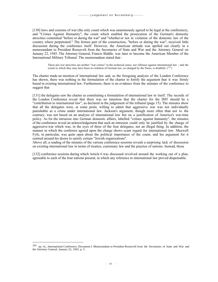[130] laws and customs of war (the only count which was unanimously agreed to be legal at the conference), and "Crimes Against Humanity", the count which enabled the prosecution of the German's domestic atrocities committed "before or during the war" and "whether or not in violation of the domestic law of the country where perpetrated." The former part of the construction, "before or during the war", received little discussion during the conference itself. However, the American attitude was spelled out clearly in a memorandum to President Roosevelt from the Secretaries of State and War and the Attorney General on January 22, 1945. The Attorney General, Francis Biddle, was later to become the American Member of the International Military Tribunal. The memorandum stated that :

These pre-war atrocities are neither "war crimes" in the technical sense, nor offenses against international law ; and the extent to which they may have been in violation of German law, as changed by the Nazis, is doubtful. (<sup>285</sup>)

The charter made no mention of international law and, as the foregoing analysis of the London Conference has shown, there was nothing in the formulation of the charter to fortify the argument that it was firmly based in existing international law. Furthermore, there is no evidence from the minutes of the conference to suggest that

[131] the delegates saw the charter as constituting a formulation of international law in itself. The records of the London Conference reveal that there was no intention that the charter for the IMT should be a "contribution to international law", as declared in the judgement of the tribunal (page 15). The minutes show that all the delegates were, at some point, willing to admit that aggressive war was not individually punishable as a crime under international law. Jackson's argument, though more often than not to the contrary, was not based on an analysis of international law but on a justification of America's war-time policy. As for the intrusion into German domestic affairs, labelled "crimes against humanity", the minutes of the conference reveal an acknowledgement that such an intrusion could only be justified by the charge of aggressive war which was, in the eyes of three of the four delegates, not an illegal thing. In addition, the manner in which the conferees agreed upon the charge shows scant regard for international law. Maxwell Fyfe, in particular, was quite open about the political importance of the count, and his argument for it centred around his desire to satisfy certain "Jewish organizations".

Above all, a reading of the minutes of the various conference sessions reveals a surprising lack of discussion on existing international law in terms of treaties, customary law and the practice of nations. Instead, those

[132] conference sessions during which Article 6 was discussed revolved around the working out of a plan, agreeable to each of the four nations present, in which any reference to international law proved dispensable.

<sup>285</sup> op. cit., International Conference, Document I. Memorandum to President Roosevelt from the Secretaries of State and War and the Attorney General, January 22, 1945. p. 5.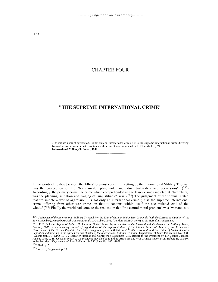## CHAPTER FOUR

# **"THE SUPREME INTERNATIONAL CRIME"**

----------------------------- ... to initiate a war of aggression... is not only an international crime ; it is the supreme international crime differing from other war crimes in that it contains within itself the accumulated evil of the whole.  $(^{286})$ **International Military Tribunal, 1946.**

In the words of Justice Jackson, the Allies' foremost concern in setting up the International Military Tribunal was the prosecution of the "Nazi master plan, not... individual barbarities and perversions". (287) Accordingly, the primary crime, the crime which comprehended all the lesser crimes indicted at Nuremberg, was the planning, initiation and waging of "unjustifiable" war. (<sup>288</sup>) The judgement of the tribunal stated that "to initiate a war of aggression... is not only an international crime ; it is the supreme international crime differing from other war crimes in that it contains within itself the accumulated evil of the whole." $(^{289})$  Finally the world had come to the realisation that "the central moral problem" was "war and not

----------------------------

<sup>286</sup> *Judgement of the International Military Tribunal For the Trial of German Major War Criminals (with the Dissenting Opinion of the Soviet Member), Nuremberg 30th September and 1st October, 1946*. (London: HMSO, 1946) p. 13. Hereafter Judgement.

<sup>287</sup> R.H. Jackson, *Report of Robert H. Jackson, United States Representative to the International Conference on Military Trials, London, 1945: a documentary record of negotiations of the representatives of the United States of America, the Provisional Government of the French Republic, the United Kingdom of Great Britain and Northern Ireland, and the Union of Soviet Socialist Republics, culminating in the agreement and charter of the International Military Tribunal.* Department of State Publication No. 3080 (Washington DC: GPO, 1949). Hereafter International Conference. Document VIII. Report to the President by Mr. Justice Jackson, June 6, 1945. p. 48. Jackson's report to the President may also be found as 'Atrocities and War Crimes: Report From Robert H. Jackson to the President.' *Department of State Bulletin*. 1945 12<sup>[June 10]: 1071-1078.</sup>

<sup>288</sup> Ibid., p. 51.

<sup>289</sup> op. cit., Judgement, p. 13.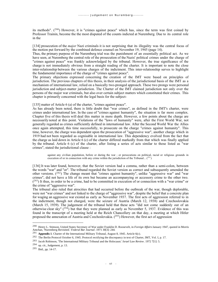its methods". (<sup>290</sup>) However, it is "crimes against peace" which has, since the term was first coined by Professor Trainin, become the the most disputed of the counts indicted at Nuremberg. Due to its central role in the

[134] prosecution of the *major* Nazi criminals it is not surprising that its illegality was the central focus of the motion put forward by the combined defence counsel on November 19, 1945 (page 14).

Thus, the primary purpose of the Nuremberg trial was the punishment of an essentially political act. As we have seen, at Nuremberg the central role of the prosecution of the Nazis' political crimes under the charge of "crimes against peace" was frankly acknowledged by the tribunal. However, the true significance of the charge is not immediately obvious from a straight reading of the charter. It is important to note the close inter-relationship between the various charges of the indictment. This inter-relationship serves to highlight the fundamental importance of the charge of "crimes against peace".

The primary objections expressed concerning the creation of the IMT were based on principles of jurisdiction. The previous chapters of this thesis, in their analysis of the jurisdictional basis of the IMT as a mechanism of international law, relied on a basically two-pronged approach. These two prongs were personal jurisdiction and subject-matter jurisdiction. The Charter of the IMT claimed jurisdiction not only over the persons of the major war criminals, but also over certain subject matters which constituted their crimes. This chapter is primarily concerned with the legal basis for the subject-

[135] matter of Article 6 (a) of the charter, "crimes against peace".

As has already been noted, there is little doubt that "war crimes", as defined in the IMT's charter, were crimes under international law. In the case of "crimes against humanity", the situation is far more complex. Chapter five of this thesis will deal this matter in more depth. However, a few points about the charge are necessarily noted at this point. Violations of the "laws of humanity" were, after the First World War, not generally regarded as crimes sufficiently defined in international law. After the Second World War the Allies once again attempted, this time successfully, to prosecute on the charge "crimes against humanity". This time, however, the charge was dependent upon the prosecution of "aggressive war", another charge which in 1919 had not been regarded as cognisable in international law. This dependency evolved from the fact that the charge as laid down in Article  $6$  (c) of the charter differed markedly from that which was finally applied by the tribunal. Article 6 (c) of the charter, after listing a series of acts similar to those listed as "war crimes", stated the jurisdictional clause :

against any civilian population, before or during the war ; or persecutions on political, racial or religious grounds in execution of or in connection with any crime within the jurisdiction of the Tribunal...  $(291)$ 

[136] It was later found, however, that the Soviet version had a comma, rather than a semi-colon, between the words "war" and "or". The tribunal regarded the Soviet version as correct and subsequently amended the other versions.  $(^{292})$  The change meant that "crimes against humanity", unlike "aggressive war" and "war crimes", did not have a life of its own but became an accompanying or accessory crime to the other two.  $(293)$  It thus, in order to be a crime, had to be committed in execution of or connection with a "war crime" or the crime of "aggressive war".

The tribunal also ruled that atrocities that had occurred before the outbreak of the war, though deplorable, were not "war crimes" and not linked to the charge of "aggressive war", despite the belief that a concrete plan for waging an aggressive war existed as early as November 1937. The first acts of aggression referred to in the indictment, though not charged, were the seizure of Austria (March 12, 1938) and Czechoslovakia (March 15, 1939). The judgement of the tribunal held that these acts "did not come suddenly out of an otherwise clear sky"  $(294)$  but that they were planned as early as November 5, 1937. Evidence of this was found in the transcript of a meeting held at the Reich Chancellery on that day, a meeting at which Hitler proposed the annexation of Austria and Czechoslovakia.  $(^{295})$  However, the first act of aggression

<sup>290</sup> Henry L. Stimson, United States Secretary of War under Franklin D. Roosevelt, in *Foreign Affairs* January 1947, quoted in Morris Amchan, 'Nuremberg Revisited.' *Federal Bar Journal*. 1971 30[3]: 244.

<sup>291</sup> **Appendix 1**. Charter of the International Military Tribunal, August 8, 1945. Article 6(c).

<sup>292</sup> The Berlin Protocol October 6, 1945. Protocol rectifying the discrepancy in text of Charter, IMT, Vol. I, p. 17.

<sup>293</sup> Jacob Robinson, 'The International Military Tribunal and the Holocaust.' *Israel Law Review*. 1972 7[1]: 5.

<sup>294</sup> op. cit., Judgement, p. 13.

 $295$  Ibid., pp. 14-17.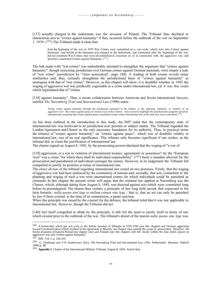[137] actually charged in the indictment was the invasion of Poland. The Tribunal thus declined to characterise acts as "crimes against humanity" if they occurred before the outbreak of the war on September 1, 1939.  $(296)$  The Tribunal made it clear that :

from the beginning of the war in 1939 War Crimes were committed on a vast scale, which were also Crimes against Humanity ; and insofar as the inhumane acts charged in the Indictment, and committed after the beginning of the war, did not constitute War Crimes, they were all committed in execution of, or in connection with, the aggressive war, and therefore constituted Crimes against Humanity.  $(^{297})$ 

The link made with "war crimes" was undoubtably intended to strengthen the argument that "crimes against humanity", though exercising jurisdiction over German crimes against German nationals, were simply a type of "war crime" (jurisdiction by "close association", page 180). A reading of both counts reveals many similarities and, thus, certainly strengthens the jurisdictional basis of "crimes against humanity" as analogous with that of "war crimes". However, as this chapter will show, it is doubtful whether in 1945 the waging of aggressive war was juridically cognisable as a crime under international law, yet it was this count which legitimated that of "crimes

[138] against humanity". Thus, a recent collaboration between American and Soviet international lawyers, entitled *The Nuremberg Trial and International Law* (1990) states :

Trying crimes against humanity through the mechanism contained in the Charter to the planning, initiation, or conduct of an aggressive war - the crimes against peace in Article 6 (a) of the Charter - only served to highlight the jurisdictional quagmire posed by automatically assuming that crimes against peace constituted crimes under international law at the time they were committed.  $(^{298})$ 

As has been outlined in the introduction to this study, the IMT ruled that the contemporary state of international law was irrelevant to its jurisdiction over persons or subject matter. The Tribunal regarded the London Agreement and Charter as the only necessary foundation for its authority. Thus, in practical terms the reliance of "crimes against humanity" on "crimes against peace", which was of doubtful validity in international law, was of no real significance. This reliance only becomes significant if one wishes, as the tribunal did, to claim the justification of international law.

The charter signed on August 8, 1945, by the prosecuting powers declared that the waging of "a war of

[139] aggression, or a war in violation of international treaties, agreements or assurances" by the "European Axis" was a crime "for which there shall be individual responsibility".  $(^{299})$  Such a mandate allowed for the prosecution and punishment of individuals amongst the enemy. However, in its Judgement the Tribunal felt compelled to justify its position in terms of international law.

The *obiter dictum* of the tribunal regarding international law rested on two premises. Firstly, that the waging of aggressive war had been outlawed by the community of nations and, secondly, that acts committed in the planning and waging of such a war were international crimes for which individuals could be punished as criminals. In this chapter the present writer will argue that the criminal law applied at Nuremberg was the Charter, which, although dating from August 8, 1945, was directed against acts which were committed long before its promulgation. The charter thus violates a principle of law long held sacred, that expressed in the latin formula : *nulla poena sine lege or nullum crimen sine lege* ; that is, that an act can only be punished by law if there existed, at the time of its commission, a penal sanction.

When this principle was raised by the counsel for the defence, the tribunal ruled that it was not applicable to international law. However, though the Tribunal did not

[140] feel itself compelled to abide by the principle, it still felt the need to justify itself in terms of law which existed prior to the outbreak of the war. The tribunal's denial of the maxim *nulla poena sine lege* was

<sup>&</sup>lt;sup>296</sup> A technicality which put acts such as the Italian invasion of Ethiopia in 1935-1936 (see this chapter) and German aggression toward Czechoslovakia (which resulted in the agreement at Munich, see chapter one) outside the scope of prosecution. However, the Soviet invasions of Eastern Poland (see chapter one) and Finland (see this chapter) still fell clearly within the time limits placed on aggressive war and "crimes against humanity".

<sup>297</sup> IMT, Vol. I, p. 254-255.

<sup>298</sup> G. Ginsburgs and V.N. Kudriavtsev (Ed.), *The Nuremberg Trial and International Law*. (The Netherlands: Martinus Nijhoff, 1990) p. 48.

<sup>299</sup> **Appendix 1**. Charter of the International Military Tribunal, August 8, 1945. Article 6(a).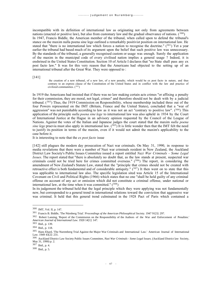incompatible with its definition of international law as originating not only from agreements between nations (enacted or positive law), but also from customary law and the gradual observance of nations.  $(300)$ In 1947, Francis Biddle, the American member of the tribunal, when called upon to defend the tribunal's stance on the maxim nulla poena sine lege outlined a remarkably positivist position on international law. He stated that "there is no international law which forces a nation to recognise the doctrine." (301) Yet a year earlier the tribunal had based much of its argument upon the belief that such positive law was unnecessary. By the standards of the tribunal, a generally recognised custom or usage was enough. Surely the application of the maxim in the municipal code of every civilised nation implies a general usage ? Indeed, it is enshrined in the United States Constitution. Section 10 of Article I declares that "no State shall pass any ex post facto law." It was for this very reason that the Americans had objected to the setting up of an international tribunal after the Great War. They were opposed to :

[141]

the creation of a new tribunal, of a new law, of a new penalty, which would be ex post facto in nature, and thus contrary to an express clause of the Constitution of the United States and in conflict with the law and practice of civilized communities. (<sup>302</sup>)

In 1919 the Americans had insisted that if there was no law making certain acts crimes "or affixing a penalty for their commission, they are moral, not legal, crimes" and therefore should not be dealt with by a judicial tribunal.  $(303)$  Thus, the 1919 Commission on Responsibility, whose membership included three out of the four Powers represented on the IMT (Britain, France and the United States), concluded that a "war of aggression" was not punishable according to law as it was not an act "contrary to positive law".  $(^{304})$  This application of the principle *nulla poena sine lege* to international law was also upheld in 1934 by the Court of International Justice at the Hague in an advisory opinion requested by the Council of the League of Nations. Against the votes of the Italian and Japanese judges the court stated that the maxim *nulla poena sine lege* praevia must also apply in international law. (<sup>305</sup>) It is little wonder then that the IMT felt the need to justify its position in terms of the maxim, even if it would not admit the maxim's applicability to the case before it.

It is interesting to note that the *ex post facto* issue

[142] still plagues the modern day prosecution of Nazi war criminals. On May 31, 1990, in response to media revelations that there were a number of Nazi war criminals resident in New Zealand, the Auckland District Law Society's Public Issues Committee issued a report entitled *Nazi War Criminals - Some Legal Issues*. The report stated that "there is absolutely no doubt that, as the law stands at present, suspected war criminals could not be tried here for crimes committed overseas."  $(306)$  The report, in considering the amendment of New Zealand's Statute Law, stated that the "principle that crimes should not be created with retroactive effect is both fundamental and of considerable antiquity."  $(307)$  It then went on to state that this was applicable to international law also. The specific legislation sited was Article 15 of the International Covenant on Civil and Political Rights (1966) which states that no one "shall be held guilty of any criminal offense on account of any act or omission which did not constitute a criminal offense, under national or international law, at the time when it was committed."  $(308)$ 

In its judgement the tribunal held that the legal principle which they were applying was not fundamentally new, but corresponded to a general trend in international relations toward the conviction that aggressive war was criminal. It held that this general trend culminated in the 1928 Pact of Paris which contained a

<sup>300</sup> IMT, Vol. II, p. 147.

<sup>301</sup> Francis B. Biddle, 'The Nürnberg Trial.' *Proceedings of the American Philosophical Society.* 1947 91[3]: 297.

<sup>302</sup> Robert Lansing, 'Report of the Commission on the Responsibility of the Authors of the War and Enforcement of Penalties.' *American Journal of International Law*. 1920 14[1]: 147.

<sup>303</sup> Ibid., p. 139.

<sup>304</sup> Ibid., p. 118.

<sup>305</sup> Hans Ehard, 'The Nuremberg Trial Against the Major War Criminals and International Law.' American Journal of International Law. 1949 43[2]: 231.

<sup>306</sup> Auckland District Law Society Public Issues Committee, *Nazi War Criminals - Some Legal Issues*. (Auckland District law Society, May 31, 1990) p. 2.

<sup>307</sup> Ibid., p. 4.

<sup>308</sup> Ibid., p. 5.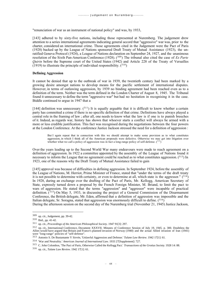"renunciation of war as an instrument of national policy" and was, by 1933,

[143] adhered to by sixty-five nations, including those represented at Nuremberg. The judgement drew attention to a series international agreements indicating general accord that "aggressive" war was, prior to the charter, considered an international crime. Those agreements cited in the Judgement were the Pact of Paris (1928) backed up by the League of Nations sponsored Draft Treaty of Mutual Assistance (1923), the unratified Geneva Protocol (1924), a League of Nations declaration on September 24, 1927, and the unanimous resolution of the Sixth Pan-American Conference (1928). (<sup>309</sup>) The tribunal also cited the case of *Ex Parte Quirin* before the Supreme court of the United States (1942) and Article 228 of the Treaty of Versailles (1919) to illustrate the principle of individual responsibility.  $(310)$ 

## **Defining Aggression**

It cannot be denied that up to the outbreak of war in 1939, the twentieth century had been marked by a growing desire amongst nations to develop means for the pacific settlement of international disputes. However, in terms of outlawing aggression, by 1939 no binding agreement had been reached even as to a definition of the term. Neither was the term defined in the London Charter of August 8, 1945. The Tribunal found it unnecessary to define the term "aggressive war" but had no hesitation in recognising it in the case. Biddle continued to argue in 1947 that a

[144] definition was unnecessary.  $(311)$  It is equally arguable that it is difficult to know whether a certain party has committed a crime if there is no specific definition of that crime. Definitions have always played a central role in the framing of law ; after all, one needs to know what the law is if one is to punish breeches of it. Indeed, as regards war, history has shown that whoever starts a conflict will always be armed with a more or less credible justification. This fact was recognised during the negotiations between the four powers at the London Conference. At the conference Justice Jackson stressed the need for a definition of aggression :

But I again repeat that in connection with this we should attempt to make some provision as to what constitutes aggression, in which I think all of the American proposals were defective. Otherwise we may get into litigation over whether what we call a policy of aggression was in fact a long-range policy of self-defense.  $(312)$ 

Over the years leading up to the Second World War many endeavours were made to reach agreement on a definition of aggression. In 1922 a committee appointed by the assembly of the League of Nations found it necessary to inform the League that no agreement could be reached as to what constitutes aggression.  $(313)$  In 1923, one of the reasons why the Draft Treaty of Mutual Assistance failed to gain

[145] approval was because of difficulties in defining aggression. In September 1924, before the assembly of the League of Nations, M. Herriot, Prime Minister of France, stated that "under the terms of the draft treaty it is not possible to determine with certainty, or even to determine at all, which state is the aggressor."  $(3^{14})$ In 1928, during an exchange over the drafting of the Pact of Paris, Mr. Kellogg, American Secretary of State, expressly turned down a proposal by the French Foreign Minister, M. Briand, to limit the pact to wars of aggression. He stated that the terms "aggression" and "aggressor" were incapable of practical definition.  $(315)$  On May 5, 1933, in discussing the project of a General Commission of the Disarmament Conference, the British delegate, Mr. Eden, affirmed that a definition of aggression was impossible and the Italian delegate, Sr. Soragna, stated that aggression was enormously difficult to define.  $(^{316})$ 

During the afternoon session on the second day of the Nuremberg trial (November 21, 1945) Justice Jackson,

<sup>309</sup> op. cit., Judgement, pp. 39-42.

<sup>310</sup> Ibid., pp. 41-42.

<sup>311</sup> op. cit., *Proceedings of the American Philosophical Society*. 1947 91[3]: 297.

<sup>312</sup> op. cit., International Conference, Document XXXVII. Minutes of Conference Session of July 19, 1945. p. 300. Doubtless the Allies would have argued that Britain and France's planned invasion of Norway (1940) and the actual Allied invasion of Iran (1941) were "long-range" policies of "self-defense".

<sup>313</sup> Antonio S. De Bustamante Y Sirvén, 'Unlawful Aggression and Defense.' *Tulane Law Review*. 1942 17[1]: 61.

<sup>314</sup> 'War and Neutrality.' *American Journal of International Law*. 1933 27[Supplement]: 727.

<sup>315</sup> C. John Colombos, 'The Pact of Paris, Otherwise Called the Kellogg Pact.' *Transactions of the Grotius Society*. 1928 14: 88.

<sup>316</sup> op. cit., *Tulane Law Review*. 1942 17[1]: 61.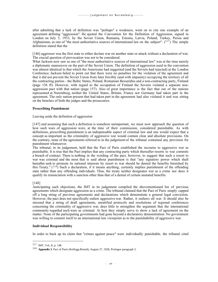after admitting that a lack of definition was "perhaps" a weakness, went on to cite one example of an agreement defining "aggression". He quoted the Convention for the Definition of Aggression, signed in London on July 3, 1933, by the Soviet Union, Rumania, Estonia, Latvia, Poland, Turkey, Persia and Afghanistan, as one of "the most authoritative sources of international law on the subject".  $(317)$  The simple definition stated that the

[146] aggressor was the first state to either declare war on another state or attack without a declaration of war. The crucial question of provocation was not to be considered.

What Jackson now saw as one of "the most authoritative sources of international law" was at the time merely a diplomatic manoeuvre on the part of the Soviet Union. The definition of aggression used in the convention was almost identical to that which the Americans had suggested (and the Soviets had rejected) at the London Conference. Jackson failed to point out that there were no penalties for the violation of the agreement and that it did not prevent the Soviet Union from later forcibly (and with impunity) occupying the territory of all the contracting parties - the Baltic States, Poland, Romanian Bessarabia and a non-contracting party, Finland (page 156 ff). However, with regard to the occupation of Finland the Soviets violated a separate nonaggression pact with that nation (page 157). Also of great importance is the fact that out of the nations represented at Nuremberg, neither the United States, Britain, France nor Germany had taken part in the agreement. The only nation present that had taken part in the agreement had also violated it and was sitting on the benches of both the judges and the prosecutors.

## **Prescribing Punishment**

Leaving aside the definition of aggression

[147] and assuming that such a definition is somehow unimportant, we must now approach the question of how such wars of aggression were, at the time of their commission, considered punishable. As with definitions, prescribing punishment is an indispensable aspect of criminal law and one would expect that a concept as important as the criminality of aggressive war would contain clear and absolute provisions. On the contrary, none of the agreements referred to in the judgement of the tribunal contained any provision for punishment whatsoever.

The tribunal, in its judgement, held that the Pact of Paris established the recourse to aggressive war as punishable. It is true that the Pact implies that any contracting party which thereafter resorts to war commits a breach of contract. There is nothing in the wording of the pact, however, to suggest that such a resort to war was criminal and the most that is said about punishment is that "any signatory power which shall hereafter seek to promote its national interests by resort to war should be denied the benefits furnished by this Treaty."  $(318)$  Such a declaration, if it means anything, certainly implies punishment of the offending state rather than any offending individuals. Thus, the treaty neither designates war as a crime nor does it qualify its renunciation with a sanction other than that of a denial of certain unstated benefits.

## [148]

Anticipating such objections, the IMT in its judgement compiled the abovementioned list of previous agreements which designate aggression as a crime. The tribunal claimed that the Pact of Paris simply capped off a long string of previous agreements and declarations which demonstrate a general legal conviction. However, the pact does not specifically outlaw aggressive war. Rather, it outlaws all war. It should also be stressed that a string of draft agreements, unratified protocols and resolutions of regional conferences concerning the criminality of aggressive war, does little to strengthen the argument that the international community regarded such wars as criminal. At best they simply serve to show a lack of agreement on the matter. None of the participating governments had gone beyond a declaratory demonstration. No government was willing to commit itself to an international law viewpoint as to the punishability of aggressive war.

## **Individual Responsibility**

In order to back up its claim that "crimes against peace" were individually punishable, the tribunal cited

<sup>317</sup> IMT, Vol. II, p. 148.

<sup>318</sup> **Appendix 3**. Pact of Paris (Kellogg-Briand), August 27, 1928, Prologue paragraph 3.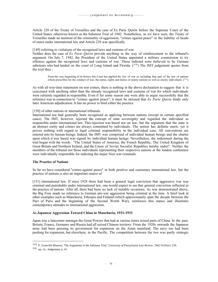Article 228 of the Treaty of Versailles and the case of Ex Parte Quirin before the Supreme Court of the United States, otherwise known as the Saboteur Trial of 1942. Nonetheless, as we have seen, the Treaty of Versailles made no mention of the criminality of aggression, "crimes against peace" or the liability of heads of states under international law and Article 228 was specifically

[149] referring to violations of the recognised laws and customs of war.

Neither does the case of *Ex Parte Quirin* provide anything in the way of reinforcement to the tribunal's argument. On July 7, 1942, the President of the United States appointed a military commission to try offences against the recognised laws and customs of war. Those indicted were believed to be German saboteurs who had landed on the coast of Long Island and Florida.  $(319)$  The IMT judgement quotes from the trial thus :

From the very beginning of its history this Court has applied the law of war as including that part of the law of nations which prescribes for the conduct of war, the status, rights and duties of enemy nations as well as enemy individuals.  $(^{320})$ 

As with all war-time statements on war crimes, there is nothing in the above declaration to suggest that it is concerned with anything other than the already recognised laws and customs of war for which individuals were certainly regarded as responsible. Even if for some reason one were able to argue successfully that the reference was in connection to "crimes against peace", it must be stressed that *Ex Parte Quirin* binds only later American adjudication. It has no power to bind either the practice

## [150] of other nations or international tribunals.

International law had generally been recognised as applying between nations (except in certain specified cases). The IMT, however, rejected the concept of state sovereignty and regarded the individual as responsible under international law. This rejection was based not on law, but the argument that the state is an abstract entity and crimes are always committed by individuals. The notion has definite merit, yet it proves nothing with regard to legal criminal responsibility in the individual case. All conventions are entered into by human beings. Indeed, the IMT was comprised of individual human beings and the charter upon which it was based was signed by individual human beings. Nevertheless, the indictment during the trial began with the words : "The United States of America, the French Republic, The United Kingdom of Great Britain and Northern Ireland, and the Union of Soviet Socialist Republics hereby indict". Neither the members of the tribunal nor those individuals representing their respective nations at the london conference were individually responsible for indicting the major Nazi war criminals.

#### **The Practice of Nations**

So far we have considered "crimes against peace" in both positive and customary international law, but the practice of nations is also an important source of

[151] international law. If since 1928 there had been a general legal conviction that aggressive war was criminal and punishable under international law, one would expect to see that general conviction reflected in the practice of nations. After all, there had been no lack of suitable occasions. As was demonstrated above, the Big Four made no reference to German pre-war aggression being criminal at the time. A brief look at other examples such as Manchuria, Ethiopia and Finland (which approximately span the decade between the Pact of Paris and the beginning of the Second World War), reinforces this stance and illustrates contemporary attitudes to international aggression.

## **A) Japanese Aggression Toward China in Manchuria, 1931-1933**

Japan was a latecomer amongst the Great Powers that had at various times seized parts of China. In the past, Britain, France, Germany and Russia had all seized Chinese territory. From the 1920s onwards the Japanese army had been pressing its government for expansion on the Asian mainland. The navy too had been pushing for expansion, but elsewhere, in the Pacific. The competition between the two was partly strategic

<sup>319</sup> F. Granville Munson, 'The Arguments in the Saboteur Trial.' *University of Pensylvania Law Review*. 1942 91[Nov]: 239.

<sup>320</sup> op. cit., Judgement, p. 41.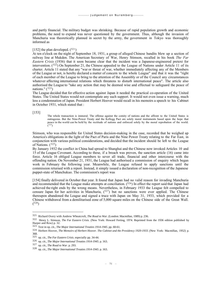and partly financial. The military budget was shrinking. Because of rapid population growth and economic problems, the need to expand was never questioned by the government. Thus, although the invasion of Manchuria was theoretically planned in secret by the army, the government in Tokyo was thoroughly informed as

### [152] the plan developed.  $(^{321})$

At ten o'clock on the night of September 18, 1931, a group of alleged Chinese bandits blew up a section of railway line at Mukden. The American Secretary of War, Henry Stimson, recalled in his book *The Far Eastern Crisis* (1936) that it soon became clear that the incident was a Japanese-engineered pretext for intervention.  $(322)$  On September 21, the Chinese appealed to the League of Nations under Article 11 of its charter. Article 11 stated that any "war or threat of war, whether immediately affecting any of the Members of the League or not, is hereby declared a matter of concern to the whole League" and that it was the "right of each member of the League to bring to the attention of the Assembly or of the Council any circumstances whatever affecting international relations which threatens to disturb international peace". The article also authorised the League to "take any action that may be deemed wise and effectual to safeguard the peace of nations."  $(323)$ 

The League decided that for effective action against Japan it needed the practical co-operation of the United States. The United States would not contemplate any such support. It would not even issue a warning, much less a condemnation of Japan. President Herbert Hoover would recall in his memoirs a speech to his Cabinet in October 1931, which stated that :

[153]

The whole transaction is immoral. The offense against the comity of nations and the affront to the United States is outrageous. But the Nine-Power Treaty and the Kellogg Pact are solely moral instruments based upon the hope that peace in the world can be held by the rectitude of nations and enforced solely by the moral reprobation of the world.  $(324)$ 

Stimson, who was responsible for United States decision-making in the case, recorded that he weighed up America's obligations in the light of the Pact of Paris and the Nine Power Treaty relating to the Far East, in conjunction with various political considerations, and decided that the incident should be left to the League of Nations.  $(325)$ 

By January 1932 the conflict in China had spread to Shanghai and the Chinese now invoked Articles 10 and 15 of the League Covenant. According to these, if a breach was proven, the sanction article (16) came into force. Article 16 obliged League members to sever all trade, financial and other intercourse with the offending nation. On November 21, 1931, the League had authorised a commission of enquiry which began work in February the following year. Meanwhile, the League refused to apply sanctions until the commission returned with a report. Instead, it simply issued a declaration of non-recognition of the Japanese puppet-state of Manchukuo. The commission's report was

[154] finally delivered in October that year. It found that Japan had no valid reason for invading Manchuria and recommended that the League make attempts at conciliation. (326) In effect the report said that Japan had achieved the right ends by the wrong means. Nevertheless, in February 1933 the League felt compelled to censure Japan for her activities in Manchuria,  $(327)$  but no sanctions were ever applied. The Chinese thereupon abandoned the League and signed a truce with Japan on May 31, 1933, which provided for a Chinese withdrawal from a demilitarised zone of 5,000 square miles on the Chinese side of the Great Wall. ( <sup>328</sup>)

<sup>321</sup> Richard Overy with Andrew Wheatcroft, *The Road to War.* (London: Macmillan, 1989) p. 236.

<sup>322</sup> Henry L. Stimson, *The Far Eastern Crisis.* (New York: Howard Ferting, 1974. Reprinted from the 1936 edition published by Harper and Row) p. 32.

<sup>323</sup> Text in op. cit., *The Major International Treaties 1914-1945*. pp. 60-61.

<sup>324</sup> Herbert Hoover, *The Memoirs of Herbert Hoover. The Cabinet and the Presidency 1920-1933*. (New York: Macmillan, 1952) p. 368.

<sup>325</sup> op. cit., *The Far Eastern Crisis*. especially pp. 34-44.

<sup>326</sup> op. cit., *The Major International Treaties 1914-1945*. p. 163.

<sup>327</sup> op. cit., *The Road to War*. p. 293.

<sup>328</sup> op. cit., *The Major International Treaties 1914-1945*. p. 163.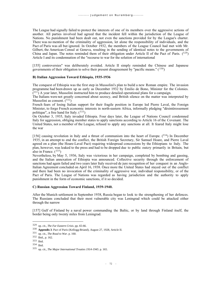The League had signally failed to protect the interests of one of its members over the aggressive actions of another. All parties involved had agreed that the incident fell within the jurisdiction of the League of Nations. No punishment had been dealt out, not even the sanctions provided for by the League's charter. There was no mention of the criminality of aggression, let alone the responsibility of individuals, and the Pact of Paris was all but ignored. In October 1932, the members of the League Council had met with Mr. Gilbert, the American Consul at Geneva, resulting in the sending of identical notes to the governments of China and Japan. The notes reminded them of their obligation under Article II of the Pact of Paris.  $(329)$ Article I and its condemnation of the "recourse to war for the solution of international

[155] controversies" was deliberately avoided. Article II simply reminded the Chinese and Japanese governments of their obligation to solve their present disagreement by "pacific means."  $(330)$ 

## **B) Italian Aggression Toward Ethiopia, 1935-1936**

The conquest of Ethiopia was the first step in Mussolini's plan to build a new Roman empire. The invasion programme had been drawn up as early as December 1932 by Emilio de Bono, Minister for the Colonies.  $(331)$  A year later, Mussolini instructed him to produce detailed operational plans for a campaign.

The Italians were not greatly concerned about secrecy, and British silence on the matter was interpreted by Mussolini as consent.  $(332)$ 

French fears of losing Italian support for their fragile position in Europe led Pierre Laval, the Foreign Minister, to forgo French economic interests in north-eastern Africa, informally pledging "désintéressement politique", a free hand for Italy.  $(333)$ 

On October 3, 1935, Italy invaded Ethiopia. Four days later, the League of Nations Council condemned Italy for aggression, obliging member states to apply sanctions according to Article 16 of the Covenant. The United States, not a member of the League, refused to apply any sanctions at all. It feared Italy might lose the war

[156] causing revolution in Italy and a thrust of communism into the heart of Europe.  $(^{334})$  In December 1935, in an attempt to end the conflict, the British Foreign Secretary, Sir Samuel Hoare, and Pierre Laval agreed on a plan (the Hoare-Laval Pact) requiring widespread concessions by the Ethiopians to Italy. The plan, however, was leaked to the press and had to be dropped due to public outcry primarily in Britain, but also in France.  $(335)$ 

Nevertheless, by May 5, 1936, Italy was victorious in her campaign, completed by bombing and gassing, and the Italian annexation of Ethiopia was announced. Collective security through the enforcement of sanctions had again failed and two years later Italy received de jure recognition of her conquest in an Anglo-Italian Agreement concluded on April 16, 1938. Once more the United States had stayed out of the conflict and there had been no invocation of the criminality of aggressive war, individual responsibility, or of the Pact of Paris. The League of Nations was regarded as having jurisdiction and the authority to apply punishment in the form of economic sanctions, if it so decided.

## **C) Russian Aggression Toward Finland, 1939-1940.**

After the Munich settlement in September 1938. Russia began to look to the strengthening of her defences. The Russians concluded that their most vulnerable city was Leningrad which could be attacked either through the narrow

[157] Gulf of Finland by a naval power commanding the Baltic, or by land through Finland itself, the border being only twenty miles from Leningrad.

<sup>329</sup> op. cit., *The Far Eastern Crisis*. pp. 65-66.

<sup>330</sup> **Appendix 3**. Pact of Paris (Kellogg-Briand), August 27, 1928, Article II.

<sup>331</sup> op. cit., *The Road to War*. p. 160.

<sup>332</sup> Ibid., p. 162.

<sup>333</sup> Ibid.

<sup>334</sup> Ibid.

<sup>335</sup> op. cit., *The Major International Treaties 1914-1945*. p. 165.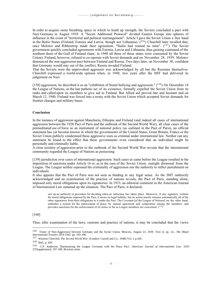In order to acquire some breathing space in which to build up strength, the Soviets concluded a pact with Nazi Germany in August 1939. A "Secret Additional Protocol" divided Eastern Europe into spheres of influence in the event of "territorial and political rearrangement". Article I gave the Soviet Union a free hand in the Baltic States (Finland, Estonia and Latvia, though not Lithuania). (<sup>336</sup>) Churchill later recalled that, once Molotov and Ribbentrop made their agreement, "Stalin had wasted no time".  $(^{337})$  The Soviet government quickly concluded agreements with Estonia, Latvia and Lithuania, thus gaining command of the southern shore of the Gulf of Finland (later, in 1940 all three of these states were consumed by the Soviet Union). Finland, however, refused to co-operate with Soviet demands and on November 28, 1939, Molotov denounced the non-aggression pact between Finland and Russia. Two days later, on November 30, confident that Germany would stay out of the conflict, Russia invaded Finland.

That the Soviets were the unprovoked aggressor was acknowledged by all but the Russians themselves. Churchill expressed a world-wide opinion when, in 1948, two years after the IMT had delivered its judgement on Nazi

[158] aggression, he described it as an "exhibition of brutal bullying and aggression." (338) On December 14 the League of Nations, in the last pathetic act of its existence, formally expelled the Soviet Union from its ranks and called upon its members to give aid to Finland. But Allied aid proved late and hesitant and on March 12, 1940, Finland was forced into a treaty with the Soviet Union which accepted Soviet demands for frontier changes and military bases.

#### **Conclusion**

In the instance of aggression against Manchuria, Ethiopia and Finland (and indeed all cases of international aggression between the 1928 Pact of Paris and the outbreak of the Second World War), all clear cases of the premeditated use of force as an instrument of national policy (as outlined in the Pact of Paris), no official statement has yet become known in which the governments of the United States, Great Britain, France or the Soviet Union publicly condemned these aggressive wars as criminal under international law. Neither can any statement be found to the effect that these governments even considered that an individual might be personally and criminally liable.

A close scrutiny of aggression prior to the outbreak of the Second World War reveals that the international community regarded the League of Nations as possessing

[159] jurisdiction over cases of international aggression. Such cases as came before the League resulted in the imposition of sanctions under Article 16 or, as in the case of the Soviet Union, outright dismissal from the League. The League neither espoused the criminality of aggression nor the authority to inflict punishment on individuals.

It also appears that the Pact of Paris was not seen as binding in any legal sense. As the IMT indirectly acknowledged and an examination of the practice of nations reveals, the Pact of Paris, standing alone, imposed only moral obligations upon its signatories. In 1933, an editorial comment in the American Journal of International Law summed up the situation. The Pact of Paris, it declared,

sets up no authority or procedure for deciding when an infraction has taken place. Moreover, if any signatory violates the moral obligations imposed by the Pact, it incurs no legal liability, but its action merely releases automatically all of the other signatories from their obligations to it under the Pact. The Covenant [of the League of Nations], on the other hand, embodies a system for the enforcement of peace by mutual agreement and coöperation among the members, and provides sanctions for the enforcement of its terms so far as League members are concerned.  $(339)$ 

## [160]

Thus, after examination of the laws, customs and practice of nations, it may be concluded that the views

<sup>336</sup> Treaty of Non-Aggression between Germany and the Soviet Union, Moscow, August 23, 1939. Text in op. cit., *The Major International Treaties 1914-1945*. pp. 195-196.

<sup>337</sup> Winston Churchill, *The Second World War*. (London: Cassell and Co., 1948) Vol. I, p.426.

<sup>338</sup> Ibid., p. 429.

<sup>339</sup> C.P. Anderson, 'Harmonizing the League Covenant with the Peace Pact.' *American Journal of International Law*. 1933 27[Supplement]: 107-108. Brackets mine.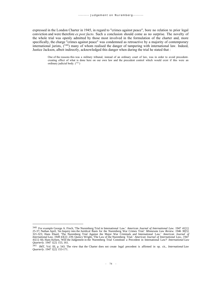expressed in the London Charter in 1945, in regard to "crimes against peace", bore no relation to prior legal conviction and were therefore *ex post facto*. Such a conclusion should come as no surprise. The novelty of the whole trial was openly admitted by those most involved in the formulation of the charter and, more specifically, the charge "crimes against peace" was condemned as retroactive by a majority of contemporary international jurists,  $(340)$  many of whom realised the danger of tampering with international law. Indeed, Justice Jackson, albeit indirectly, acknowledged this danger when during the trial he stated that :

One of the reasons this was a military tribunal, instead of an ordinary court of law, was in order to avoid precedentcreating effect of what is done here on our own law and the precedent control which would exist if this were an ordinary judicial body.  $(^{341})$ 

<sup>340</sup> For example George A. Finch, 'The Nuremberg Trial in International Law.' *American Journal of International Law.* 1947 41[1]: 25-37; Nathan April, 'An Inquiry into the Juridical Basis for the Nuremberg War Crimes Trial.' *Minnesota Law Review*. 1946 30[5]: 321-323; Hans Ehard, 'The Nuremberg Trial Against the Major War Criminals and International Law.' *American Journal of International Law*. 1949 43[2]: 239; Quincy Wright, 'The Law of the Nuremberg Trial.' *American Journal of International Law*,. 1947 41[1]: 66; Hans Kelsen, 'Will the Judgement in the Nuremberg Trial Constitute a Precedent in International Law?' *International Law Quarterly.* 1947 1[2]: 153, 161.

<sup>341</sup> IMT, Vol. III, p. 543. The view that the Charter does not create legal precedent is affirmed in op. cit., *International Law Quarterly*. 1947 1[2]: 153-171.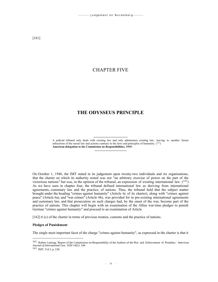# CHAPTER FIVE

# **THE ODYSSEUS PRINCIPLE**

------------------------------

-------------------------------- A judicial tribunal only deals with existing law and only administers existing law, leaving to another forum infractions of the moral law and actions contrary to the laws and principles of humanity.  $(^{342})$ **American delegation to the Commission on Responsibilities, 1919.**

On October 1, 1946, the IMT stated in its judgement upon twenty-two individuals and six organisations, that the charter on which its authority rested was not "an arbitrary exercise of power on the part of the victorious nations" but was, in the opinion of the tribunal, an expression of existing international law.  $(^{343})$ As we have seen in chapter four, the tribunal defined international law as deriving from international agreements, customary law and the practice, of nations. Thus, the tribunal held that the subject matter brought under the heading "crimes against humanity" (Article 6c of its charter), along with "crimes against peace" (Article 6a), and "war crimes" (Article 6b), was provided for in pre-existing international agreements and customary law, and that prosecution on such charges had, by the onset of the war, become part of the practice of nations. This chapter will begin with an examination of the Allies war-time pledges to punish German "crimes against humanity" and proceed to an examination of Article

[162] 6 (c) of the charter in terms of previous treaties, customs and the practice of nations.

## **Pledges of Punishment**

The single most important facet of the charge "crimes against humanity", as expressed in the charter is that it

<sup>343</sup> IMT, Vol I, p. 218.

<sup>342</sup> Robert Lansing, 'Report of the Commission on Responsibility of the Authors of the War and Enforcement of Penalties.' *American Journal of International Law*. 1920 14[1]: 144.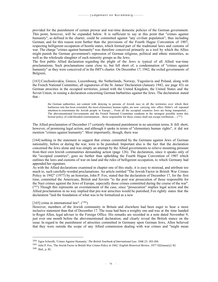provided for the punishment of certain prewar and war-time domestic policies of the German government. This point, however, will be expanded below. It is sufficient to say at this point that "crimes against humanity", as defined in the charter, could be committed against "any civilian population", thus including German, and for this reason went further than the provisions of the Fourth Hague Convention of 1907, respecting belligerent occupation of hostile states, which formed part of the traditional laws and customs of war. The charge "crimes against humanity" was therefore conceived primarily as a tool by which the Allies might punish the German government's repression of German religious, political and ethnic minorities, as well as the wholesale slaughter of such minority groups as the Jews.

The first public Allied declaration regarding the plight of the Jews is typical of all Allied war-time proclamations. Such proclamations came close to, but fell short of, a condemnation of "crimes against humanity" as they were conceived of in the IMT's charter. On December 17, 1942, the exiled governments of Belgium,

[163] Czechoslovakia, Greece, Luxembourg, the Netherlands, Norway, Yugoslavia and Poland, along with the French National Committee, all signatories of the St. James' Declaration (January 1942, see page 43) on German atrocities in the occupied territories, joined with the United Kingdom, the United States and the Soviet Union, in issuing a declaration concerning German barbarities against the Jews. The declaration stated that :

the German authorities, not content with denying to persons of Jewish race in all the territories over which their barbarous rule has been extended, the most elementary human rights, are now carrying into effect Hitler's oft repeated intention to exterminate the Jewish people in Europe.... From all the occupied countries Jews are being transported.... The abovementioned Governments and the French National Committee condemn in the strongest possible terms this bestial policy of cold-blooded extermination... those responsible for these crimes shall not escape retribution....  $(344)$ 

The Allied proclamation of December 17 certainly threatened punishment in no uncertain terms. It fell short, however, of promising legal action, and although it spoke in terms of "elementary human rights", it did not mention "crimes against humanity". Most importantly, though, there was

[164] nothing in the statement to suggest that crimes committed by the Germans against Jews of German nationality, before or during the war, were to be punished. Important also is the fact that the declaration concerned the Jews alone and was simply an attempt by the Allied governments to relieve mounting pressure from their own Jewish communities demanding action (page 126). The declaration, since it speaks only of the "occupied countries", goes no further than upholding the Fourth Hague Convention of 1907 which outlines the laws and customs of war on land and the rules of belligerent occupation, to which Germany had appended her signature.

As with the Allied declarations examined in chapter one of this study, it is easy to misread, and attribute too much to, such carefully-worded proclamations. An article entitled "The Jewish Factor in British War Crimes Policy in 1942" (1977) by an historian, John P. Fox, stated that the declaration of December 17, for the first time, committed the Americans, British and Soviets "to the post war prosecution of those responsible for the Nazi crimes against the Jews of Europe, especially those crimes committed during the course of the war".  $(345)$  Though this represents an overstatement of the case, since "prosecution" implies legal action and the Allied proclamation in no way implied that pre-war atrocities would be punished, Fox rightly states that the declaration "laid the foundation of what was to be formalized as a new

[165] crime in international law".  $(346)$ 

However, members of the Jewish community in Britain and elsewhere had been eager to hear a more inclusive statement than that of December 17. The issue had been a weighty one and was at the time handed to Roger Allen, legal adviser to the Foreign Office. His remarks are recorded in a note dated November 9, just over one month before the abovementioned declaration, and clearly reveal the British stance on the issue. In regard to the punishment of atrocities committed in Germany upon German Jews, Allen believed that they were outside the scope of any Allied commission dealing with war crimes and "might mean

<sup>344</sup> Egon Schwelb, 'Crimes Against Humanity.' *The British Yearbook of International Law*. 1946 23: 183-184.

<sup>345</sup> John P. Fox, 'The Jewish Factor in British War Crimes Policy in 1942.' *English Historical Review*. 1977 92[January]: 82. <sup>346</sup> Ibid., p. 85.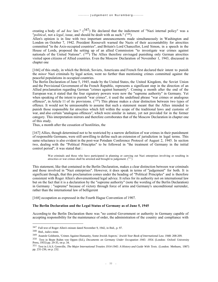creating a body of *ad hoc* law."  $(347)$  He declared that the indictment of "Nazi internal policy" was a "*political*, not a *legal*, issue, and should be dealt with as such." (<sup>348</sup>)

Allen's opinion is in line with two important announcements made simultaneously in Washington and London on October 7, 1942. President Roosevelt warned the Nazis of their accountability for atrocities committed "in the Axis-occupied countries", and Britain's Lord Chancellor, Lord Simon, in a speech in the House of Lords, proposed the setting up of an allied Commission "to investigate war crimes against nationals of the United Nations".  $(349)$  The Allies therefore envisaged punishing only German atrocities visited upon citizens of Allied countries. Even the Moscow Declaration of November 1, 1943, discussed in chapter one

[166] of this study, in which the British, Soviets, Americans and French first declared their intent to punish the *minor* Nazi criminals by legal action, went no further than mentioning crimes committed against the peaceful populations in occupied countries.

The Berlin Declaration of June 5, 1945, made by the United States, the United Kingdom, the Soviet Union and the Provisional Government of the French Republic, represents a significant step in the direction of an Allied proclamation regarding German "crimes against humanity". Coming a month after the end of the European war, it stated that the four signatory powers were now the "supreme authority" in Germany. Yet when speaking of the intent to punish "war crimes", it used the undefined phrase "war crimes or analogous offences", in Article 11 of its provisions. (<sup>350</sup>) This phrase makes a clear distinction between two types of offence. It would not be unreasonable to assume that such a statement meant that the Allies intended to punish those responsible for atrocities which fell within the scope of the traditional laws and customs of war, and also certain "analogous offences", which were similar in nature, yet not provided for in the former category. This interpretation mirrors and therefore corroborates that of the Moscow Declaration in chapter one of this study.

Thus, a month after the cessation of hostilities, the

[167] Allies, though determined not to be restricted by a narrow definition of war crimes in their punishment of responsible Germans, were still unwilling to define such an extension of jurisdiction in legal terms. This same reluctance is also evident in the post-war Potsdam Conference Protocol of August 2, 1945. In section two, dealing with the "Political Principles" to be followed in "the treatment of Germany in the initial control period", it was stated that :

War criminals and those who have participated in planning or carrying out Nazi enterprises involving or resulting in atrocities or war crimes shall be arrested and brought to judgement.  $(^{351})$ 

This statement, like that contained in the Berlin Declaration, makes a clear distinction between war criminals and those involved in "Nazi enterprises". However, it does speak in terms of "judgement" for both. It is significant though, that this proclamation comes under the heading of "Political Principles" and is therefore consistent with Roger Allen's abovementioned legal advice. It relies for its authority not on international law but on the fact that it is a declaration by the "supreme authority" (note the wording of the Berlin Declaration) in Germany : "supreme" because of victory through force of arms and Germany's unconditional surrender, rather than the international law of belligerent

[168] occupation as expressed in the Fourth Hague Convention of 1907.

#### **The Berlin Declaration and the Legal Status of Germany as of June 5, 1945**

According to the Berlin Declaration there was "no central Government or authority in Germany capable of accepting responsibility for the maintenance of order, the administration of the country and compliance with

<sup>347</sup> Full text of Roger Allen's minute dated November 9, 1942, in Ibid., p. 97.

<sup>348</sup> Ibid., italics mine.

<sup>349</sup> Anatole Goldstein, 'Crimes Against Humanity, Some Jewish Aspects.' *Jewish Year Book of International Law*. 1948: 208-209.

<sup>350</sup> Text in Beate Ruhm von Oppen (Ed.), *Documents on Germany Under Occupation 1945- 1954.* (London: Oxford University Press, 1955) pp. 29-35, on p. 34.

<sup>351</sup> Text in J.A.S. Grenville, *The Major International Treaties 1914-1945: A History and Guide With Texts.* (London: Methuen, 1987) pp. 231-236, on p. 232.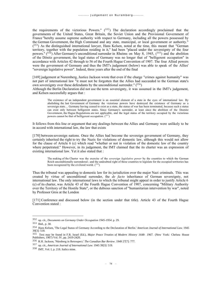the requirements of the victorious Powers."  $(352)$  The declaration accordingly proclaimed that the governments of the United States, Great Britain, the Soviet Union and the Provisional Government of France "hereby assume supreme authority with respect to Germany, including all the powers possessed by the German Government, the High Command and any state, municipal, or local government or authority." (353) As the distinguished international lawyer, Hans Kelsen, noted at the time, this meant that "German territory, together with the population residing in it," had been "placed under the sovereignty of the four powers."  $(354)$  After Germany's unconditional surrender in Rheims on May 8, 1945,  $(355)$  and the abolition of the Dönitz government, the legal status of Germany was no longer that of "belligerent occupation" in accordance with Articles 42 through to 56 of the Fourth Hague Convention of 1907. The four Allied powers were the government of Germany and thus the IMT's judgement (below) was able to speak of the Allies' "sovereign legislative power". Indeed, three years after the end of the final

[169] judgement at Nuremberg, Justice Jackson wrote that even if the charge "crimes against humanity" was not part of international law "it must not be forgotten that the Allies had succeeded to the German state's own sovereignty over these defendants by the unconditional surrender."  $(356)$ 

Although the Berlin Declaration did not use the term sovereignty, it was assumed in the IMT's judgement, and Kelsen successfully argues that :

The existence of an independent government is an essential element of a state in the eyes of international law. By abolishing the last Government of Germany the victorious powers have destroyed the existence of Germany as a sovereign state.... Germany having ceased to exist as a state, the status of war has been terminated, because such a status can exist only between belligerent states. Since Germany's surrender, at least since the abolition of the Doenitz Government, the Hague Regulations are not applicable, and the legal status of the territory occupied by the victorious powers cannot be that of belligerent occupation.  $(357)$ 

It follows from this line or argument that any dealings between the Allies and Germany were unlikely to be in accord with international law, the law that exists

[170] between sovereign nations. Once the Allies had become the sovereign government of Germany, they certainly inherited the right to try the Nazis for violations of domestic law, although this would not allow for the clause of Article 6 (c) which read "whether or not in violation of the domestic law of the country where perpetrated." However, in its judgement, the IMT claimed that the its charter was an expression of existing international law. Yet it also stated that :

The making of the Charter was the exercise of the *sovereign legislative power* by the countries to which the German Reich unconditionally surrendered ; and the undoubted right of these countries to legislate for the occupied territories has been recognized by the civilized world.  $(358)$ 

Thus the tribunal was appealing to domestic law for its jurisdiction over the major Nazi criminals. This was created by virtue of unconditional surrender, the *de facto* inheritance of German sovereignty, not international law. The only international laws to which the tribunal might appeal in order to justify Article 6 (c) of its charter, was Article 43 of the Fourth Hague Convention of 1907, concerning "Military Authority over the Territory of the Hostile State", or the dubious sanction of "humanitarian intervention by war", noted by Professor Gros at the London

[171] Conference and discussed below (in the section under that title). Article 43 of the Fourth Hague Convention stated :

<sup>352</sup> op. cit., *Documents on Germany Under Occupation 1945-1954*. p. 29.

<sup>353</sup> Ibid., p. 30.

<sup>354</sup> Hans Kelsen, 'The Legal Status of Germany According to the Declaration of Berlin.' *American Journal of International Law.* 1945 39[3]: 518.

<sup>355</sup> Text may be found in F.R. Israel (Ed.), *Major Peace Treaties of Modern History 1648- 1967*. (New York: Chelsea House Publishers, 1967) Vol. IV, pp. 2419-2420.

<sup>356</sup> R.H. Jackson, 'Nürnberg in Retrospect.' *The Canadian Bar Review*. 1949 27[7]: 777.

<sup>357</sup> op. cit., *American Journal of International Law.* 1945 39[3]: 519.

<sup>358</sup> IMT, Vol. I, p. 218. Italics mine.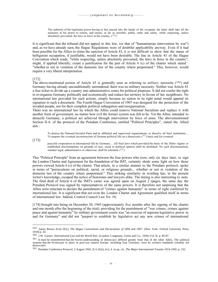The authority of the legitimate power having in fact passed into the hands of the occupant, the latter shall take all the measures in his power to restore, and ensure, as far as possible, public order and safety, while respecting, unless absolutely prevented, the laws in force in the country.  $(^{359})$ 

It is significant that the tribunal did not appeal to this law, (or that of "humanitarian intervention by war") and, as we have already seen, the Hague Regulations were of doubtful applicability anyway. Even if it had been possible for the Allies to claim the sanction of Article 43, it is not difficult to show that the status of belligerent occupation, if justifiable, would not have been desirable. The line in Article 43 of the Hague Convention which reads, "while respecting, unless absolutely prevented, the laws in force in the country", might, if applied liberally, create a justification for the part of Article 6 (c) of the charter which stated : "whether or not in violation of the domestic law of the country where perpetrated." This, however, would require a very liberal interpretation.

[172]

The above-mentioned section of Article 43 is generally seen as referring to *military* necessity (<sup>360</sup>) and Germany having already unconditionally surrendered, there was no military necessity. Neither was Article 43 a free ticket to divide up a country into administrative zones for political purposes. It did not confer the right to re-organise Germany politically and economically and reduce her territory in favour of her neighbours. No international law provided for such actions, simply because no nation in its right mind would append its signature to such a document. The Fourth Hague Convention of 1907 was designed for the protection of the invaded people, not for their complete political subjugation and reorganisation.

There was no international law by which the Allies could remove National Socialism and replace it with another form of government, no matter how evil the former system was felt to be. Yet the Allies intended to denazify Germany, a political act achieved through intervention by force of arms. The abovementioned Section II.A. of the protocol of the Potsdam Conference, entitled "Political Principles", stated the Allied aim :

To destroy the National Socialist Party and its affiliated and supervised organizations, to dissolve all Nazi institutions.... To prepare the eventual reconstruction of German political life on a democratic (361) basis and for eventual

[173]

peaceful cooperation in international life by Germany.... All Nazi laws which provided the basis of the Hitler régime or established discriminations on grounds of race, creed or political opinion shall be abolished. No such discriminations, whether legal, administrative or otherwise, shall be tolerated.  $(362)$ 

This "Political Principle" from an agreement between the four powers who were, only six days later, to sign the London Charter and Agreement for the foundation of the IMT, certainly sheds some light on how those powers viewed Article 6 (c) of the charter. That article, in a similar manner to the Potsdam protocol, spoke in terms of "persecutions on political, racial, or religious grounds... whether or not in violation of the domestic law of the country where perpetrated." This striking similarity in wording has, to the present writer's knowledge, escaped the notice of historians and lawyers alike. The timing is also interesting to note. The final draft of Article 6 of the IMT's carter was agreed upon on August 2 (page), the same day the Potsdam Protocol was signed by representatives of the same powers. It is therefore not surprising that the Allies were reluctant to declare the punishment of "crimes against humanity" in terms of right conferred by international law. It is significant that not even the London Charter and Agreement qualified itself in terms of international law. Indeed, Control Council Law No. 10,

[174] brought into being on December 20, 1945 (approximately five months after the signing of the charter and one month after the beginning of the trial), providing for the punishment of "war crimes, crimes against peace and against humanity" by military government courts was "an exercise of supreme legislative power in and for Germany" and did not "purport to establish by legislative act any new crimes of international

<sup>359</sup> James Brown Scott (Ed.), *The Hague Conventions and Declarations of 1899 and 1907.* (New York: Oxford University Press, 1918) p. 43.

<sup>360</sup> J.W. Garner, *International Law and the World War*. (London: Longmans, Green and Co., 1920) Vol. II, p. 85-87.

<sup>&</sup>lt;sup>361</sup> It must be remembered that the Soviet understanding of democracy differed greatly from that of the other Allies. The political systems that the Soviets put in place in post-war eastern Europe, including East Germany, were by western standards certainly not democratic.

<sup>362</sup> Potsdam Conference Protocol, 2 August 1945, II.A.3(iii), (iv), 4. in op. cit., *The Major International Treaties 1914-1945.* p. 232.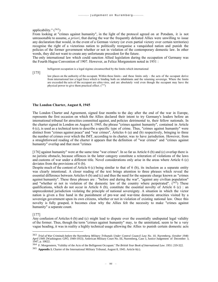### applicability."  $(363)$

From looking at "crimes against humanity", in the light of the protocol agreed on at Potsdam, it is not unreasonable to assume, *a priori*, that during the war the frequently defeated Allies were unwilling to issue any declaration that would, in the event of a German victory (or even partial victory over certain territories) recognise the right of a victorious nation to politically reorganise a vanquished nation and punish the policies of the former government whether or not in violation of the contemporary domestic law. In other words, they did not want to create any unfortunate precedent for the future.

The only international law which could sanction Allied legislation during the occupation of Germany was the Fourth Hague Convention of 1907. However, as Felice Morgenstern noted in 1951 :

belligerent occupation is a legal régime circumscribed by the limits which international

[175]

law places on the authority of the occupant. Within these limits - and these limits only - the acts of the occupant derive from international law a legal force which is binding both on inhabitants and the returning sovereign. Where the limits are exceeded the acts of the occupant are ultra vires, and are absolutely void even though the occupant may have the physical power to give them practical effect.  $(364)$ 

#### **The London Charter, August 8, 1945**

The London Charter and Agreement, signed four months to the day after the end of the war in Europe, represents the first occasion on which the Allies declared their intent to try Germany's leaders before an international tribunal for atrocities committed against, and policies detrimental to, their fellow nationals. In the charter signed in London on August 8, 1945, the phrase "crimes against humanity", contained in Article 6 (c), is used as a technical term to describe a specific type of crime. Thus, "crimes against humanity" were distinct from "crimes against peace" and "war crimes", Articles 6 (a) and (b) respectively, bringing to three the number of crimes over which the IMT, according to its charter, was to have jurisdiction. However, from a straightforward reading of the charter it appears that the definition of "war crimes" and "crimes against humanity" overlap and that most "crimes

[176] against humanity" were at the same time "war crimes". In so far as Article 6 (b) and (c) overlap there is no juristic obstacle, because offences in the latter category constitute a reiteration of violations of the laws and customs of war under a different title. Novel considerations only arise in the areas where Article 6 (c) deviates from the provisions of 6 (b).

Despite much of the content of Article 6 (c) being similar to that of 6 (b), its inclusion as a separate entity was clearly intentional. A closer reading of the text brings attention to three phrases which reveal the essential difference between Articles 6 (b) and (c) and thus the need for the separate charge known as "crimes against humanity". These three phrases are : "before and during the war", "against any civilian population" and "whether or not in violation of the domestic law of the country where perpetrated".  $(365)$  These qualifications, which do not occur in Article 6 (b), constitute the essential novelty of Article 6 (c) : an unprecedented jurisdiction violating the principle of national sovereignty. A situation in which the victor nation is given a free hand in the punishment of pre-war and war-time domestic atrocities visited by a sovereign government upon its own citizens, whether or not in violation of existing national law. Once this novelty is fully grasped, it becomes clear why the Allies felt the necessity to make "crimes against humanity" a separate count.

#### [177]

Any confusion of Articles 6 (b) and (c) might lead to dispute over the essentially undisputed legal validity of the former. Thus, though the term "crimes against humanity" may, to the uninitiated, seem to be a very vague heading, it was in reality a highly technical usage allowing the Allies to punish certain domestic acts

<sup>363</sup> *Trial of War Criminals before the Nuremberg Military Tribunals Under Control Council Law No. 10, Nuremberg, October 1946- April 1949.* (Washington: GPO, 1949-1953). American Military Court No. III, Nuremberg, Case 3, Justice Judgement of December 3, 1947, p. 10622.

<sup>364</sup> F. Morgenstern, 'Validity of the Acts of the Belligerent Occupant.' *The British Year Book of International Law*. 1951: 219-322.

<sup>365</sup> **Appendix 1.** Charter of the International Military Tribunal, August 8, 1945. Article 6(c).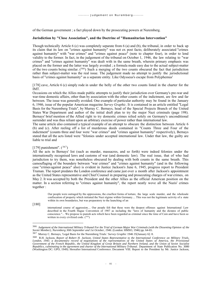of the German government ; a fact played down by the prosecuting powers at Nuremberg.

## **Jurisdiction by "Close Association", and the Doctrine of "Humanitarian Intervention"**

Though technically Article 6 (c) was completely separate from 6 (a) and (b), the tribunal, in order to back up its claim that its law on "crimes against humanity" was not ex post facto, deliberately associated "crimes against humanity" with "war crimes" and "crimes against peace" (note to chapter four), in order to lend validity to the former. In fact, in the judgement of the tribunal on October 1, 1946, the law relating to "war crimes" and "crimes against humanity" was dealt with in the same breath, wherein primary emphasis was placed on the former and the latter was largely avoided ; a formula made easy due to the actual subject-matter of the two counts being similar. (366) Such a merging of the two counts obscured the fact that jurisdiction rather than subject-matter was the real issue. The judgement made no attempt to justify the jurisdictional basis of "crimes against humanity" as a separate entity. Like Odysseus's escape from Polyphemus'

[178] cave, Article 6 (c) simply rode in under the belly of the other two counts listed in the charter for the IMT.

Occasions on which the Allies made public attempts to justify their jurisdiction over Germany's pre-war and war-time domestic affairs, other than by association with the other counts of the indictment, are few and far between. The issue was generally avoided. One example of particular authority may be found in the January 6, 1946, issue of the popular American magazine *Survey Graphic*. It is contained in an article entitled "Legal Basis for the Nuremberg Trials", by Murray C. Bernays, head of the Special Projects Branch of the United States War Department and author of the initial draft plan to try the major Nazi criminals (page 198). Bernays' brief mention of the Allied right to try domestic crimes relied solely on Germany's unconditional surrender and was thus reliant upon an arbitrary exercise of power rather than international law.

The same article also contained a typical example of an attempt to obscure the distinction between Article 6 (b) and (c). After reeling off a list of murderous deeds contained in "Counts Three and Four of the indictment" (counts three and four were "war crimes" and "crimes against humanity" respectively), Bernays stated that all the acts listed were "felonies under accepted international law. Under that law, the guilty are liable to trial and

#### [179] punishment".  $(367)$

All the acts in Bernays' list (such as murder, massacres, and so forth) were indeed felonies under the internationally recognised laws and customs of war (and domestic law). The real issue, that of who had jurisdiction to try them, was nonetheless obscured by dealing with both counts in the same breath. This camouflaging of the boundery between "war crimes" and "crimes against humanity" (and in the following case "crimes against peace" also) is evident in Justice Jackson's June 6, 1945, progress report to President Truman. The report predates the London conference and came just over a month after Jackson's appointment as the United States representative and Chief Counsel in preparing and prosecuting charges of war crimes, on May 2. It was accepted by both the President and the other Allies as the official American position on the matter. In a section referring to "crimes against humanity", the report neatly wove all the Nazis' crimes together :

Our people were outraged by the oppressions, the cruellest forms of torture, the large scale murder, and the wholesale confiscation of property which initiated the Nazi régime within Germany.... This was not the legitimate activity of a state within its own boundaries, but was preparatory to the launching of an

[180]

international course of aggression.... Our people felt that these were the deepest offenses against International Law described in the Fourth Hague Convention of 1907 as including the "laws of humanity and the dictates of public conscience."... We propose to punish acts which have been regarded as criminal since the time of Cain and have been so written in every civilized code.  $(368)$ 

<sup>366</sup> *Judgement of the International Military Tribunal For the Trial of German Major War Criminals (with the Dissenting Opinion of the Soviet Member), Nuremberg 30th September and 1st October, 1946*. (London: HMSO, 1946) pp. 64-65.

<sup>367</sup> Murray C. Bernays, 'Legal Basis for the Nuremberg Trials.' *Survey Graphic* 1946 35[January 6]: 8.

<sup>368</sup> R.H. Jackson, *Report of Robert H. Jackson, United States Representative to the International Conference on Military Trials, London, 1945: a documentary record of negotiations of the representatives of the United States of America, the Provisional Government of the French Republic, the United Kingdom of Great Britain and Northern Ireland, and the Union of Soviet Socialist* Republics, culminating in the agreement and charter of the International Military Tribunal. Department of State Publication No. 3080<br>(Washington DC: GPO, 1949). Hereafter International Conference. Document VIII. Report to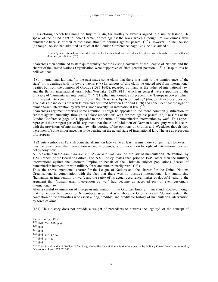In his closing speech beginning on July 26, 1946, Sir Hartley Shawcross argued in a similar fashion. He spoke of the Allied right to indict German crimes against the Jews, which although not war crimes, were punishable because of their "close association" to "crimes against peace". (369) However, unlike Jackson (although Jackson had admitted as much at the London Conference, page 126), he also added :

Normally international law concedes that it is for the state to decide how it shall treat its own nationals ; it is a matter of domestic jurisdiction. (<sup>370</sup>)

Shawcross then continued to state quite frankly that the existing covenant of the League of Nations and the charter of the United Nations Organisation were supportive of "that general position."  $(371)$  Despite this he believed that

[181] international law had "in the past made some claim that there is a limit to the omnipotence of the state" in its dealings with its own citizens.  $(372)$  In support of this claim he quoted not from international treaties but from the opinions of Grotius (1583-1645), regarded by many as the father of international law, and the British international jurist, John Westlake (1828-1913), which in general were supportive of the principle of "humanitarian intervention".  $(373)$  He then mentioned, as precedent, the "European powers which in time past intervened in order to protect the Christian subjects of Turkey" (though Shawcross does not give dates the incidents are well known and occurred between 1827 and 1878) and concluded that the right of humanitarian intervention by war was "not a novelty" in international law.  $(3^{74})$ 

Shawcross's argument deserves some attention. Though he appealed to the more common justification of "crimes against humanity" through its "close association" with "crimes against peace", he, like Gros at the London Conference (page 127), appealed to the doctrine of "humanitarian intervention by war". This appeal represents the strongest part of his argument that the Allies' violation of German sovereignty was in accord with the provisions of international law. His quoting of the opinions of Grotius and Westlake, though they were men of some importance, has little bearing on the actual state of international law. The use as precedent of European

[182] interventions in Turkish domestic affairs, on face value at least, seems more compelling. However, it must be remembered that intervention on moral grounds, and intervention by right of international law are not synonymous.

A 1973 article in the *American Journal of International Law*, on the law of humanitarian intervention, by T.M. Franck (of the Board of Editors) and N.S. Rodley, states that, prior to 1945, other than the military interventions against the Ottoman Empire on behalf of the Christian subject populations, "cases of humanitarian intervention with military force are extraordinarily rare."  $(375)$ 

Thus, the above- mentioned charter for the League of Nations and the charter for the United Nations Organisation, in combination with the fact that there was no positive international law authorising "humanitarian intervention by war", and the rarity of its actual occurrence, makes of doubtful validity the argument that "humanitarian intervention by war" had become an accepted part of even customary international law.

After a careful examination of European intervention in the Ottoman Empire, Franck and Rodley, though making no specific mention of Nuremberg, assert that as a whole the Ottoman cases "do not sustain the contention of the authorities who assert a long, credible, and creditable history of humanitarian intervention by force of arms....

[183] Thus history does not provide a weight of precedents to buttress the legality" of the concept of

June 6, 1945. pp. 49-50.

<sup>369</sup> IMT, Vol. XIX, p. 471.

<sup>370</sup> Ibid.

<sup>371</sup> Ibid.

<sup>372</sup> Ibid., p. 471-472.

<sup>373</sup> Ibid., p. 472.

<sup>374</sup> Ibid.

<sup>375</sup> T.M. Franck and N.S. Rodley, 'After Bangladesh: The Law of Humanitarian Intervention by Military Force.' *American Journal of International Law*. 1973 67: 283.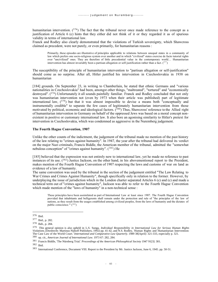humanitarian intervention.  $(376)$  The fact that the tribunal never once made reference to the concept as a justification of Article 6 (c) hints that they either did not think of it or they regarded it as of spurious validity in terms of international law.

Franck and Rodley also clearly demonstrated that the violations of Turkish sovereignty, which Shawcross claimed as precedent, were not purely, or even primarily, for humanitarian reasons :

Primarily, these episodes are illustrative of principles applicable to relations between unequal states in a community of law which prefers one socio-religious system over another and in which "civilized" states exercise de facto tutorial rights over "uncivilized" ones. They are therefore of little precedential value in the contemporary world.... Humanitarian intervention has almost invariably been a partisan allegation or self-justification rather than a fact.  $(^{37})$ 

The susceptibility of the principle of humanitarian intervention to "partisan allegation or self-justification" should come as no surprise. After all, Hitler justified his intervention in Czechoslovakia in 1938 on humanitarian

[184] grounds. On September 23, in writing to Chamberlain, he stated that ethnic Germans and "various nationalities in Czechoslovakia" had been, amongst other things, "maltreated", "tortured" and "economically destroyed". (378) Unfortunately it all sounds painfully familiar. Franck and Rodley concluded that not only was humanitarian intervention not (even by 1973 when their article was published) part of legitimate international law, (<sup>379</sup>) but that it was almost impossible to devise a means both "conceptually and instrumentally credible" to separate the few cases of legitimately humanitarian intervention from those motivated by political, economic and ideological factors.  $(380)$  Thus, Shawcross' reference to the Allied right of humanitarian intervention in Germany on behalf of the oppressed Jews was based on a moral concept nonexistent in positive or customary international law. It also bore an agonising similarity to Hitler's pretext for intervention in Czechoslovakia, which was condemned as aggressive in the Nuremberg judgement.

## **The Fourth Hague Convention, 1907**

Unlike the other counts of the indictment, the judgement of the tribunal made no mention of the past history of the law relating to "crimes against humanity". In 1947, the year after the tribunal had delivered its verdict on the major Nazi criminals, Francis Biddle, the American member of the tribunal, admitted the "somewhat nebulous conception" of "crimes against humanity".  $(381)$  He

[185] believed that the expression was not entirely new to international law, yet he made no reference to past instances of its use.  $(^{382})$  Justice Jackson, on the other hand, in his abovementioned report to the President, makes mention of the Fourth Hague Convention of 1907 respecting the laws and customs of war on land as evidence of a law of humanity.

The same convention was used by the tribunal in the section of the judgement entitled "The Law Relating to War Crimes and Crimes Against Humanity", though specifically only in relation to the former. However, by underplaying the issue of jurisdiction which in the London charter separated Articles 6 (c) and (c) and made a technical term out of "crimes against humanity", Jackson was able to refer to the Fourth Hague Convention which made mention of the "laws of humanity" in a non-technical sense :

These principles have been assimilated as part of International Law at least since 1907. The Fourth Hague Convention provided that inhabitants and belligerents shall remain under the protection and rule of "the principles of the law of nations, as they result from the usages established among civilized peoples, from the laws of humanity and the dictates of public conscience."'  $(^{383})$ 

<sup>382</sup> Ibid.

<sup>376</sup> Ibid.

<sup>377</sup> Ibid., p. 282.

<sup>378</sup> Ibdi., p. 284.

<sup>379</sup> This general opinion is also upheld in L.S. Sunga, *Individual Responsibility in International Law for Serious Human Rights Violations.* (Dordrecht: Martinus Nijhoff Publishers, 1992) pp. 41-42, and N.S. Rodley, 'Human Rights and Humanitarian Intervention: The Case Law of the World Court.' *International and Comparative Law Quarterly.* 1989 38[April]: 321-333, especially p. 321.

<sup>380</sup> op. cit., *American Journal of International Law*. 1973 67: 282, 284.

<sup>381</sup> Francis Biddle, 'The Nürnberg Trial.' *Proceedings of the American Philosophical Society* 1947 91[3]: 301.

<sup>383</sup> International Conference, Document VIII. Report to the President by Mr. Justice Jackson, June 6, 1945. pp. 50-51.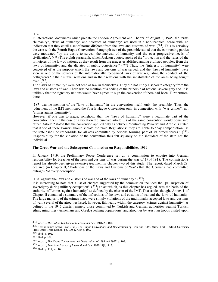#### [186]

In international documents which predate the London Agreement and Charter of August 8, 1945, the terms "humanity", "laws of humanity" and "dictates of humanity" are used in a non-technical sense with no indication that they entail a set of norms different from the laws and customs of war.  $(^{384})$  This is certainly the case with the Fourth Hague Convention. Paragraph two of the preamble stated that the contracting parties were motivated "by the desire to serve... the interests of humanity and the ever progressive needs of civilization".  $(385)$  The eighth paragraph, which Jackson quotes, spoke of the "protection and the rules of the principles of the law of nations, as they result from the usages established among civilized peoples, from the laws of humanity, and the dictates of public conscience." (386) Thus, the "interests of humanity" were conceived of as the purpose which the laws and customs of war served, and the "laws of humanity" were seen as one of the sources of the internationally recognised laws of war regulating the conduct of the belligerents "in their mutual relations and in their relations with the inhabitants" of the areas being fought over.  $(^{387})$ 

The "laws of humanity" were not seen as law in themselves. They did not imply a separate category from the laws and customs of war. There was no mention of a ceding of the principle of national sovereignty and it is unlikely that the signatory nations would have agreed to sign the convention if there had been. Furthermore, there

[187] was no mention of the "laws of humanity" in the convention itself, only the preamble. Thus, the judgement of the IMT mentioned the Fourth Hague Convention only in connection with "war crimes", not "crimes against humanity".

However, if one was to argue, somehow, that the "laws of humanity" were a legitimate part of the convention, then in the case of a violation the punitive article (3) of the same convention would come into effect. Article 2 stated that the convention applied only as between "contracting Powers" and Article 3 stated that if one of these Powers should violate the "said Regulations" they are liable to "pay compensation" as the state "shall be responsible for all acts committed by persons forming part of its armed forces."  $(^{388})$ Responsibility for the violation of the convention thus fell squarely on the shoulders of the state not the individual.

#### **The Great War and the Subsequent Commission on Responsibilities, 1919**

In January 1919, the Preliminary Peace Conference set up a commission to enquire into German responsibility for breaches of the laws and customs of war during the war of 1914-1918. The commission's report has already been given extensive treatment in chapter two of this study. The report, dated March 29, declared (in Chapter II, "Violations of the Laws and Customs of War") that the Germans had committed outrages "of every description...

It is interesting to note that a list of charges suggested by the commission included the "[u] surpation of sovereignty during military occupation",  $(390)$  an act which, as this chapter has argued, was the basis of the authority of "crimes against humanity" as defined by the charter of the IMT. That aside, though, Annex I of Chapter II contained a summary of the infractions of the laws and customs of war and the laws of humanity. The large majority of the crimes listed were simply violations of the traditionally accepted laws and customs of war. Several of the atrocities listed, however, fall neatly within the category "crimes against humanity" as defined in the 1945 charter, namely those committed by Turkish and German authorities against Turkish ethnic minorities (Armenians and Greek-speaking populations) and atrocities by Austrian troops visited upon

<sup>[188]</sup> against the laws and customs of war and of the laws of humanity."  $(389)$ 

<sup>384</sup> op. cit., *The British Yearbook of International Law*. 1946 23: 180.

<sup>385</sup> Text in James Brown Scott (Ed.), *The Hague Conventions and Declarations of 1899 and 1907.* (New York: Oxford University Press, 1918. Third Edition) pp. 100-127, on p. 100.

<sup>386</sup> Ibid., p. 102.

<sup>387</sup> Ibid. p. 101.

<sup>388</sup> op. cit., *The Hague Conventions and Declarations of 1899 and 1907*. p. 103.

<sup>389</sup> op. cit., *American Journal of International Law.* 1920 14[1]: 113.

<sup>390</sup> Ibid., p. 114, no. 10.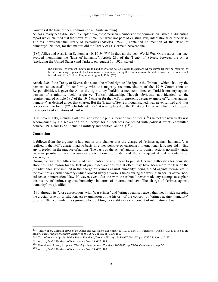Gorizia (at the time of their commission an Austrian town).

As has already been discussed in chapter two, the American members of the commission issued a dissenting report which claimed that the "laws of humanity" were not part of existing law, international or otherwise. The result was that the Treaty of Versailles (Articles 228-230) contained no mention of the "laws of humanity". Neither, for that matter, did the Treaty of St. Germain between the

[189] Allies and Austria on September 10, 1919.  $(^{391})$  In fact, all the post-World War One treaties, bar one, avoided mentioning the "laws of humanity". Article 230 of the Treaty of Sèvres, between the Allies (excluding the United States) and Turkey, on August 10, 1920, stated :

The Turkish Government undertakes to hand over to the Allied Powers the persons whose surrender may be required by the latter as being responsible for the massacres committed during the continuance of the state of war on territory which formed part of the Turkish Empire on August 1, 1914.  $(^{392})$ 

Article 230 of the Treaty of Sèvres also stated the Allied right to "designate the Tribunal which shall try the persons so accused". In conformity with the majority recommendation of the 1919 Commission on Responsibilities, it gave the Allies the right to try Turkish crimes committed on Turkish territory against persons of a minority racial origin yet Turkish citizenship. Though obviously not identical to the requirements of Article 6 (c) of the 1945 charter for the IMT, it represents a clear example of "crimes against humanity" as defined under that charter. But the Treaty of Sèvres, though signed, was never ratified and thus never came into force.  $(^{393})$  On July 24, 1923, it was replaced by the Treaty of Lausanne which had dropped the majority of violations of Turkish

[190] sovereignty, including all provisions for the punishment of war crimes.  $(394)$  In fact the new treaty was accompanied by a "Declaration of Amnesty" for all offences connected with political events committed between 1914 and 1922, including military and political action.  $(395)$ 

## **Conclusion**

It follows from the arguments laid out in this chapter that the charge of "crimes against humanity", as realised in the IMT's charter, had no basis in either positive or customary international law, nor did it find any precedent in the practice of nations. The basis of the Allies' authority to punish actions normally under German jurisdiction was Germany's unconditional surrender and the subsequent Allied inheritance of sovereignty.

During the war, the Allies had made no mention of any intent to punish German authorities for domestic atrocities. The reason for the lack of public declarations to that effect may have been more for fear of the jurisdictional issue implicit in the charge of "crimes against humanity" being turned against themselves in the event of a German victory (which looked likely at various times during the war), than for its actual nonexistence in international law. However, even after the war, the tribunal never made any attempt to explain the history of "crimes against humanity" in terms of international law. The charge of "crimes against humanity" was justified

[191] through its "close association" with "war crimes" and "crimes against peace", thus neatly side-stepping the crucial issue of jurisdiction. An examination of the history of the concept of "crimes against humanity" prior to 1945, certainly gives grounds for doubting its validity as a component of international law.

<sup>391</sup> Treaty of St. Germain between the Allies and Austria on September 10, 1919. Part VII. Penalties. Articles, 173-176, in op. cit., *Major Peace Treaties of Modern History 1648-1967*. Vol. III, pp. 1596-1597.

<sup>392</sup> Text of treaty in op. cit., *Major Peace Treaties of Modern History 1648-1967*. Vol. III, pp. 2055-2213, on p. 2135.

<sup>393</sup> op. cit., *British Yearbook of International Law*. 1946 23: 182.

<sup>394</sup> Partial text of treaty in op. cit., T*he Major International Treaties 1914-1945*. pp. 79-80. Commentary on p. 50.

<sup>395</sup> op. cit., *British Yearbook of International Law*. 1946 23: 182.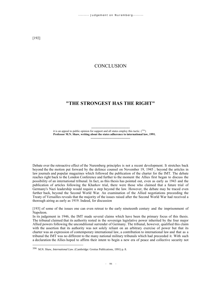# **CONCLUSION**

# **"THE STRONGEST HAS THE RIGHT"**

----------------------------------- it is an appeal to public opinion for support and all states employ this tactic.  $(^{396})$ **Professor M.N. Shaw, writing about the states adherence to international law, 1991.** -------------------------------------

Debate over the retroactive effect of the Nuremberg principles is not a recent development. It stretches back beyond the the motion put forward by the defence counsel on November 19, 1945 ; beyond the articles in law journals and popular magazines which followed the publication of the charter for the IMT. The debate reaches right back to the London Conference and further to the moment the Allies first began to discuss the possibility of an international tribunal. In fact, as this thesis has pointed out, even as early as 1943 and the publication of articles following the Kharkov trial, there were those who claimed that a future trial of Germany's Nazi leadership would require a step beyond the law. However, the debate may be traced even further back, beyond the Second World War. An examination of the Allied negotiations preceeding the Treaty of Versailles reveals that the majority of the issues raised after the Second World War had received a thorough airing as early as 1919. Indeed, for discussion

[193] of some of the issues one can even retreat to the early nineteenth century and the imprisonment of Napoleon.

In its judgement in 1946, the IMT made several claims which have been the primary focus of this thesis. The tribunal claimed that its authority rested in the sovereign legislative power inherited by the four major Allied powers following the unconditional surrender of Germany. The tribunal, however, qualified this claim with the assertion that its authority was not solely reliant on an arbitrary exercise of power but that its charter was an expression of contemporary international law, a contribution to international law and that as a tribunal the IMT was no different to the many national military tribunals which had preceeded it. With such a declaration the Allies hoped to affirm their intent to begin a new era of peace and collective security not

<sup>396</sup> M.N. Shaw, *International Law*. (Cambridge: Grotius Publications, 1991) p. 8.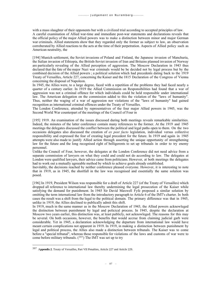with a mass slaughter of their opponents but with a civilized trial according to accepted principles of law. A careful examination of Allied war-time and immediate post-war statements and declarations reveals that the official policy of the major Allied powers was to make a distinction between minor and major German war criminals. Allied statements show that they regarded only the former as subject to law, an observation corroberated by Allied reactions to the acts at the time of their perpetration. Aspects of Allied policy such as American neutrality, the

[194] Munich settlement, the Soviet invasions of Poland and Finland, the Japanese invasion of Manchuria, the Italian invasion of Ethiopia, the British-Soviet invasion of Iran and Britains planned invasion of Norway are particularly revealing of the Allied perception of aggression. The Moscow Declaration in 1943 thus declared that the fate of the major Nazi war criminals would be be decided not by legal process but by the combined decision of the Allied powers ; a political solution which had precedents dating back to the 1919 Treaty of Versailles, Article 227, concerning the Kaiser and the 1815 Declaration of the Congress of Vienna concerning the disposal of Napoleon.

In 1945, the Allies were, to a large degree, faced with a repetition of the problems they had faced nearly a quarter of a century earlier. In 1919 the Allied Commission on Responsibilities had found that a war of aggression was not a criminal offence for which individuals could be held responsible under international law. The American delegation on the commission added to this the violation of the "laws of humanity". Thus, neither the waging of a war of aggression nor violations of the "laws of humanity" had gained recognition as international criminal offences under the Treaty of Versailles.

The London Conference, attended by representatives of the four major Allied powers in 1945, was the Second World War counterpart of the meetings of the Council of Four in

[195] 1919. An examination of the issues discussed during both meetings reveals remarkable similarities. Indeed, the minutes of the latter conference contain many references to the former. At the 1919 and 1945 meetings the delegates discussed the conflict between the political and legal paths open to them. On the two occasions delegates also discussed the creation of *ex post facto* legislation, individual versus collective responsibility and expressed the fear of creating legal precedent for the future. In 1919 and again in 1945 attempts were also made to justify Allied action through asserting the unique opportunity of strengthening law for the future and the long recognised right of belligerents to set up tribunals in order to try enemy personnel.

Unlike the Council of Four, however, the delegates at the London Conference did not need advice from a separate commission of lawyers on what they could and could not do according to law. The delegates at London were qualified lawyers, their advice came from politicians. However, at both meetings the delegates had to work out a mutually agreeable method by which to achieve goals already established.

Inevitably, the decisions reached by neither conference pleased everyone. However, it is interesting to note that in 1919, as in 1945, the shortfall in the law was recognised and essentially the same solution was posed.

[196] In 1919, President Wilson was responsible for a draft of Article 227 (of the Treaty of Versailles) which dropped all reference to international law thereby undermining the legal prosecution of the Kaiser while satisfying the demand for punishment. In 1945 Sir David Maxwell Fyfe proposed a similar solution by omitting the term international law from the introductory paragraph to Article 6 of the IMT's charter. In both cases the result was a shift from the legal to the political domain. The primary difference was that in 1945, unlike in 1919, the Allies declined to publically admit this shift.

In 1919, much in the same manner as in the Moscow Declaration of 1943, the Allied powers acknowleged the distinction between punishment by legal and policical process. In 1945, despite the declaration at Moscow two years earlier, this distinction was, at least publicly, not acknowleged. The reasons for this may be several. On both occasions, however, the benefits that would accrue from claiming judicial garb were considerable. Yet in 1945, a declaration acknowledging the departure from international law would have meant certain complications not apparent in 1919. In 1919, in making a distinction between punishment by legal and political process, the Allies also made a distinction between tribunals. The Kaiser was to come before a "special tribunal", whereas those responsible for violations of the laws and customs of war were to come before military tribunals.  $(397)$  The IMT was set up to try

<sup>397</sup> A**ppendix 2**. Treaty of Versailles, Part VII Penalties, Article 227 and Article 229.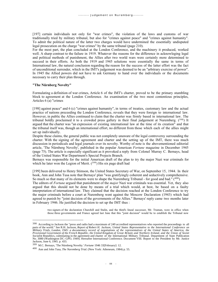[197] certain individuals not only for "war crimes", the violation of the laws and customs of war traditionally tried by military tribunal, but also for "crimes against peace" and "crimes against humanity". To admit the political nature of the latter two charges would have undermined the essentially undisputed legal prosecution on the charge "war crimes" by the same tribunal (page 210).

For the most part, the plan concluded at the London Conference, and the machinery it produced, worked well. A sharp contrast to the failure in 1919. Whatever the reasons for the difference in acknowleging legal and political methods of punishment, the Allies after two world wars were certainly more determined to succeed in their efforts. As both the 1919 and 1945 solutions were essentially the same in terms of International law, the natural conclusion regarding the reason for the success of the latter effort was the fact of unconditional surrender, which in the IMT's judgement was deemed to be an "arbitrary exercise of power". In 1945 the Allied powers did not have to ask Germany to hand over the individuals or the documents necessary to carry their plan through.

## **"The Nürnberg Novelty"**

Formulating a definition of war crimes, Article 6 of the IMT's charter, proved to be the primary stumbling block to agreement at the London Conference. An examination of the two most contentious principles, Articles 6 (a) "crimes

[198] against peace" and 6 (c) "crimes against humanity", in terms of treaties, customary law and the actual practice of nations preceeding the London Conference, reveals that they were foreign to international law. However, in public the Allies continued to claim that the charter was firmly based in international law. The tribunal boldly proclaimed it to a crowded press gallery in their final judgement at Nuremberg.  $(^{398})$  It argued that the charter was "an expression of existing international law at the time of its creation" and that the tribunal itself was, though an international effort, no different from those which each of the allies might set up individually.

Despite these claims, the general public was not completely unaware of the legal controversy surrounding the charter. With the signing of the agreement and charter and the setting up of the IMT, there was much discussion in periodicals and legal journals over its novelty. Worthy of note is the abovementioned editorial article, 'The Nürnberg Novelty', published in the popular American *Fortune* magazine in December 1945 (page 75). The article is especially significant as it provoked a reply from Colonel Murray C. Bernays, head of the United States War Department's Special Projects Branch.

Bernays was responsible for the initial American draft of the plan to try the major Nazi war criminals for which he later won the Legion of Merit.  $(399)$  His six page draft had

[199] been delivered to Henry Stimson, the United States Secretary of War, on September 15, 1944. In their book, Ann and John Tusa note that Bernays' plan "was gratifyingly coherent and seductively comprehensive. So much so that many of its elements were to shape the Nuremberg Tribunal - for good and bad." (400)

The editors of *Fortune* argued that punishment of the *major* Nazi war criminals was essential. Yet, they also argued that this should not be done by means of a trial which would, at best, be based on a faulty interpretation of international law. They claimed that the decision reached at the London Conference to try the major criminals before a court at Nuremberg went against the Moscow Declaration (1943) which had agreed to punish by "joint decision of the governments of the Allies." Bernays' reply came two months later in February 1946. He justified the decision to set up the IMT thus :

two signers of the declaration Churchill and Stalin, and the third's lineal successor, Mr. Truman, were in office when those three governments and France agreed last June that this "joint decision" would be to establish the Tribunal now

<sup>398</sup> According to Jackson the "press and radio had a maximum of 249 accredited representatives who reported the proceedings to all parts of the world." See R.H. Jackson, *Report of Robert H. Jackson, United States Representative to the International Conference on Military Trials, London, 1945: a documentary record of negotiations of the representatives of the United States of America, the Provisional Government of the French Republic, the United Kingdom of Great Britain and Northern Ireland, and the Union of Soviet* Socialist Republics, culminating in the agreement and charter of the International Military Tribunal. Department of State Publication<br>No. 3080 (Washington DC: GPO, 1949). Hereafter International Conference. Document VIII. Jackson, June 6, 1945. p. 433.

<sup>399</sup> M.C. Bernays, 'The Nürnberg Novelty.' *Fortune* 1946 33[February]: 12.

<sup>400</sup> Ann and John Tusa, *The Nuremberg Trial*. (New York: Atheneum, 1984) p. 55.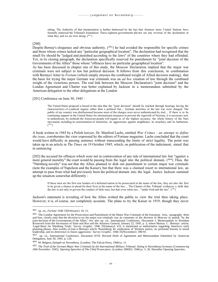sitting. The Authority of that interpretation is further buttressed by the fact that fourteen more United Nations have formally endorsed the Tribunal's foundation. These eighteen governments did not see any reversal of the declaration in what they and we are now doing.  $(^{401})$ 

## [200]

Despite Bernay's eloquence and obvious authority,  $(402)$  he had avoided the responsible for specific crimes and those whose crimes lacked any "particular geographical location". The declaration had recognised that the small fry should be "judged and punished according to the laws" of the countries where they had offended. Yet, in its closing paragraph, the declaration specifically reserved for punishment by "joint decision of the Governments of the Allies" those whose "offences have no particular geographical location".

As has been discussed in chapter one of this study, the Moscow Declaration implied that the major war criminals were not subject to law but political decision. It follows from this conclusion, in combination with Bernays' letter to *Fortune* (which simply stresses the combined weight of Allied decision making), that the basis for trying the major German war criminals was an *ad hoc* creation of law through the combined weight of the victorious powers. The real link between the Moscow Declaration's "joint decision" and the London Agreement and Charter was better explained by Jackson in a memorandum submitted by the American delegation to the other delegations at the London

[201] Conference on June 30, 1945 :

The United States proposal is based on the idea that the "joint decision" should be reached through hearings having the characteristics of a judicial inquiry rather than a political fiat.... German atrocities in the last war were charged. The public of my country was disillusioned because most of the charges were never authenticated by trial.... If there is to be continuing support in the United States for international measures to prevent the regrowth of Naziism, it is necessary now to authenticate, by methods the American people will regard as of the highest accuracy, the whole history of the Nazi movement, including its extermination of minorities, its aggressions against neighbours, its treachery and its barbarism.  $(1, 403)$ 

A book written in 1945 by a Polish lawyer, Dr. Manfred Lachs, entitled *War Crimes : an attempt to define the issue*, corroborates the view expressed by the editors of Fortune magazine. Lachs concluded that the court would have difficulty in passing sentence without transcending the limits of strict legality. The point was taken up in an article in *The Times* on 19 October 1945, which, on publication of the indictment, stated that in sentencing

[202] the accused for offences which were not in contravention of any rule of international law but "against a more general morality" the court would be passing from the legal into the political domain. (<sup>404</sup>) Thus, the "Nürnberg novelty" was not that the Allies planned to dish out punishment to certain major war criminals (note the examples of Napoleon and the Kaiser), but that there was a claimed resort to international law, an attempt to pass from what had previously been the political domain into the legal. Justice Jackson summed up the situation somewhat differently :

If these men are the first war leaders of a defeated nation to be prosecuted in the name of the law, they are also the first to be given a chance to plead for their lives in the name of the law.... The Charter of this Tribunal evidences a faith that the law is not only to govern the conduct of little men, but that even rulers are... "under God and the law". (<sup>405</sup>)

Jackson's statement is revealing of how the Allies wished the public to view the trial then taking place. However, it is, of course, not completely accurate. The plans to try the Kaiser in 1919, though they never

<sup>401</sup> op. cit., *Fortune* 1946 33[February]: 10, 12.

<sup>&</sup>lt;sup>402</sup> The London Agreement for the Prosecution and Punishment of the Major War Criminals of the European Axis, paragraphs three and four, clearly state that the decision to try the major war criminals was an extension of the decision in Moscow to punish "by the joint decision of the Governments of the Allies." See also op. cit., International Conference, Document I. Memorandum to President Roosevelt from the Secretaries of State and War and the Attorney General, January 22, 1945. p. 3, where Murray C. Bernays' article, 'Legal Basis for Nürnberg Trials.' Survey Graphic. 1946 35[January]: 4-9, is mentioned as authoritative regarding America's early<br>planning phases. Also worthy of note is Bernays' article 'Nuremberg: Its vindication of West leadership, and its deterrence to future aggression.' *Survey Graphic*. 1946 35[November]: 390-91.

<sup>403</sup> op. cit., International Conference. Document XVII. Revised Draft of Agreement and Memorandum Submitted by American Delegation, June 30, 1945. p. 126.

<sup>404</sup> M. Belgion, *Epitaph on Nuremberg*. (London: The Falcon Press, 1946) p. 11.

<sup>405</sup> *The Trial of the German Major War Criminals by the International Military Tribunal. Sitting in Nuremberg Germany (Commencing 20th November, 1945). Opening Speeches of The Chief Prosecutors.* (London: HMSO, 1946) p. 5, 36. Hereafter Opening Speeches.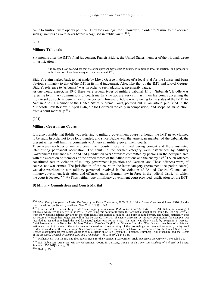came to fruition, were openly political. They took on legal form, however, in order to "assure to the accused such guarantees as were never before recognised in public law."  $(406)$ 

### [203]

### **Military Tribunals**

Six months after the IMT's final judgement, Francis Biddle, the United States member of the tribunal, wrote in justification :

It is accepted law everywhere that victorious powers may set up tribunals, with defined law, jurisdiction, and procedure, in the territories they have conquered and occupied.  $(407)$ 

Biddle's claim harked back to that made by Lloyd George in defence of a legal trial for the Kaiser and bears obvious similarity to that of the IMT in its final judgement. Also, like that of the IMT and Lloyd George, Biddle's reference to "tribunals" was, in order to seem plausible, necessarily vague.

As one would expect, in 1945 there were several types of military tribunal. If, by "tribunals", Biddle was referring to military commissions or courts martial (the two are very similar), then his point concerning the right to set up such "tribunals" was quite correct. However, Biddle was referring to the status of the IMT. As Nathan April, a member of the United States Supreme Court, pointed out in an article published in the Minnesota Law Review in April 1946, the IMT differed radically in composition, and scope of jurisdiction, from a court martial.  $(408)$ 

[204]

#### **Military Government Courts**

It is also possible that Biddle was referring to military government courts, although the IMT never claimed to be such. In order not to be long-winded, and since Biddle was the American member of the tribunal, the present writer will limit his comments to American military government courts.

There were two types of military government courts, those instituted during combat and those instituted later during permanent occupation. The courts in the former category were established by Military Government Ordinance No. 2 and had jurisdiction over "offenses committed by persons in the occupied area with the exception of members of the armed forces of the Allied Nations and the enemy." (409) Such offences constituted acts in violation of military government legislation and German law. These offences were, of course, not war crimes. The jurisdiction of the courts in the latter category (permanent occupation courts) was also restricted to non military personnel involved in the violation of "Allied Control Council and military government legislation, and offenses against German law in force in the judicial district in which the court is located."  $(4^{10})$  Thus neither type of military government court provided justification for the IMT.

## **B) Military Commissions and Courts Martial**

<sup>408</sup> Nathan April, 'An Inquiry into the Judicial Basis for the Nuernberg War Crimes Trial.' *Minnesota Law Review*. 1946 30[5]: 317.

<sup>410</sup> Ibid., p. 93.

<sup>406</sup> *What Really Happened at Paris: The Story of the Peace Conference, 1918-1919.* (United States: Greenwood Press, 1976. Reprint from the edition published by Scribner: New York, 1921) p. 243.

<sup>&</sup>lt;sup>407</sup> Francis Biddle, 'The Nürnberg Trial.' *Proceedings of the American Philosophical Society*. 1947 91[3]: 294. Biddle, in speaking of tribunals, was referring directly to the IMT. He was using this point to illustrate t from the victorious nations they are not therefore legally disqualified as judges. This point is quite correct. The Judges nationality does not necessarily mean their judgement will in fact be biased. The trial of enemy prisoners by military commission, for example, was regarded as just and quite legal, the need for neutral judges was not an issue. This point was clearly made by Benjamin B. Ferencz, Chief Prosecutor in the Nuremberg Military Tribunal Case No. IX (U.S. v. Ohlendorf, et al.): "The fact that members of a defeated nation are tried in tribunals of the victor creates the need for closest scrutiny of the proceedings but does not necessarily or by itself render the conduct of the trials corrupt. Such processes are as old as war itself and have been conducted by the United States since George Washington ordered Major André tried as a British spy." See Benjamin B. Ferencz, 'Nürnberg Trial Procedure and the Rights of the Accused.' *Journal of Criminal Law and Criminology*. --d 1948 39[2]: 144-145.

<sup>409</sup> E.E. Nobleman, 'American Military Government Courts in Germany.' *Annals of the American Academy of Political and Social Science*. 1950 267[January]: 88.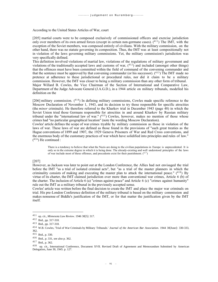## According to the United States Articles of War, court

[205] martial courts were to be composed exclusively of commissioned officers and exercise jurisdiction only over members of its own armed forces (except in certain non-germane cases). (<sup>411</sup>) The IMT, with the exception of the Soviet members, was composed entirely of civilians. With the military commission, on the other hand, there was no statute governing its composition. Thus, the IMT was at least compositionally not in violation of the laws governing military commissions. Yet, the military commission's jurisdiction was very specifically defined.

This definition involved violations of martial law, violations of the regulations of military government and violations of the traditionally accepted laws and customs of war,  $(^{412})$  and included (amongst other things) that the offences must have been committed within the field of command of the convening commander and that the sentence must be approved by that convening commander (or his successor).  $(^{413})$  The IMT made no pretence at adherence to these jurisdictional or procedural rules, nor did it claim to be a military commission. However, the IMT was closer to being a military commission than any other form of tribunal. Major Willard B. Cowles, the Vice Chairman of the Section of International and Comparative Law, Department of the Judge Advocate General (J.A.G.D.), in a 1944 article on military tribunals, modelled his definition on the

 $[206]$  military commission.  $(414)$  In defining military commissions, Cowles made specific reference to the Moscow Declaration of November 1, 1943, and its decision to try those responsible for specific atrocities (the *minor* criminals). He therefore referred to the Kharkov trial in December 1943 (page 48) in which the Soviet Union tried those Germans responsible for atrocities in and around Kharkov by Russian military tribunal under the "international law of war."  $(415)$  Cowles, however, makes no mention of those whose crimes had "no particular geographical location" (note the wording Moscow Declaration).

Cowles' article defines the scope of war crimes tryable by military commission as those in violation of the laws of war. These laws of war are defined as those found in the provisions of "such great treaties as the Hague conventions of 1899 and 1907, the 1929 Geneva Prisoners of War and Red Cross conventions, and the enormous body of the customary practices of war which have solidified into principles and rules of law." ( <sup>416</sup>) He continued :

There is a tendency to believe that what the Nazis are doing to the civilian populations in Europe is unprecedented. It is only so in the extreme degree in which it is being done. The already-existing and well understood principles of the laws of war include most of these offenses, and precedents exist for their punishment. (<sup>417</sup>)

## [207]

However, as Jackson was later to point out at the London Conference, the Allies had not envisaged the trial before the IMT "as a trial of isolated criminal acts", but "as a trial of the master planners in which the criminality consists of making and executing the master plan to attack the international peace."  $(^{418})$  By virtue of its charter, the IMT claimed jurisdiction over more than conventional war crimes, Article 6 (b) of the charter. The inclusion of Article 6 (a) "crimes against peace" and Article 6 (c) "crimes against humanity" rule out the IMT as a military tribunal in the previously accepted sense.

Cowles' article was written before the final decision to create the IMT and place the major war criminals on trial. His pre-London Conference definition of the military tribunal is based on the military commission and makes nonsense of Biddle's justification of the IMT, or for that matter the justification given by the IMT itself.

<sup>411</sup> op. cit., *Minnesota Law Review*. 1946 30[5]: 317.

<sup>412</sup> Ibid., pp. 317-318.

<sup>413</sup> Ibid., pp. 317-318.

<sup>414</sup> W.B. Cowles, 'Trial of War Criminals by Military Tribunals.' *Journal of the American Bar Association*. 1944 30[June]: 330-333, 362.

<sup>415</sup> Ibid., p. 330.

<sup>416</sup> Ibid., p. 331, see also p. 362.

<sup>417</sup> Ibid., p. 362.

<sup>418</sup> op. cit., International Conference, Document XVII. Revised Draft of Agreement and Memorandum Submitted by American Delegation, June 30, 1945. p. 127.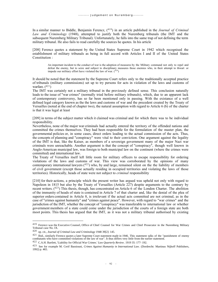In a similar manner to Biddle, Benjamin Ferencz, (<sup>419</sup>) in an article published in the *Journal of Criminal Law and Criminology* (1948), attempted to justify both the Nuremberg tribunals (the IMT and the subsequent Nuremberg Military Tribunal). Unfortunately, he falls into the same trap of not defining the term military tribunal. He also fails to read carefully the sources he quotes. In his article

[208] Ferencz quotes a statement by the United States Supreme Court in 1942 which recognised the establishment of military tribunals as being in full accord with Articles I and II of the United States Constitution :

An important incident to the conduct of war is the adoption of measures by the Military command not only to repel and defeat the enemy, but to seize and subject to disciplinary measures those enemies who, in their attempt to thwart or impede our military effort have violated the law of war.  $(^{420})$ 

It should be noted that the statement by the Supreme Court refers only to the traditionally accepted practice of tribunals (military commissions) set up to try persons for acts in violation of the laws and customs of warfare.  $(421)$ 

The IMT was certainly not a military tribunal in the previously defined sense. This conclusion naturally leads to the issue of "war crimes" (normally tried before military tribunals), which, due to an apparent lack of contemporary controversy, has so far been mentioned only in passing. With the existance of a well defined legal category known as the the laws and customs of war and the precedent created by the Treaty of Versailles (noted at the end of chapter two), the natural assumption with regard to Article 6 (b) of the charter is that it was legal at least

[209] in terms of the subject matter which it claimed was criminal and for which there was to be individual responsibility.

Nevertheless, none of the major war criminals had actually entered the territory of the offended nations and committed the crimes themselves. They had been responsible for the formulation of the master plan, the governmental policies or, in some cases, direct orders leading to the actual commission of the acts. Thus, the concepts of planning and "conspiracy" were vital to their conviction. One argument against the legality of the IMT is that, like the Kaiser, as members of a sovereign government many of the major Nazi war criminals were unreachable. Another argument is that the concept of "conspiracy", though well known in Anglo-American municipal law, was foreign to both municipal law on the continent (where the crimes were committed) and international law.

The Treaty of Versailles itself left little room for military officers to escape responsibility for ordering violations of the laws and customs of war. This view was corroborated by the opinions of many contemporary international lawyers  $(422)$  who, by and large, remained silent on the the liability of members of civil government (except those actually residing in occupied territories and violating the laws of those territories). Historically, heads of state were not subject to *criminal* responsibility

[210] for their actions, a principle which the present writer has argued was upheld not only with regard to Napoleon in 1815 but also by the Treaty of Versailles (Article 227) despite arguments to the contrary by recent writers.  $(423)$  This thesis, though, has concentrated on Article 6 of the London Charter. The abolition of the immunity of heads of state is contained in Article 7 of that charter and, like the denial of the plea of superior orders contained in Article 8, is irrelevant if the actual acts committed are not criminal, as in the case of "crimes against humanity" and "crimes against peace". However, with regard to "war crimes" and the jurisdiction of the IMT, whether the concept of "conspiracy" was transferable to international law or whether government members of a state could come under the jurisdiction of the courts of a foreign state are both moot points. This thesis has argued that the IMT, as it was not a military tribunal authorised by existing

<sup>419</sup> Ferencz was the Executive Counsel, Office of Chief Counsel for War Crimes and Chief Prosecutor in the Nuremberg Military Tribunal case No. IX.

<sup>420</sup> op. cit., *Journal of Criminal Law and Criminology* 1948 39[2]: 145.

 $421$  Ibid., similarly Ferencz quotes a later Supreme Court statement made in 1946. This statement talks of the "punishment of enemy combatants who have committed violations of the law of war". It thus differs very little from the earlier statement.

<sup>422</sup> C.A.H. Bartlett, 'Liability for Official War Crimes.' *Law Quarterly Review*. 1919 35: 177- 192.

<sup>423</sup> See for example M. Cerif Bassiouni, *Crimes Against Humanity in International Law*. (Dordrecht: Martinus Nijhoff Publishers, 1992) p. 465.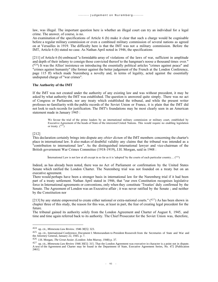law, was illegal. The important question here is whether an illegal court can try an individual for a legal crime. The answer, of course, is no.

An examination of the specifications of Article 6 (b) make it clear that such a charge would be cognisable before a regular military commission or even a combined military commission of several nations as agreed on at Versailles in 1919. The difficulty here is that the IMT was not a military commission. Before the IMT, Article 6 (b) stated no case. As Nathan April noted in 1946, the specifications

[211] of Article 6 (b) embraced "a formidable array of violations of the laws of war, sufficient in amplitude and depth of their infamy to consign those convicted thereof to the hangman's noose a thousand times over."  $(424)$  It was the Allies' insistence on introducing the essentially political articles "crimes against peace" and "crimes against humanity" (the former against the better judgement of the French at the London Conference, page 115 ff) which made Nuremberg a novelty and, in terms of legality, acted against the essentially undisputed charge of "war crimes".

## **The Authority of the IMT**

If the IMT was not created under the authority of any existing law and was without precedent, it may be asked by what authority the IMT was established. The question is answered quite simply. There was no act of Congress or Parliament, nor any treaty which established the tribunal, and while the present writer professes no familiarity with the public records of the Soviet Union or France, it is plain that the IMT did not look to such records for justification. The IMT's foundations may be most clearly seen in an American statement made in January 1945 :

We favour the trial of the prime leaders by an international military commission or military court, established by Executive Agreement of the heads of State of the interested United Nations. This would require no enabling legislation or treaty.  $(^{42}$ 

### [212]

This declaration certainly brings into dispute any *obiter dictum* of the IMT members concerning the charter's place in international law. It also makes of doubtful validity any claims that the tribunal was intended as a "contribution to international law". As the distinguished international lawyer and vice-chairman of the British government War Crimes Committee (1918-1919), J.H. Morgan, said in 1948 :

International Law is not law at all except in so far as it is 'adopted' by the courts of each particular country....  $(426)$ 

Indeed, as has already been noted, there was no Act of Parliament or confirmation by the United States Senate which ratified the London Charter. The Nuremberg trial was not founded on a treaty but on an executive agreement.

There would perhaps have been a stronger basis in international law for the Nuremberg trial if it had been part of a treaty settlement. Nathan April stated in 1946, that "our own Constitution recognises legislative force in International agreements or conventions, only when they constitute 'Treaties' duly confirmed by the Senate. The Agreement of London was an Executive affair ; it was never ratified by the Senate ; and neither by the Constitution nor

[213] by any statute empowered to create either national or extra-national courts."  $(427)$  As has been shown in chapter three of this study, the reason for this was, at least in part, the fear of creating legal precedent for the future.

The tribunal gained its authority solely from the London Agreement and Charter of August 8, 1945, and time and time again referred back to its authority. The Chief Prosecutor for the Soviet Union was, therefore,

<sup>424</sup> op. cit., *Minnesota Law Review*. 1946 30[5]: 323.

<sup>&</sup>lt;sup>425</sup> op. cit., International Conference, Document I. Memorandum to President Roosevelt from the Secretaries of State and War and the Attorney General, January 22, 1945. p. 7.

<sup>426</sup> J.H. Morgan, *The Great Assize*. (London: John Murray, 1948) p. 37.

<sup>427</sup> op. cit., *Minnesota Law Review* 1946 30[5]: 315. That the London Agreement was executive in character is a point not in dispute. A text of the Agreement and Charter may be found in the Department of State, Executive Agreement Series, No. 472 [Publication 2461].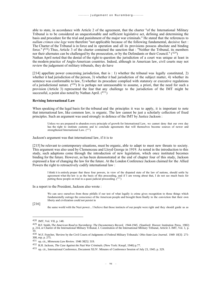able to state, in accordance with Article 2 of the agreement, that the charter "of the International Military Tribunal is to be considered an unquestionable and sufficient legislative act, defining and determining the basis and procedure for the trial and punishment of the major war criminals." He stated that the references to *nullum crimen sine lege* were therefore "not applicable because of the following fundamental, decisive fact : The Charter of the Tribunal is in force and in operation and all its provisions possess absolute and binding force."  $(4^{28})$  Thus, Article 3 of the charter contained the sanction that : "Neither the Tribunal, its members nor their alternates can be challenged by the prosecution, or by the Defendants or their Council."  $(429)$ Nathan April noted that the denial of the right to question the jurisdiction of a court was unique at least in the modern practice of Anglo-American countries. Indeed, although in American law, civil courts may not review the judgement of military tribunals, they do have

[214] appellate power concerning jurisdiction, that is : 1) whether the tribunal was legally constituted, 2) whether it had jurisdiction of the person, 3) whether it had jurisdiction of the subject matter, 4) whether its sentence was conformable to law, 5) whether its procedure complied with statutory or executive regulations of a jurisdictional nature. (<sup>430</sup>) It is perhaps not unreasonable to assume, a priori, that the need for such a provision (Article 3) represented the fear that any challenge to the jurisdiction of the IMT might be successful, a point also noted by Nathan April.  $(431)$ 

#### **Revising International Law**

When speaking of the legal basis for the tribunal and the principles it was to apply, it is important to note that international law, like common law, is organic. The law cannot be just a scholarly collection of fixed principles. Such an argument was used strongly in defence of the IMT by Justice Jackson :

Unless we are prepared to abandon every principle of growth for International Law, we cannot deny that our own day has the right to institute customs and to conclude agreements that will themselves become sources of newer and strengthened International Law. (432)

Jackson's argument was that international law, if it is to

[215] be relevant to contemporary situations, must be organic, able to adapt to meet new threats to society. This argument was also used by Clemenceau and Lloyd George in 1919. As noted in the introduction to this study, such adaptions come through the introduction of new legislation, which once instituted becomes binding for the future. However, as has been demonstrated at the end of chapter four of this study, Jackson expressed a fear of changing the law for the future. At the London Conference Jackson claimed for the Allied Powers the right to retroactively codify international law :

I think it is entirely proper that these four powers, in view of the disputed state of the law of nations, should settle by agreement what the law is as the basis of this proceeding, and if I am wrong about that, I do not see much basis for putting these people on trial in a quasi-judicial proceeding.  $(^{433})$ 

In a report to the President, Jackson also wrote :

We can save ourselves from those pitfalls if our test of what legally is crime gives recognition to those things which fundamentally outrage the conscience of the American people and brought them finally to the conviction that their own liberty and civilization could not persist in

[216]

the same world with the Nazi power... I believe that those instincts of our people were right and they should guide us as

<sup>428</sup> IMT, Vol. VII, p. 148.

<sup>&</sup>lt;sup>429</sup> B.F. Smith, *The American Road to Nuremberg: The Documentary Record, 1944-1945*. (Stanford: Hoover Institution Press, 1982)<br>p. 214, or Charter of the International Military Tribunal, I. Constitution of the Internatio 10.

<sup>430</sup> W.F. Fratcher, 'Review by the Civil Courts of Judgments of Federal Military Tribunals.' *Ohio State Law Journal*. 1949 10[3]: 271- 300, esp. p. 275.

<sup>431</sup> op. cit., *Minnesota Law Review.* 1946 30[5]: 319.

<sup>432</sup> R.H. Jackson, *The Case Against the Nazi War Criminals.* (New York: Knopf, 1946) p.77.

<sup>433</sup> op. cit., International Conference, Document XLIV. Minutes of Conference Session of July 23, 1945. p. 329.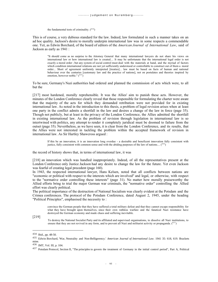## the fundamental tests of criminality.  $(^{434})$

This is of course, a very dubious standard for the law. Indeed, law formulated in such a manner takes on an ad hoc quality. Jackson's desire to morally underpin international law was in some respects a commendable one. Yet, as Edwin Borchard, of the board of editors of the *American Journal of International Law*, said of Jackson as early as 1941 :

"It should come as no surprise to the Attorney General that many international lawyers do not share his views on international law or how international law is created.... It may be unfortunate that the international legal order is not exactly a moral order ; but any system of social control must deal with the materials at hand, and the myriad of factors which condition international relations are not yet sufficiently understood or controllable to construct out of them a moral order... Short of agreement uniformly interpreted [treaties]... law must be based on facts of human and national behaviour over the centuries [customary law and the practice of nations], not on postulates and theories inspired by emotion, however noble."  $(^{435})$ 

To be sure, Germany's Nazi authorities had ordered and planned the commission of acts which were, to all but the

[217] most hardened, morally reprehensible. It was the Allies' aim to punish these acts. However, the minutes of the London Conference clearly reveal that those responsible for formulating the charter were aware that the majority of the acts for which they demanded retribution were not provided for in existing international law. As noted in the introduction to this thesis, a problem of legal revision arises when at least one party in the conflict admits a shortfall in the law and desires a change of the law in force (page 35). Though not publicly, but at least in the privacy of the London Conference, the Allies admitted the shortfall in existing international law. As the problem of revision through legislation in international law is so intertwined with politics, any attempt to render it completely juridical must be doomed to failure from the outset (page 35). Nevertheless, as we have seen, it is clear from the London Conference, and its results, that the Allies were not interested in tackling the problem within the accepted framework of revision in international law. As Sir Hartley Shawcross argued :

If this be an innovation, it is an innovation long overdue - a desirable and beneficent innovation fully consistent with justice, fully consistent with common sense and with the abiding purposes of the law of nations.... (<sup>436</sup>)

the record of history shows that, in terms of international law, it was

[218] an innovation which was handled inappropriately. Indeed, of all the representatives present at the London Conference only Justice Jackson had any desire to change the law for the future. Yet even Jackson was fearful of creating legal precedent (page 160).

In 1943, the respected international lawyer, Hans Kelsen, noted that all conflicts between nations are "economic or political with respect to the interests which are involved" and legal, or otherwise, with respect to the "normative order controlling these interests" (page 31). No matter how morally praiseworthy the Allied efforts bring to trial the major German war criminals, the "normative order" controlling the Allied effort was clearly political.

The political importance of the destruction of National Socialism was clearly evident at the Potsdam and the Crimea conferences. The protocol of the Potsdam Conference, dated August 2, 1945, under the heading "Political Principles", emphasised the necessity to :

convince the German people that they have suffered a total military defeat and that they cannot escape responsibility for what they have brought upon themselves, since their own ruthless warfare and the fanatical Nazi resistance have destroyed the German economy and made chaos and suffering inevitable.

[219]

To destroy the National Socialist Party and its affiliated and supervised organisations, to dissolve all Nazi institutions, to ensure that they are not revived in any form, and to prevent all Nazi and militarist activity or propaganda. (437)

<sup>434</sup> Ibid., pp. 48-50.

<sup>435</sup> Edwin Borchard, 'War, Neutrality and Non-Belligerency.' *American Journal of International Law*. 1941 35: 618, 619. Brackets mine.

<sup>436</sup> IMT, Vol. III, p. 104.

<sup>437</sup> Potsdam Protocol, Section II, "The principles to govern the treatment of Germany in the initial control period", Part A, Political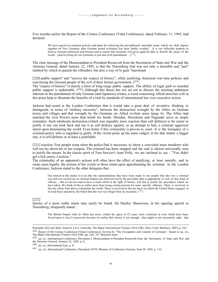Five months earlier the Report of the Crimea Conference (Yalta Conference), dated February 11, 1945, had declared :

We have agreed on common policies and plans for enforcing the unconditional surrender terms which we shall impose together on Nazi Germany after German armed resistance has been finally crushed.... It is our inflexible purpose to destroy German militarism and Nazism and to ensure that Germany will never again be able to disturb the peace of the world... [and to] bring all war criminals to just and swift punishment....  $\binom{438}{ }$ 

The clear message of the Memorandum to President Roosevelt from the Secretaries of State and War and the Attorney General, dated January 22, 1945, is that the Nuremberg trial was not only a desirable and "just" method by which to punish the offenders, but also a way of to gain "maximum

[220] public support" and "receive the respect of history", while justifying American war-time policies and convincing the German people of the evil of their former government.  $(439)$ 

The "respect of history" is merely a form of long-range public support. The ability of legal garb to marshal public support is undeniable. (440) Although this thesis has not set out to discuss the seeming unfairness inherent in the punishment of only German (and Japanese) crimes, a word concerning Allied atrocities will at this point help to illustrate the benefits of a trial by standards of international law over executive action.

Jackson had noted at the London Conference that it would take a great deal of inventive thinking to distinguish, in terms of "military necessity", between the destruction wrought by the Allies on German towns and villages and that wrought by the Germans on Allied civilian areas (page 6). The Allies had matched the Axis Powers more than bomb for bomb. Dresden, Hiroshima and Nagasaki serve as ample reminders. Such wholesale destruction (which was arguably more reaction than self defence) is far easier to justify if one can look back and see it as self defence against, or an attempt to halt, a criminal aggressor intent upon dominating the world. Even better if this criminality is proven in court. It is the instigator of a criminal policy who is regarded as guilty. If the victim picks up the same cudgel, or for that matter a bigger one, it is self-defense or at least a justifiable

[221] reaction. Few people weep when the police find it necessary to shoot a convicted mass murderer who will not lay down his or her weapon. The criminal has been stopped and the end is almost universally seen to justify the means. In the classic spirit of Tom Sawyer's Aunt Polly, we are inclined to say : "You didn't get a lick amiss, I reckon."

The criminality of an opponent's actions will often have the effect of justifying, at least morally, and in some cases legally, the actions of the victim or those intent upon apprehending the criminal. At the London Conference, Jackson stated to the other delegates that :

Our interest in this matter is to see that the representations that have been made to our people that this was a criminal war and was carried out in criminal fashion are followed out by the procedure that is appropriate to trial of that kind of offense.... But we do not want to have a result which in the light of history will fail to justify the procedures which we have taken. We think of this as rather more than trying certain persons for some specific offenses. There is involved in this the whole Nazi drive to dominate the world. There is involved in this the basis on which the United States engaged in its lend-lease operation, the belief that this war was illegal from its inception.  $(441)$ 

#### [222]

Quotes of a more noble intent may easily be found. Sir Hartley Shawcross, in his opening speech at Nuremberg, eloquently stated :

The British Empire with its Allies has twice, within the space of 25 years, been victorious in wars which have been forced upon it, but it is precisely because we realise that victory is not enough ; that might is not necessarily right ; that

Principles 3(ii) and 3(iii). found in J.A.S. Grenville, *The Major International Treaties 1914-1945.* (New York: Methuen, 1987) p. 232.

<sup>438</sup> Report of the Crimea Conference (Yalta Conference), Section II, "The Occupation and Control of Germany", found in op. cit., *The Major International Treaties 1914-1945*. pp. 226- 227. Brackets mine.

<sup>439</sup> op. cit., International Conference, Document I. Memorandum to President Roosevelt from the Secretaries of State and War and the Attorney General, January 22, 1945. p. 6.

<sup>440</sup> op. cit., *International Law*. p. 8.

<sup>441</sup> op. cit., International Conference, Document XVII. Minutes of Conference Session, June 29, 1945. p. 113.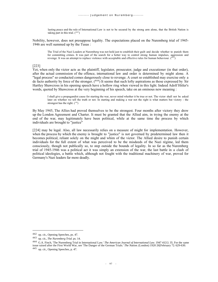lasting peace and the rule of International Law is not to be secured by the strong arm alone, that the British Nation is taking part in this trial.  $(442)$ 

Nobility, however, does not presuppose legality. The expectations placed on the Nuremberg trial of 1945- 1946 are well summed up by the Tusas :

The Trial of the Nazi Leaders at Nuremberg was not held just to establish their guilt and decide whether to punish them for committing crimes. It was part of the search for a better way to control strong human impulses, aggression and revenge. It was an attempt to replace violence with acceptable and effective rules for human behaviour.  $(443)$ 

### [223]

Yet, when only the victor acts as the plaintiff, legislator, prosecutor, judge and executioner (in that order), after the actual commission of the offence, international law and order is determined by might alone. A "legal process" so conducted comes dangerously close to revenge. A court so established may exercise only a de facto authority by force of the stronger. (<sup>444</sup>) It seems that such lofty aspirations as those expressed by Sir Hartley Shawcross in his opening speech have a hollow ring when viewed in this light. Indeed Adolf Hitler's words, quoted by Shawcross at the very beginning of his speech, take on an ominous new meaning :

I shall give a propagandist cause for starting the war, never mind whether it be true or not. The victor shall not be asked later on whether we tell the truth or not. In starting and making a war not the right is what matters but victory - the strongest has the right. ( <sup>445</sup>)

By May 1945, The Allies had proved themselves to be the strongest. Four months after victory they drew up the London Agreement and Charter. It must be granted that the Allied aim, in trying the enemy at the end of the war, may legitimately have been political, while at the same time the process by which individuals are brought to "justice"

[224] may be legal. Also, all law necessarily relies on a measure of might for implementation. However, when the process by which the enemy is brought to "justice" is not governed by predetermined law then it becomes political, reliant solely on the might and whim of the victor. The Allied desire to punish certain individuals for the full extent of what was perceived to be the misdeeds of the Nazi régime, led them consciously, though not publically so, to step outside the bounds of legality. In so far as the Nuremberg trial of 1945-1946 was a political act it was simply an extension of the war, the last battle in a clash of political ideologies, a battle which, although not fought with the traditional machinery of war, proved for Germany's Nazi leaders far more deadly.

<sup>442</sup> op. cit., Opening Speeches, ps. 47.

<sup>443</sup> op. cit., *The Nuremberg Trial*. ps. 14.

<sup>444</sup> G.A. Finch, 'The Nuremberg Trial in International Law.' *The American Journal of International Law*. 1947 41[1]: 35. For the same issue raised after the First World War, see 'The Danger of the German Trials.' *The Nation*. (London) 1920 26[February 7]: 629-630. <sup>445</sup> op. cit., Opening Speeches, p. 47.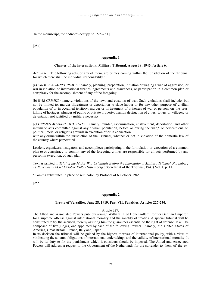[In the manuscript, the endnotes occupy pp. 225-253.]

[254]

## **Appendix 1**

### **Charter of the international Military Tribunal, August 8, 1945. Article 6.**

*Article 6....* The following acts, or any of them, are crimes coming within the jurisdiction of the Tribunal for which there shall be individual responsibility :

(a) *CRIMES AGAINST PEACE :* namely, planning, preparation, initiation or waging a war of aggression, or war in violation of international treaties, agreements and assurances, or participation in a common plan or conspiracy for the accomplishment of any of the foregoing ;

(b) *WAR CRIMES :* namely, violations of the laws and customs of war. Such violations shall include, but not be limited to, murder illtreatment or deportation to slave labour or for any other purpose of civilian population of or in occupied territory, murder or ill-treatment of prisoners of war or persons on the seas, killing of hostages, plunder of public or private property, wanton destruction of cities, towns or villages, or devastation not justified by military necessity ;

*(c) CRIMES AGAINST HUMANITY :* namely, murder, extermination, enslavement, deportation, and other inhumane acts committed against any civilian population, before or during the war,\* or persecutions on political, racial or religious grounds in execution of or in connection

with any crime within the jurisdiction of the Tribunal, whether or not in violation of the domestic law of the country where perpetrated.

Leaders, organizers, instigators, and accomplices participating in the formulation or execution of a common plan to or conspiracy to commit any of the foregoing crimes are responsible for all acts performed by any person in execution, of such plan.

Text as printed in *Trial of the Major War Criminals Before the International Military Tribunal Nuremberg 14 November 1945-1 October 1946.* (Nuremberg : Secretariat of the Tribunal, 1947) Vol. I, p. 11.

\*Comma substituted in place of semicolon by Protocol of 6 October 1945.

[255]

### **Appendix 2**

# **Treaty of Versailles, June 28, 1919. Part VII, Penalties, Articles 227-230.**

## Article 227.

The Allied and Associated Powers publicly arraign William II. of Hohenzollern, former German Emperor, for a supreme offense against international morality and the sanctity of treaties. A special tribunal will be constituted to try the accused, thereby assuring him the guarantees essential to the right of defense. It will be composed of five judges, one appointed by each of the following Powers : namely, the United States of America, Great Britain, France, Italy and, Japan.

In its decision the tribunal will be guided by the highest motives of international policy, with a view to vindicating the solemn obligations of international undertakings and the validity of international morality. It will be its duty to fix the punishment which it considers should be imposed. The Allied and Associated Powers will address a request to the Government of the Netherlands for the surrender to them of the ex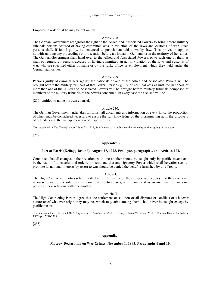Emperor in order that he may be put on trial.

## Article 228.

The German Government recognises the right of the Allied and Associated Powers to bring before military tribunals persons accused of having committed acts in violation of the laws and customs of war. Such persons shall, if found guilty, be sentenced to punishment laid down by law. This provision applies notwithstanding any proceedings or prosecution before a tribunal in Germany or in the territory of her allies. The German Government shall hand over to the Allied and Associated Powers, or to such one of them as shall so request, all persons accused of having committed an act in violation of the laws and customs of war, who are specified either by name or by the rank, office or employment which they held under the German authorities.

## Article 229.

Persons guilty of criminal acts against the nationals of one of the Allied and Associated Powers will be brought before the military tribunals of that Power. Persons guilty of criminal acts against the nationals of more than one of the Allied and Associated Powers will be brought before military tribunals composed of members of the military tribunals of the powers concerned. In every case the accused will be

[256] entitled to name his own counsel.

### Article 230.

The German Government undertakes to furnish all documents and information of every kind, the production of which may be considered necessary to ensure the full knowledge of the incriminating acts, the discovery of offenders and the just appreciation of responsibility.

Text as printed in *The Times* [London] June 28, 1919, Supplement p. iv. published the same day as the signing of the treaty.

[257]

## **Appendix 3**

## **Pact of Patris (Kellogg-Briand), August 27, 1928. Prologue, paragraph 3 and Articles I-II.**

Convinced that all changes in their relations with one another should be sought only by pacific means and be the result of a peaceful and orderly process, and that any signatory Power which shall hereafter seek to promote its national interests by resort to war should be denied the benefits furnished by this Treaty.

Article I.

The High Contracting Parties solemnly declare in the names of their respective peoples that they condemn recourse to war for the solution of international controversies, and renounce it as an instrument of national policy in their relations with one another.

#### Article II.

The High Contracting Parties agree that the settlement or solution of all disputes or conflicts of whatever nature or of whatever origin they may be, which may arise among them, shall never be sought except by pacific means.

Text as printed in F.L. Israel (Ed), *Major Peace Treaties of Modern History 1648-1967.* (New York : Chelsea House Publishers, 1967) pp. 2394-2395.

[258]

#### **Appendix 4**

#### **Moscow Declaration on War Crimes, November 1**, **1943. Paragraphs 6 and 10.**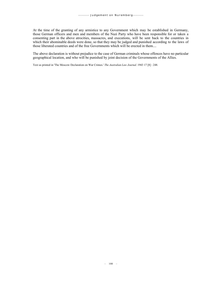At the time of the granting of any armistice to any Government which may be established in Germany, those German officers and men and members of the Nazi Party who have been responsible for or taken a consenting part in the above atrocities, massacres, and executions, will be sent back to the countries in which their abominable deeds were done, so that they may be judged and punished according to the laws of those liberated countries and of the free Governments which will be erected in them....

The above declaration is without prejudice to the case of German criminals whose offences have no particular geographical location, and who will be punished by joint decision of the Governments of the Allies.

Text as printed in 'The Moscow Declaration on War Crimes.' *The Australian Law Journal.* 1943 17 [8] : 248.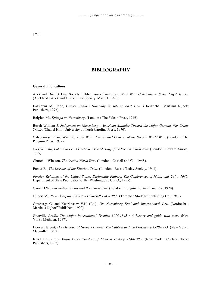[259]

# **BIBLIOGRAPHY**

#### **General Publications**

Auckland District Law Society Public Issues Committee, *Nazi War Criminals ~ Some Legal Issues.* (Auckland : Auckland District Law Society, May 31, 1990).

Bassiouni M. Cerif, *Crimes Against Humanity in International Law*. (Dordrecht : Martinus Nijhoff Publishers, 1992).

Belgion M., *Epitaph on Nuremberg*. (London : The Falcon Press, 1946).

Bosch William J. *Judgement on Nuremberg : American Attitudes Toward the Major German War-Crime Trials*. (Chapel Hill : University of North Carolina Press, 1970).

Calvocoressi P. and Wint G., *Total War : Causes and Courses of the Second World War*. (London : The Penguin Press, 1972).

Carr William, *Poland to Pearl Harbour : The Making of the Second World War*. (London : Edward Arnold, 1985).

Churchill Winston, *The Second World War*. (London : Cassell and Co., 1948).

Etcher B., *The Lessons of the Kharkov Trial*. (London : Russia Today Society, 1944).

*Foreign Relations of the United States, Diplomatic Paipers. The Conferences of Malta and Yalta 1945*. Department of State Publication 6199 (Washington : G.P.O., 1955).

Garner J.W., *International Law and the World War*. (London : Longmans, Green and Co., 1920).

Gilbert M., *Never Despair : Winston Churchill 1945-1965*. (Toronto : Stoddart Publishing Co., 1988).

Ginsburgs G. and Kudriavtsev V.N. (Ed.), *The Nuremberg Trial and International Law*. (Dordrecht : Martinus Nijhoff Publishers, 1990).

Grenville J.A.S., *The Major International Treaties 1914-1845 : A history and guide with texts.* (New York : Methuen, 1987).

Hoover Herbert, *The Memoirs of Herbert Hoover. The Cabinet and the Presidency 1920-1933.* (New York : Macmillan, 1952).

Israel F.L., (Ed.), *Major Peace Treaties of Modern History 1648-1967*. (New York : Chelsea House Publishers, 1967).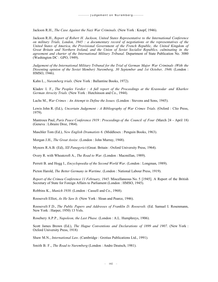Jackson R.H., *The Case Against the Nazi War Criminals.* (New York : Knopf, 1946).

Jackson R.H., *Report of Robert H. Jackson, United States Representative to the International Conference on military Trials, London, 1945 : a documentary record of negotiations ot the representatives of the United States of America, the Provisional Government of the French Republic, the United Kingdom of Great Britain and Northern Ireland, and the Union of Soviet Socialist Republics, culminating in the agreement and charter of the International Military Tribunal.* Department of State Publication No. 3080 (Washington DC : GPO, 1949).

*Judgement of the International Military Tribunal for the Trial of German Major War Criminals (With the Dissenting opinion of the Soviet Member) Nuremberg, 30 September and 1st October, 1946.* (London : HMSO, 1946).

Kahn L., *Nuremberg trials.* (New York : Ballantine Books, 1972).

Kladov I. F., *The Peoples Verdict : A full report of the Proceedings at the Krasnodar and Kharkov German Atrocity Trials.* (New York : Hutchinson and Co., 1944).

Lachs M., *War Crimes : An Attempt to Define the Issues.* (London : Stevens and Sons, 1945).

Lewis John R. (Ed.), *Uncertain Judgement : A Bibliography of War Crimes Trials.* (Oxford : Clio Press, 1979).

Mantroux Paul, *Paris Peace Conference 1919 : Proceedings of the Council of Four* (March 24 - April 18) (Geneva : Libraire Droz, 1964).

Maschler Tom (Ed.), *New English Dramatists 6.* (Middlesex : Penguin Books, 1963).

Morgan J.H., *The Great Assize*. (London : John Murray, 1948).

Mynors R.A.B. (Ed), *XII Panegyrici* (Great. Britain : Oxford University Press, 1964).

Overy R. with Wheatcroft A., *The Road to War*. (London : Macmillan, 1989).

Perrett B. and Hogg I., *Encyclopoedia of the Second World War*. (London : Longman, 1989).

Picton Harold, *The Better Germany in Wartime*. (London : National Labour Press, 1919).

*Report of the Crimea Conference 11 February, 1945.* Miscellaneous No. 5 [1945]. A Report of the British Secretary of State for Foreign Affairs to Parliament (London : HMSO, 1945).

Robbins K., *Munich 1938*. (London : Cassell and Co., 1968).

Roosevelt Elliot, *As He Saw It.* (New York : Sloan and Pearce, 1946).

Roosevelt F.D., *The Public Papers and Addresses of Franklin D. Roosevelt.* (Ed. Samuel I. Rosenmann, New York : Harper, 1950) 13 Vols.

Rosebery A.P.P., *Napoleon, the Last Phase.* (London : A.L. Humphreys, 1906).

Scott James Brown (Ed.), *The Hague Conventions and Declarations of 1899 and 1907*. (New York : Oxford University Press, 1918)

Shaw M.N., *International Law*. (Cambridge : Grotius Publications Ltd., 1991).

Smith B. F., *The Road to Nuremberg* (London : Andre Deutsch, 1981).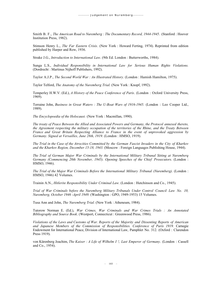Smith B. F., *The American Road to Nuremberg : The Documentary Record, 1944-1945*. (Stanford : Hoover Institution Press, 1982).

Stimson Henry L., *The Far Eastern Crisis.* (New York : Howard Ferting, 1974). Reprinted from edition published by Harper and Row, 1936.

Strake J.G., *Introduction to International Law*. (9th Ed. London : Butterworths, 1984).

Sunga L.S., *Individual Responsibility in International Law for Serious Human Rights Violations.* (Dordrecht : Martinus Nijhoff Publishers, 1992).

Taylor A.J.P., *The Second World War : An Illustrated History.* (London : Hamish Hamilton, 1975).

Taylor Telford, *The Anatomy of the Nuremberg Trial.* (New York : Knopf, 1992).

Temperley H.W.V. (Ed.), *A History of the Peace Conference of Paris*. (London : Oxford University Press, 1969).

Terraine John, *Business in Great Waters : The U-Boat Wars of 1916-1945*. (London : Leo Cooper Ltd., 1989).

*The Encyclopoedia of the Holocaust.* (New York : Macmillan, 1990).

*The treaty of Peace Between the Allied and Associated Powers and Germany, the Protocol annexed thereto, the Agreement respecting the military occupation of the territories of the Rhine, and the Treaty Between France and Great Britain Respecting Alliance to France in the event of unprovoked aggression by Germany. Signed at Versailles, June 28th, 1919.* (London : HMSO, 1919).

*The Trial in the Case of the Atrocities Committed by the German Fascist Invaders in the City of Kharkov and the Kharkov Region, December 15-18, 1943.* (Moscow : Foreign Languages Publishing House, 1944).

*The Trial of German Major War Criminals by the International Military Tribunal Sitting at Nuremberq Germany (Commencing 20th November, 1945). Opening Speeches of the Chief Prosecutors.* (London : HMSO, 1946).

*The Trial of the Major War Criminals Before the International Military Tribunal (Nuremberg).* (London : HMSO, 1946) 42 Volumes.

Trainin A.N., *Hitlerite Responsibility Under Criminal Law*. (London : Hutchinson and Co., 1945).

*Trial of War Criminals before the Nuremberg Military Tribunals Under Control Council Law No. 10, Nuremberg, October 1946 -April 1949.* (Washington : GPO, 1949-1953) 15 Volumes.

Tusa Ann and John, *The Nuremberg Trial.* (New York : Atheneum, 1984).

Tutorow Norman E. (Ed.), *War Crimes, War Criminals and War Crimes Trials : An Annotated Bibliography and Source Book*. (Westport, Connecticut : Greenwood Press, 1986).

*Violations of the Laws and Customs of War. Reports of the Majority and Dissenting Reports of American and Japanese Members of the Commission of Responsibilities. Conference of Paris 1919.* Carnegie Endowment for International Peace, Division of International Law, Pamphlet No. 312. (Oxford : Clarendon Press 1919).

von Kürenberg Joachim, *The Kaiser : A Life of Wilhelm I !, Last Emperor of Germany*. (London : Cassell and Co., 1954).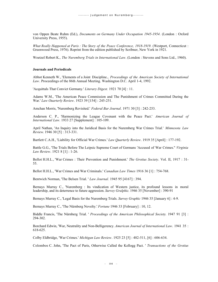von Oppen Beate Ruhm (Ed.), *Documents on Germany Under Occupation 1945-1954*. (London : Oxford University Press, 1955).

*What Really Happened at Paris : The Story of the Peace Conference, 1918-1919.* (Westport, Connecticut : Greenwood Press, 1976). Reprint from the edition published by Scribner, New York in 1921.

Woetzel Robert K., *The Nuremberg Trials in International Law*. (London : Stevens and Sons Ltd., 1960).

#### **Journals and Periodicals**

Abbot Kenneth W., 'Elements of a Joint Discipline., *Proceedings of the American Society of International Law*. Proceedings of the 86th Annual Meeting. Washington D.C. April 1-4, 1992.

'Acquittals That Convict Germany.' *Literary Digest.* 1921 70 [4] : 11.

Adams W.M., 'The American Peace Commission and The Punishment of Crimes Committed During the War.' *Law Ouarterly Review*. 1923 39 [154] : 245-251.

Amchan Morris, 'Nuremberg Revisited.' *Federal Bar Journal*. 1971 30 [3] : 242-253.

Anderson C. P., 'Harmonizing the League Covenant with the Peace Pact.' *American Journal of International Law.* 1933 27 [Supplement] : 105-109.

April Nathan, 'An Inquiry into the Juridical Basis for the Nuremberg War Crimes Trial.' *Minnesota Law Review*. 1946 30 [5] : 313-331.

Bartlett C.A.H., 'Liability for Official War Crimes.' *Law Quarterly Review*. 1919 35 [April] : 177-192.

Battle G.G., 'The Trials Before The Leipsic Supreme Court of Germans 'Accused of War Crimes.'' *Virginia Law Review*. 1921 8 [1] : 1-26.

Bellot H.H.L., 'War Crimes : Their Prevention and Punishment.' *The Grotius Society*. Vol. II, 1917 : 31- 55.

Bellot H.H.L., 'War Crimes and War Criminals.' *Canadian Law Times* 1916 36 [1] : 754-768.

Bentwich Norman, 'The Belsen Trial. ' *Law Journal.* 1945 95 [4167] : 394.

Bernays Murray C., 'Nuremberg : Its vindication of Western justice, its profound lessons in moral leadership, and its deterrence to future aggression. *Survey Gralphic*. 1946 35 [November] : 390-91

Bernays Murray C., 'Legal Basis for the Nuremberg Trials. *Survey Graphic* 1946 35 [January 6] : 4-9.

Bernays Murray C., 'The Nürnberg Novelty.' *Fortune* 1946 33 [February] : 10, 12.

Biddle Francis, 'The Nürnberg Trial. ' *Proceedings of the American Philosophical Society*. 1947 91 [3] : 294-302.

Borchard Edwin, 'War, Neutrality and Non-Belligerency. *American Journal of International Law*. 1941 35 : 618-625.

Colby Eldbridge, 'War Crimes.' *Michigan Law Review*. 1925 23 [5] : 482-511, [6] : 606-634.

Colombos C. John, 'The Pact of Paris, Otherwise Called the Kellogg Pact. ' *Transactions of the Grotius*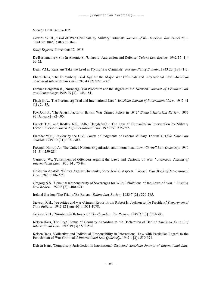*Society*. 1928 14 : 87-102.

Cowles W. B., 'Trial of War Criminals by Military Tribunals' *Journal of the American Bar Association*. 1944 30 [June] 330-333, 362.

*Daily Express,* November 12, 1918.

De Bustamante y Sirvén Antonio S., 'Unlawful Aggression and Defense.' *Tulane Law Review*. 1942 17 [1] : 60-72.

Dean V.M., 'Russians Take the Lead in Trying War Criminals.' *Foreign Policy Bulletin*. 1943 23 [10] : 1-2.

Ehard Hans, 'The Nuremberg Trial Against the Major War Criminals and International Law.' *American Journal of International Law*. 1949 43 [2] : 223-245.

Ferencz Benjamin B., 'Nürnberg Trial Procedure and the Rights of the Accused.' *Journal of Criminal Law and Criminology.* 1948 39 [2] : 144-151.

Finch G.A., 'The Nuremberg Trial and International Law.' *American Journal of International Law*. 1947 41  $[1]$  : 20-37.

Fox John P., 'The Jewish Factor in British War Crimes Policy in 1942.' *English Historical Review*. 1977 92 [January] : 82-106.

Franck T.M. and Rodley N.S., 'After Bangladesh : The Law of Humanitarian Intervention by Military Force.' *American Journal of International Law*. 1973 67 : 275-285.

Fratcher W.F., 'Review by the Civil Courts of Judgments of Federal Military Tribunals.' *Ohio State Law Journal*. 1949 10 [31] : 271-300.

Freeman Harrop A., 'The United Nations Organisation and International Law.' *Cornell Law Ouarterly*. 1946 31 [3] : 259-284.

Garner J. W., 'Punishment of Offenders Against the Laws and Customs of War. ' *American Journal of International Law*. 1920 14 : 70-94.

Goldstein Anatole, 'Crimes Against Humanity, Some Jewish Aspects. ' *Jewish Year Book of International Law*. 1948 : 206-225.

Gregory S.S., 'Criminal Responsibility of Sovereigns for Wilful Violations of the Laws of War. ' *Virginia Law Review*. 1920 6 [5] : 400-421.

Ireland Gordon, 'The Trial of Ex-Rulers.' *Tulane Law Review*. 1933 7 [2] : 279-285.

Jackson R.H., 'Atrocities and war Crimes : Report From Robert H. Jackson to the President.' *Department of State Bulletin*. 1945 12 [june 10] : 1071-1078.

Jackson R.H., 'Nürnberg in Retrospect.' *The Canadian Bar Review*. 1949 27 [7] : 761-781.

Kelsen Hans, 'The Legal Status of Germany According to the Declaration of Berlin.' *American Journal of International Law*. 1945 39 [3] : 518-526.

Kelsen Hans, 'Collective and Individual Responsibility in International Law with Particular Regard to the Punishment of War Criminals.' *International Law Quarterly.* 1947 1 [2] : 530-571.

Kelsen Hans, 'Compulsory Jurisdiction in International Disputes.' *American Journal of International Law*.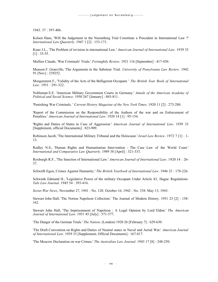1943. 37 : 397-406.

Kelsen Hans, 'Will the Judgement in the Nuremberg Trial Constitute a Precedent in International Law ?' *International Law Quarterly.* 1947 1 [2] : 153-171.

Kunz J.L., 'The Problem of revision in international Law.' *American Journal of International Law*. 1939 33 [1] : 33-55.

Mullins Claude, 'War Criminals' Trials.' *Fortnightly Review*. 1921 116 [September] : 417-430.

Munson F. Granville, 'The Arguments in the Saboteur Trial. *University of Pensylvania Law Review*. 1942 91 [Nov] : 239252.

Morgenstern F., 'Validity of the Acts of the Belligerent Occupant. ' *The British Year Book of International Law*. 1951 : 291-322.

Nobleman E.E. 'American Military Government Courts in Germany.' *Annals of the American Academy of Political and Social Science*. 1950 267 [January] : 803-811.

'Punishing War Criminals. ' *Current History Magazine of the New York Times.* 1920 11 [2] : 273-280.

'Report of the Commission on the Responsibility of the Authors of the war and on Enforcement of Penalties.' *American Journal of International Law*. 1920 14 [1] : 95-154.

'Rights and Duties of States in Case of Aggression.' *American Journal of International Law*. 1939 33 [Supplement, official Documents] : 823-909.

Robinson Jacob, 'The International Military Tribunal and the Holocaust.' *Israel Law Review*. 1972 7 [1] : 1- 13.

Rodley N.S., 'Human Rights and Humanitarian Intervention : The Case Law of the World Court.' *International and Comparative Law Quarterly*. 1989 38 [April] : 321-333.

Roxburgh R.F., 'The Sanction of International Law.' *American Journal of International Law*. 1920 14 : 26- 37.

Schwelb Egon, Crimes Against Humanity.' *The British Yearbook of International Law*. 1946 23 : 178-226.

Schwenk Edmund H., 'Legislative Power of the military Occupant Under Article 43, Hague Regulations. *Yale Law Journal*. 1945 54 : 393-416.

*Soviet War News*, November 27, 1941 : No. 120. October 16, 1942 : No. 338. May 13, 1943.

Stewart John Hall, 'The Norton Napoleon Collection.' The Journal of Modern History. 1951 23 [2] : 158- 162.

Stewart John Hall, 'The Imprisonment of Napoleon : A Legal Opinion by Lord Eldon.' *The American Journal of International Law*. 1951 45 [July] : 571-577.

'The Danger of the German Trials.' *The Nation*. (London) 1920 26 [February 7] : 629-630.

'The Draft Convention on Rights and Duties of Neutral states in Naval and Aerial War.' *American Journal of International Law*. 1939 33 [Supplement, Official Documents] : 167-817.

'The Moscow Declaration on war Crimes.' *The Australian Law Journal*. 1943 17 [8] : 248-250.